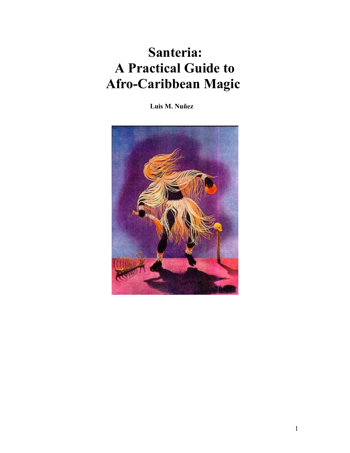# **Santeria: A Practical Guide to Afro-Caribbean Magic**

 **Luis M. Nuñez**

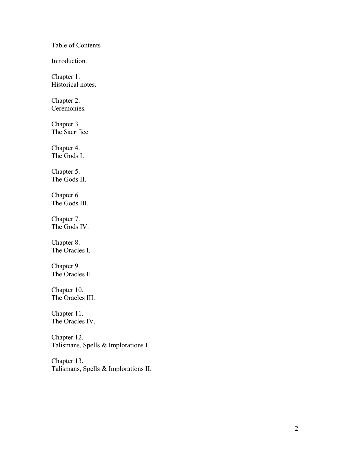Table of Contents

Introduction.

Chapter 1. Historical notes.

Chapter 2. Ceremonies.

Chapter 3. The Sacrifice.

Chapter 4. The Gods I.

Chapter 5. The Gods II.

Chapter 6. The Gods III.

Chapter 7. The Gods IV.

Chapter 8. The Oracles I.

Chapter 9. The Oracles II.

Chapter 10. The Oracles III.

Chapter 11. The Oracles IV.

Chapter 12. Talismans, Spells & Implorations I.

Chapter 13. Talismans, Spells & Implorations II.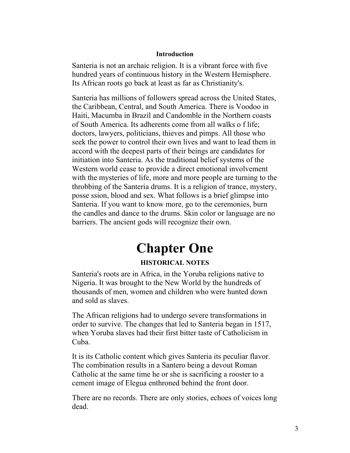#### **Introduction**

Santeria is not an archaic religion. It is a vibrant force with five hundred years of continuous history in the Western Hemisphere. Its African roots go back at least as far as Christianity's.

Santeria has millions of followers spread across the United States, the Caribbean, Central, and South America. There is Voodoo in Haiti, Macumba in Brazil and Candomble in the Northern coasts of South America. Its adherents come from all walks o f life; doctors, lawyers, politicians, thieves and pimps. All those who seek the power to control their own lives and want to lead them in accord with the deepest parts of their beings are candidates for initiation into Santeria. As the traditional belief systems of the Western world cease to provide a direct emotional involvement with the mysteries of life, more and more people are turning to the throbbing of the Santeria drums. It is a religion of trance, mystery, posse ssion, blood and sex. What follows is a brief glimpse into Santeria. If you want to know more, go to the ceremonies, burn the candles and dance to the drums. Skin color or language are no barriers. The ancient gods will recognize their own.

## **Chapter One**

## **HISTORICAL NOTES**

Santeria's roots are in Africa, in the Yoruba religions native to Nigeria. It was brought to the New World by the hundreds of thousands of men, women and children who were hunted down and sold as slaves.

The African religions had to undergo severe transformations in order to survive. The changes that led to Santeria began in 1517, when Yoruba slaves had their first bitter taste of Catholicism in Cuba.

It is its Catholic content which gives Santeria its peculiar flavor. The combination results in a Santero being a devout Roman Catholic at the same time he or she is sacrificing a rooster to a cement image of Elegua enthroned behind the front door.

There are no records. There are only stories, echoes of voices long dead.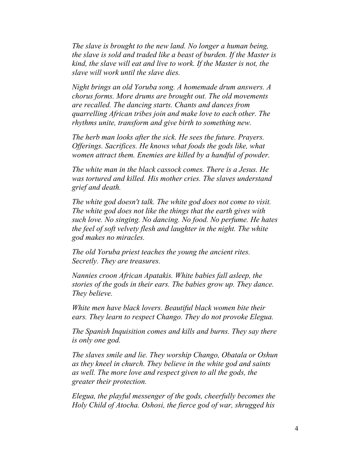*The slave is brought to the new land. No longer a human being, the slave is sold and traded like a beast of burden. If the Master is kind, the slave will eat and live to work. If the Master is not, the slave will work until the slave dies.*

*Night brings an old Yoruba song. A homemade drum answers. A chorus forms. More drums are brought out. The old movements are recalled. The dancing starts. Chants and dances from quarrelling African tribes join and make love to each other. The rhythms unite, transform and give birth to something new.*

*The herb man looks after the sick. He sees the future. Prayers. Offerings. Sacrifices. He knows what foods the gods like, what women attract them. Enemies are killed by a handful of powder.* 

*The white man in the black cassock comes. There is a Jesus. He was tortured and killed. His mother cries. The slaves understand grief and death.*

*The white god doesn't talk. The white god does not come to visit. The white god does not like the things that the earth gives with such love. No singing. No dancing. No food. No perfume. He hates the feel of soft velvety flesh and laughter in the night. The white god makes no miracles.*

*The old Yoruba priest teaches the young the ancient rites. Secretly. They are treasures.*

*Nannies croon African Apatakis. White babies fall asleep, the stories of the gods in their ears. The babies grow up. They dance. They believe.*

*White men have black lovers. Beautiful black women bite their ears. They learn to respect Chango. They do not provoke Elegua.* 

*The Spanish Inquisition comes and kills and burns. They say there is only one god.* 

*The slaves smile and lie. They worship Chango, Obatala or Oshun as they kneel in church. They believe in the white god and saints as well. The more love and respect given to all the gods, the greater their protection.*

*Elegua, the playful messenger of the gods, cheerfully becomes the Holy Child of Atocha. Oshosi, the fierce god of war, shrugged his*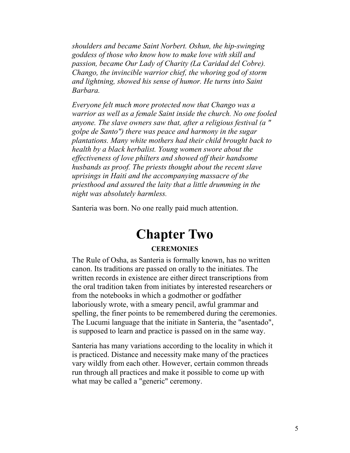*shoulders and became Saint Norbert. Oshun, the hip-swinging goddess of those who know how to make love with skill and passion, became Our Lady of Charity (La Caridad del Cobre). Chango, the invincible warrior chief, the whoring god of storm and lightning, showed his sense of humor. He turns into Saint Barbara.*

*Everyone felt much more protected now that Chango was a warrior as well as a female Saint inside the church. No one fooled anyone. The slave owners saw that, after a religious festival (a " golpe de Santo") there was peace and harmony in the sugar plantations. Many white mothers had their child brought back to health by a black herbalist. Young women swore about the effectiveness of love philters and showed off their handsome husbands as proof. The priests thought about the recent slave uprisings in Haiti and the accompanying massacre of the priesthood and assured the laity that a little drumming in the night was absolutely harmless.* 

Santeria was born. No one really paid much attention.

## **Chapter Two**

#### **CEREMONIES**

The Rule of Osha, as Santeria is formally known, has no written canon. Its traditions are passed on orally to the initiates. The written records in existence are either direct transcriptions from the oral tradition taken from initiates by interested researchers or from the notebooks in which a godmother or godfather laboriously wrote, with a smeary pencil, awful grammar and spelling, the finer points to be remembered during the ceremonies. The Lucumi language that the initiate in Santeria, the "asentado", is supposed to learn and practice is passed on in the same way.

Santeria has many variations according to the locality in which it is practiced. Distance and necessity make many of the practices vary wildly from each other. However, certain common threads run through all practices and make it possible to come up with what may be called a "generic" ceremony.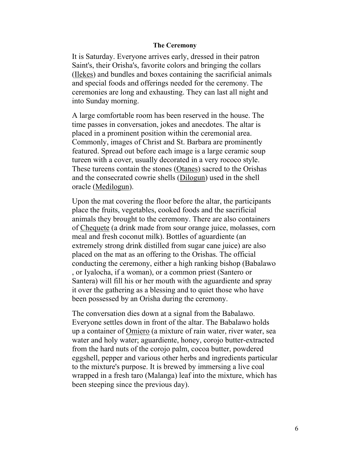#### **The Ceremony**

It is Saturday. Everyone arrives early, dressed in their patron Saint's, their Orisha's, favorite colors and bringing the collars (Ilekes) and bundles and boxes containing the sacrificial animals and special foods and offerings needed for the ceremony. The ceremonies are long and exhausting. They can last all night and into Sunday morning.

A large comfortable room has been reserved in the house. The time passes in conversation, jokes and anecdotes. The altar is placed in a prominent position within the ceremonial area. Commonly, images of Christ and St. Barbara are prominently featured. Spread out before each image is a large ceramic soup tureen with a cover, usually decorated in a very rococo style. These tureens contain the stones (Otanes) sacred to the Orishas and the consecrated cowrie shells (Dilogun) used in the shell oracle (Medilogun).

Upon the mat covering the floor before the altar, the participants place the fruits, vegetables, cooked foods and the sacrificial animals they brought to the ceremony. There are also containers of Chequete (a drink made from sour orange juice, molasses, corn meal and fresh coconut milk). Bottles of aguardiente (an extremely strong drink distilled from sugar cane juice) are also placed on the mat as an offering to the Orishas. The official conducting the ceremony, either a high ranking bishop (Babalawo , or Iyalocha, if a woman), or a common priest (Santero or Santera) will fill his or her mouth with the aguardiente and spray it over the gathering as a blessing and to quiet those who have been possessed by an Orisha during the ceremony.

The conversation dies down at a signal from the Babalawo. Everyone settles down in front of the altar. The Babalawo holds up a container of Omiero (a mixture of rain water, river water, sea water and holy water; aguardiente, honey, corojo butter-extracted from the hard nuts of the corojo palm, cocoa butter, powdered eggshell, pepper and various other herbs and ingredients particular to the mixture's purpose. It is brewed by immersing a live coal wrapped in a fresh taro (Malanga) leaf into the mixture, which has been steeping since the previous day).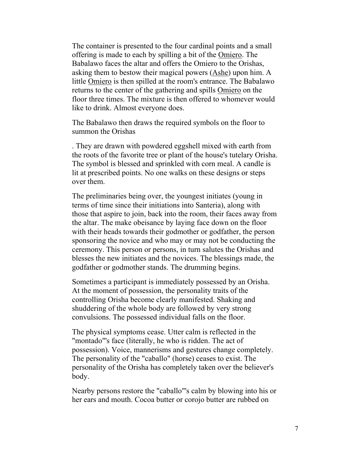The container is presented to the four cardinal points and a small offering is made to each by spilling a bit of the Omiero. The Babalawo faces the altar and offers the Omiero to the Orishas, asking them to bestow their magical powers (Ashe) upon him. A little Omiero is then spilled at the room's entrance. The Babalawo returns to the center of the gathering and spills Omiero on the floor three times. The mixture is then offered to whomever would like to drink. Almost everyone does.

The Babalawo then draws the required symbols on the floor to summon the Orishas

. They are drawn with powdered eggshell mixed with earth from the roots of the favorite tree or plant of the house's tutelary Orisha. The symbol is blessed and sprinkled with corn meal. A candle is lit at prescribed points. No one walks on these designs or steps over them.

The preliminaries being over, the youngest initiates (young in terms of time since their initiations into Santeria), along with those that aspire to join, back into the room, their faces away from the altar. The make obeisance by laying face down on the floor with their heads towards their godmother or godfather, the person sponsoring the novice and who may or may not be conducting the ceremony. This person or persons, in turn salutes the Orishas and blesses the new initiates and the novices. The blessings made, the godfather or godmother stands. The drumming begins.

Sometimes a participant is immediately possessed by an Orisha. At the moment of possession, the personality traits of the controlling Orisha become clearly manifested. Shaking and shuddering of the whole body are followed by very strong convulsions. The possessed individual falls on the floor.

The physical symptoms cease. Utter calm is reflected in the "montado"'s face (literally, he who is ridden. The act of possession). Voice, mannerisms and gestures change completely. The personality of the "caballo" (horse) ceases to exist. The personality of the Orisha has completely taken over the believer's body.

Nearby persons restore the "caballo"'s calm by blowing into his or her ears and mouth. Cocoa butter or corojo butter are rubbed on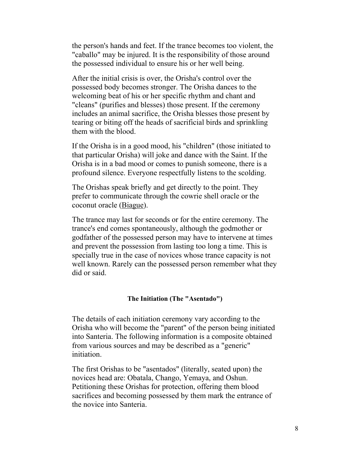the person's hands and feet. If the trance becomes too violent, the "caballo" may be injured. It is the responsibility of those around the possessed individual to ensure his or her well being.

After the initial crisis is over, the Orisha's control over the possessed body becomes stronger. The Orisha dances to the welcoming beat of his or her specific rhythm and chant and "cleans" (purifies and blesses) those present. If the ceremony includes an animal sacrifice, the Orisha blesses those present by tearing or biting off the heads of sacrificial birds and sprinkling them with the blood.

If the Orisha is in a good mood, his "children" (those initiated to that particular Orisha) will joke and dance with the Saint. If the Orisha is in a bad mood or comes to punish someone, there is a profound silence. Everyone respectfully listens to the scolding.

The Orishas speak briefly and get directly to the point. They prefer to communicate through the cowrie shell oracle or the coconut oracle (Biague).

The trance may last for seconds or for the entire ceremony. The trance's end comes spontaneously, although the godmother or godfather of the possessed person may have to intervene at times and prevent the possession from lasting too long a time. This is specially true in the case of novices whose trance capacity is not well known. Rarely can the possessed person remember what they did or said.

#### **The Initiation (The "Asentado")**

The details of each initiation ceremony vary according to the Orisha who will become the "parent" of the person being initiated into Santeria. The following information is a composite obtained from various sources and may be described as a "generic" initiation.

The first Orishas to be "asentados" (literally, seated upon) the novices head are: Obatala, Chango, Yemaya, and Oshun. Petitioning these Orishas for protection, offering them blood sacrifices and becoming possessed by them mark the entrance of the novice into Santeria.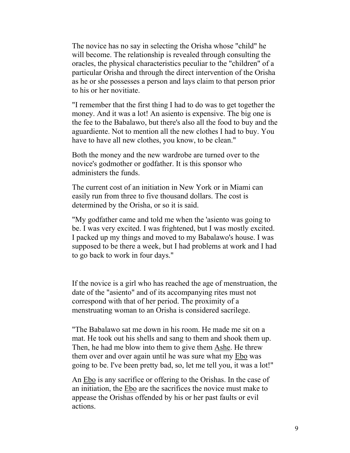The novice has no say in selecting the Orisha whose "child" he will become. The relationship is revealed through consulting the oracles, the physical characteristics peculiar to the "children" of a particular Orisha and through the direct intervention of the Orisha as he or she possesses a person and lays claim to that person prior to his or her novitiate.

"I remember that the first thing I had to do was to get together the money. And it was a lot! An asiento is expensive. The big one is the fee to the Babalawo, but there's also all the food to buy and the aguardiente. Not to mention all the new clothes I had to buy. You have to have all new clothes, you know, to be clean."

Both the money and the new wardrobe are turned over to the novice's godmother or godfather. It is this sponsor who administers the funds.

The current cost of an initiation in New York or in Miami can easily run from three to five thousand dollars. The cost is determined by the Orisha, or so it is said.

"My godfather came and told me when the 'asiento was going to be. I was very excited. I was frightened, but I was mostly excited. I packed up my things and moved to my Babalawo's house. I was supposed to be there a week, but I had problems at work and I had to go back to work in four days."

If the novice is a girl who has reached the age of menstruation, the date of the "asiento" and of its accompanying rites must not correspond with that of her period. The proximity of a menstruating woman to an Orisha is considered sacrilege.

"The Babalawo sat me down in his room. He made me sit on a mat. He took out his shells and sang to them and shook them up. Then, he had me blow into them to give them Ashe. He threw them over and over again until he was sure what my Ebo was going to be. I've been pretty bad, so, let me tell you, it was a lot!"

An Ebo is any sacrifice or offering to the Orishas. In the case of an initiation, the Ebo are the sacrifices the novice must make to appease the Orishas offended by his or her past faults or evil actions.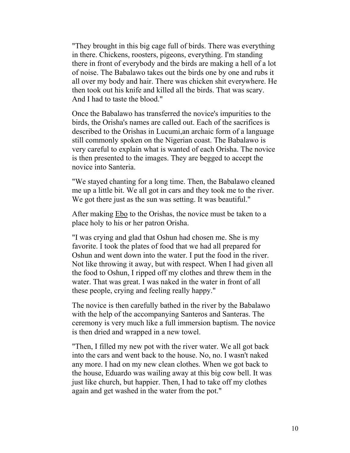"They brought in this big cage full of birds. There was everything in there. Chickens, roosters, pigeons, everything. I'm standing there in front of everybody and the birds are making a hell of a lot of noise. The Babalawo takes out the birds one by one and rubs it all over my body and hair. There was chicken shit everywhere. He then took out his knife and killed all the birds. That was scary. And I had to taste the blood."

Once the Babalawo has transferred the novice's impurities to the birds, the Orisha's names are called out. Each of the sacrifices is described to the Orishas in Lucumi,an archaic form of a language still commonly spoken on the Nigerian coast. The Babalawo is very careful to explain what is wanted of each Orisha. The novice is then presented to the images. They are begged to accept the novice into Santeria.

"We stayed chanting for a long time. Then, the Babalawo cleaned me up a little bit. We all got in cars and they took me to the river. We got there just as the sun was setting. It was beautiful."

After making Ebo to the Orishas, the novice must be taken to a place holy to his or her patron Orisha.

"I was crying and glad that Oshun had chosen me. She is my favorite. I took the plates of food that we had all prepared for Oshun and went down into the water. I put the food in the river. Not like throwing it away, but with respect. When I had given all the food to Oshun, I ripped off my clothes and threw them in the water. That was great. I was naked in the water in front of all these people, crying and feeling really happy."

The novice is then carefully bathed in the river by the Babalawo with the help of the accompanying Santeros and Santeras. The ceremony is very much like a full immersion baptism. The novice is then dried and wrapped in a new towel.

"Then, I filled my new pot with the river water. We all got back into the cars and went back to the house. No, no. I wasn't naked any more. I had on my new clean clothes. When we got back to the house, Eduardo was wailing away at this big cow bell. It was just like church, but happier. Then, I had to take off my clothes again and get washed in the water from the pot."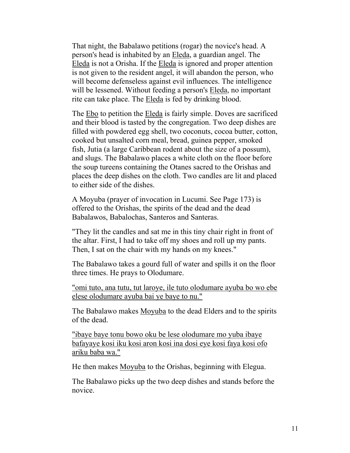That night, the Babalawo petitions (rogar) the novice's head. A person's head is inhabited by an Eleda, a guardian angel. The Eleda is not a Orisha. If the Eleda is ignored and proper attention is not given to the resident angel, it will abandon the person, who will become defenseless against evil influences. The intelligence will be lessened. Without feeding a person's Eleda, no important rite can take place. The Eleda is fed by drinking blood.

The Ebo to petition the Eleda is fairly simple. Doves are sacrificed and their blood is tasted by the congregation. Two deep dishes are filled with powdered egg shell, two coconuts, cocoa butter, cotton, cooked but unsalted corn meal, bread, guinea pepper, smoked fish, Jutia (a large Caribbean rodent about the size of a possum), and slugs. The Babalawo places a white cloth on the floor before the soup tureens containing the Otanes sacred to the Orishas and places the deep dishes on the cloth. Two candles are lit and placed to either side of the dishes.

A Moyuba (prayer of invocation in Lucumi. See Page 173) is offered to the Orishas, the spirits of the dead and the dead Babalawos, Babalochas, Santeros and Santeras.

"They lit the candles and sat me in this tiny chair right in front of the altar. First, I had to take off my shoes and roll up my pants. Then, I sat on the chair with my hands on my knees."

The Babalawo takes a gourd full of water and spills it on the floor three times. He prays to Olodumare.

"omi tuto, ana tutu, tut laroye, ile tuto olodumare ayuba bo wo ebe elese olodumare ayuba bai ye baye to nu."

The Babalawo makes Moyuba to the dead Elders and to the spirits of the dead.

"ibaye baye tonu bowo oku be lese olodumare mo yuba ibaye bafayaye kosi iku kosi aron kosi ina dosi eye kosi faya kosi ofo ariku baba wa."

He then makes Moyuba to the Orishas, beginning with Elegua.

The Babalawo picks up the two deep dishes and stands before the novice.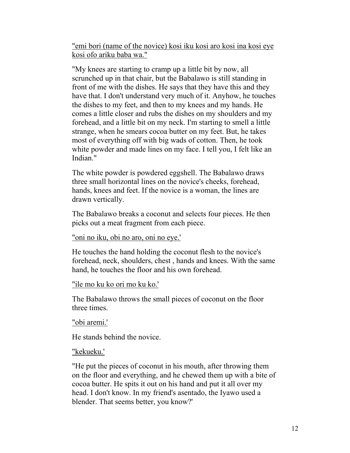"emi bori (name of the novice) kosi iku kosi aro kosi ina kosi eye kosi ofo ariku baba wa."

"My knees are starting to cramp up a little bit by now, all scrunched up in that chair, but the Babalawo is still standing in front of me with the dishes. He says that they have this and they have that. I don't understand very much of it. Anyhow, he touches the dishes to my feet, and then to my knees and my hands. He comes a little closer and rubs the dishes on my shoulders and my forehead, and a little bit on my neck. I'm starting to smell a little strange, when he smears cocoa butter on my feet. But, he takes most of everything off with big wads of cotton. Then, he took white powder and made lines on my face. I tell you, I felt like an Indian."

The white powder is powdered eggshell. The Babalawo draws three small horizontal lines on the novice's cheeks, forehead, hands, knees and feet. If the novice is a woman, the lines are drawn vertically.

The Babalawo breaks a coconut and selects four pieces. He then picks out a meat fragment from each piece.

"oni no iku, obi no aro, oni no eye.'

He touches the hand holding the coconut flesh to the novice's forehead, neck, shoulders, chest , hands and knees. With the same hand, he touches the floor and his own forehead.

"ile mo ku ko ori mo ku ko.'

The Babalawo throws the small pieces of coconut on the floor three times.

"obi aremi.'

He stands behind the novice.

"kekueku.'

"He put the pieces of coconut in his mouth, after throwing them on the floor and everything, and he chewed them up with a bite of cocoa butter. He spits it out on his hand and put it all over my head. I don't know. In my friend's asentado, the Iyawo used a blender. That seems better, you know?'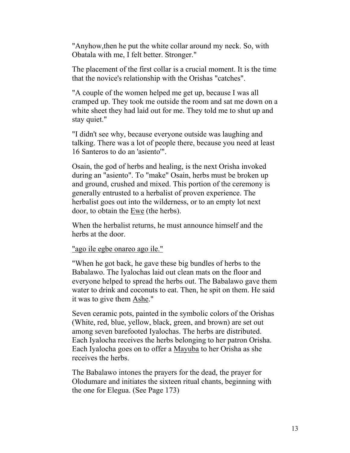"Anyhow,then he put the white collar around my neck. So, with Obatala with me, I felt better. Stronger."

The placement of the first collar is a crucial moment. It is the time that the novice's relationship with the Orishas "catches".

"A couple of the women helped me get up, because I was all cramped up. They took me outside the room and sat me down on a white sheet they had laid out for me. They told me to shut up and stay quiet."

"I didn't see why, because everyone outside was laughing and talking. There was a lot of people there, because you need at least 16 Santeros to do an 'asiento'".

Osain, the god of herbs and healing, is the next Orisha invoked during an "asiento". To "make" Osain, herbs must be broken up and ground, crushed and mixed. This portion of the ceremony is generally entrusted to a herbalist of proven experience. The herbalist goes out into the wilderness, or to an empty lot next door, to obtain the Ewe (the herbs).

When the herbalist returns, he must announce himself and the herbs at the door.

"ago ile egbe onareo ago ile."

"When he got back, he gave these big bundles of herbs to the Babalawo. The Iyalochas laid out clean mats on the floor and everyone helped to spread the herbs out. The Babalawo gave them water to drink and coconuts to eat. Then, he spit on them. He said it was to give them Ashe."

Seven ceramic pots, painted in the symbolic colors of the Orishas (White, red, blue, yellow, black, green, and brown) are set out among seven barefooted Iyalochas. The herbs are distributed. Each Iyalocha receives the herbs belonging to her patron Orisha. Each Iyalocha goes on to offer a Mayuba to her Orisha as she receives the herbs.

The Babalawo intones the prayers for the dead, the prayer for Olodumare and initiates the sixteen ritual chants, beginning with the one for Elegua. (See Page 173)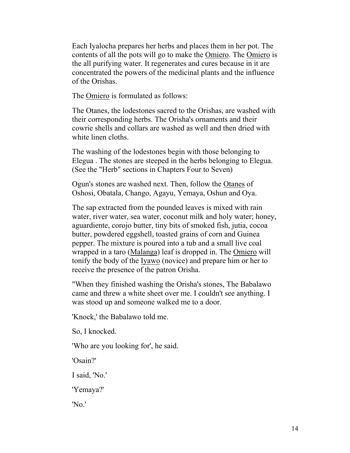Each Iyalocha prepares her herbs and places them in her pot. The contents of all the pots will go to make the Omiero. The Omiero is the all purifying water. It regenerates and cures because in it are concentrated the powers of the medicinal plants and the influence of the Orishas.

The Omiero is formulated as follows:

The Otanes, the lodestones sacred to the Orishas, are washed with their corresponding herbs. The Orisha's ornaments and their cowrie shells and collars are washed as well and then dried with white linen cloths.

The washing of the lodestones begin with those belonging to Elegua . The stones are steeped in the herbs belonging to Elegua. (See the "Herb" sections in Chapters Four to Seven)

Ogun's stones are washed next. Then, follow the Otanes of Oshosi, Obatala, Chango, Agayu, Yemaya, Oshun and Oya.

The sap extracted from the pounded leaves is mixed with rain water, river water, sea water, coconut milk and holy water; honey, aguardiente, corojo butter, tiny bits of smoked fish, jutia, cocoa butter, powdered eggshell, toasted grains of corn and Guinea pepper. The mixture is poured into a tub and a small live coal wrapped in a taro (Malanga) leaf is dropped in. The Omiero will tonify the body of the Iyawo (novice) and prepare him or her to receive the presence of the patron Orisha.

"When they finished washing the Orisha's stones, The Babalawo came and threw a white sheet over me. I couldn't see anything. I was stood up and someone walked me to a door.

'Knock,' the Babalawo told me.

So, I knocked.

'Who are you looking for', he said.

'Osain?'

I said, 'No.'

'Yemaya?'

'No.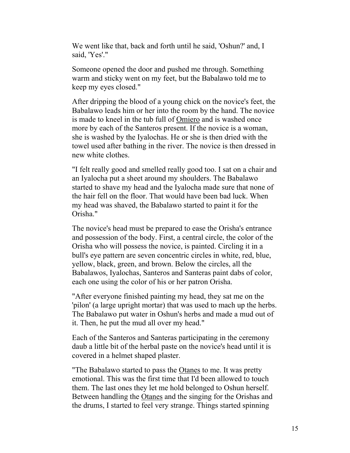We went like that, back and forth until he said, 'Oshun?' and, I said, 'Yes'."

Someone opened the door and pushed me through. Something warm and sticky went on my feet, but the Babalawo told me to keep my eyes closed."

After dripping the blood of a young chick on the novice's feet, the Babalawo leads him or her into the room by the hand. The novice is made to kneel in the tub full of Omiero and is washed once more by each of the Santeros present. If the novice is a woman, she is washed by the Iyalochas. He or she is then dried with the towel used after bathing in the river. The novice is then dressed in new white clothes.

"I felt really good and smelled really good too. I sat on a chair and an Iyalocha put a sheet around my shoulders. The Babalawo started to shave my head and the Iyalocha made sure that none of the hair fell on the floor. That would have been bad luck. When my head was shaved, the Babalawo started to paint it for the Orisha."

The novice's head must be prepared to ease the Orisha's entrance and possession of the body. First, a central circle, the color of the Orisha who will possess the novice, is painted. Circling it in a bull's eye pattern are seven concentric circles in white, red, blue, yellow, black, green, and brown. Below the circles, all the Babalawos, Iyalochas, Santeros and Santeras paint dabs of color, each one using the color of his or her patron Orisha.

"After everyone finished painting my head, they sat me on the 'pilon' (a large upright mortar) that was used to mach up the herbs. The Babalawo put water in Oshun's herbs and made a mud out of it. Then, he put the mud all over my head."

Each of the Santeros and Santeras participating in the ceremony daub a little bit of the herbal paste on the novice's head until it is covered in a helmet shaped plaster.

"The Babalawo started to pass the Otanes to me. It was pretty emotional. This was the first time that I'd been allowed to touch them. The last ones they let me hold belonged to Oshun herself. Between handling the Otanes and the singing for the Orishas and the drums, I started to feel very strange. Things started spinning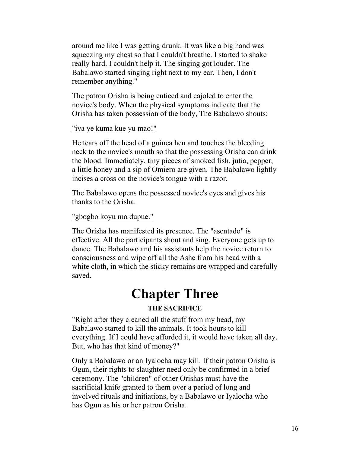around me like I was getting drunk. It was like a big hand was squeezing my chest so that I couldn't breathe. I started to shake really hard. I couldn't help it. The singing got louder. The Babalawo started singing right next to my ear. Then, I don't remember anything."

The patron Orisha is being enticed and cajoled to enter the novice's body. When the physical symptoms indicate that the Orisha has taken possession of the body, The Babalawo shouts:

### "iya ye kuma kue yu mao!"

He tears off the head of a guinea hen and touches the bleeding neck to the novice's mouth so that the possessing Orisha can drink the blood. Immediately, tiny pieces of smoked fish, jutia, pepper, a little honey and a sip of Omiero are given. The Babalawo lightly incises a cross on the novice's tongue with a razor.

The Babalawo opens the possessed novice's eyes and gives his thanks to the Orisha.

### "gbogbo koyu mo dupue."

The Orisha has manifested its presence. The "asentado" is effective. All the participants shout and sing. Everyone gets up to dance. The Babalawo and his assistants help the novice return to consciousness and wipe off all the Ashe from his head with a white cloth, in which the sticky remains are wrapped and carefully saved.

## **Chapter Three**

### **THE SACRIFICE**

"Right after they cleaned all the stuff from my head, my Babalawo started to kill the animals. It took hours to kill everything. If I could have afforded it, it would have taken all day. But, who has that kind of money?"

Only a Babalawo or an Iyalocha may kill. If their patron Orisha is Ogun, their rights to slaughter need only be confirmed in a brief ceremony. The "children" of other Orishas must have the sacrificial knife granted to them over a period of long and involved rituals and initiations, by a Babalawo or Iyalocha who has Ogun as his or her patron Orisha.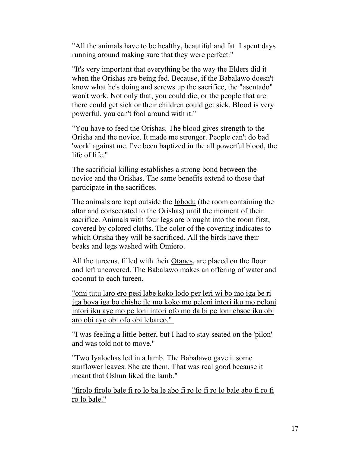"All the animals have to be healthy, beautiful and fat. I spent days running around making sure that they were perfect."

"It's very important that everything be the way the Elders did it when the Orishas are being fed. Because, if the Babalawo doesn't know what he's doing and screws up the sacrifice, the "asentado" won't work. Not only that, you could die, or the people that are there could get sick or their children could get sick. Blood is very powerful, you can't fool around with it."

"You have to feed the Orishas. The blood gives strength to the Orisha and the novice. It made me stronger. People can't do bad 'work' against me. I've been baptized in the all powerful blood, the life of life."

The sacrificial killing establishes a strong bond between the novice and the Orishas. The same benefits extend to those that participate in the sacrifices.

The animals are kept outside the Igbodu (the room containing the altar and consecrated to the Orishas) until the moment of their sacrifice. Animals with four legs are brought into the room first, covered by colored cloths. The color of the covering indicates to which Orisha they will be sacrificed. All the birds have their beaks and legs washed with Omiero.

All the tureens, filled with their Otanes, are placed on the floor and left uncovered. The Babalawo makes an offering of water and coconut to each tureen.

"omi tutu laro ero pesi labe koko lodo per leri wi bo mo iga be ri iga boya iga bo chishe ile mo koko mo peloni intori iku mo peloni intori iku aye mo pe loni intori ofo mo da bi pe loni ebsoe iku obi aro obi aye obi ofo obi lebareo."

"I was feeling a little better, but I had to stay seated on the 'pilon' and was told not to move."

"Two Iyalochas led in a lamb. The Babalawo gave it some sunflower leaves. She ate them. That was real good because it meant that Oshun liked the lamb."

"firolo firolo bale fi ro lo ba le abo fi ro lo fi ro lo bale abo fi ro fi ro lo bale."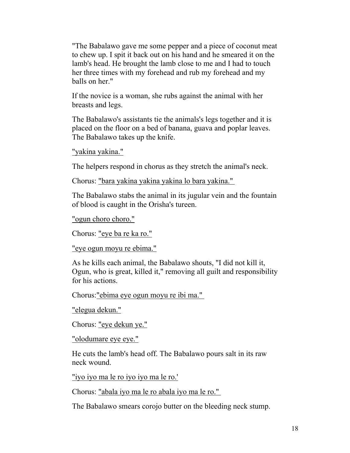"The Babalawo gave me some pepper and a piece of coconut meat to chew up. I spit it back out on his hand and he smeared it on the lamb's head. He brought the lamb close to me and I had to touch her three times with my forehead and rub my forehead and my balls on her."

If the novice is a woman, she rubs against the animal with her breasts and legs.

The Babalawo's assistants tie the animals's legs together and it is placed on the floor on a bed of banana, guava and poplar leaves. The Babalawo takes up the knife.

"yakina yakina."

The helpers respond in chorus as they stretch the animal's neck.

Chorus: "bara yakina yakina yakina lo bara yakina."

The Babalawo stabs the animal in its jugular vein and the fountain of blood is caught in the Orisha's tureen.

"ogun choro choro."

Chorus: "eye ba re ka ro."

"eye ogun moyu re ebima."

As he kills each animal, the Babalawo shouts, "I did not kill it, Ogun, who is great, killed it," removing all guilt and responsibility for his actions.

Chorus:"ebima eye ogun moyu re ibi ma."

"elegua dekun."

Chorus: "eye dekun ye."

"olodumare eye eye."

He cuts the lamb's head off. The Babalawo pours salt in its raw neck wound.

"iyo iyo ma le ro iyo iyo ma le ro.'

Chorus: "abala iyo ma le ro abala iyo ma le ro."

The Babalawo smears corojo butter on the bleeding neck stump.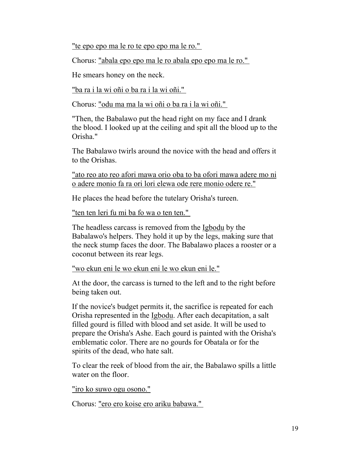"te epo epo ma le ro te epo epo ma le ro."

Chorus: "abala epo epo ma le ro abala epo epo ma le ro."

He smears honey on the neck.

"ba ra i la wi oñi o ba ra i la wi oñi."

Chorus: "odu ma ma la wi oñi o ba ra i la wi oñi."

"Then, the Babalawo put the head right on my face and I drank the blood. I looked up at the ceiling and spit all the blood up to the Orisha."

The Babalawo twirls around the novice with the head and offers it to the Orishas.

"ato reo ato reo afori mawa orio oba to ba ofori mawa adere mo ni o adere monio fa ra ori lori elewa ode rere monio odere re."

He places the head before the tutelary Orisha's tureen.

"ten ten leri fu mi ba fo wa o ten ten."

The headless carcass is removed from the Igbodu by the Babalawo's helpers. They hold it up by the legs, making sure that the neck stump faces the door. The Babalawo places a rooster or a coconut between its rear legs.

"wo ekun eni le wo ekun eni le wo ekun eni le."

At the door, the carcass is turned to the left and to the right before being taken out.

If the novice's budget permits it, the sacrifice is repeated for each Orisha represented in the Igbodu. After each decapitation, a salt filled gourd is filled with blood and set aside. It will be used to prepare the Orisha's Ashe. Each gourd is painted with the Orisha's emblematic color. There are no gourds for Obatala or for the spirits of the dead, who hate salt.

To clear the reek of blood from the air, the Babalawo spills a little water on the floor.

"iro ko suwo ogu osono."

Chorus: "ero ero koise ero ariku babawa."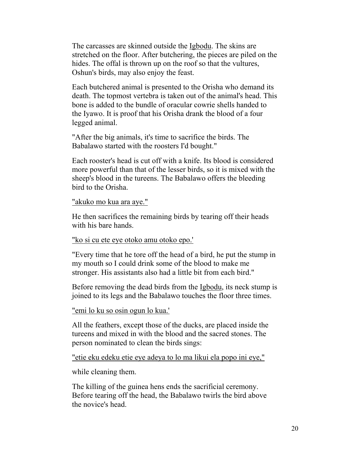The carcasses are skinned outside the Igbodu. The skins are stretched on the floor. After butchering, the pieces are piled on the hides. The offal is thrown up on the roof so that the vultures, Oshun's birds, may also enjoy the feast.

Each butchered animal is presented to the Orisha who demand its death. The topmost vertebra is taken out of the animal's head. This bone is added to the bundle of oracular cowrie shells handed to the Iyawo. It is proof that his Orisha drank the blood of a four legged animal.

"After the big animals, it's time to sacrifice the birds. The Babalawo started with the roosters I'd bought."

Each rooster's head is cut off with a knife. Its blood is considered more powerful than that of the lesser birds, so it is mixed with the sheep's blood in the tureens. The Babalawo offers the bleeding bird to the Orisha.

#### "akuko mo kua ara aye."

He then sacrifices the remaining birds by tearing off their heads with his bare hands.

#### "ko si cu ete eye otoko amu otoko epo.'

"Every time that he tore off the head of a bird, he put the stump in my mouth so I could drink some of the blood to make me stronger. His assistants also had a little bit from each bird."

Before removing the dead birds from the Igbodu, its neck stump is joined to its legs and the Babalawo touches the floor three times.

### "emi lo ku so osin ogun lo kua.'

All the feathers, except those of the ducks, are placed inside the tureens and mixed in with the blood and the sacred stones. The person nominated to clean the birds sings:

"etie eku edeku etie eye adeya to lo ma likui ela popo ini eye,"

while cleaning them.

The killing of the guinea hens ends the sacrificial ceremony. Before tearing off the head, the Babalawo twirls the bird above the novice's head.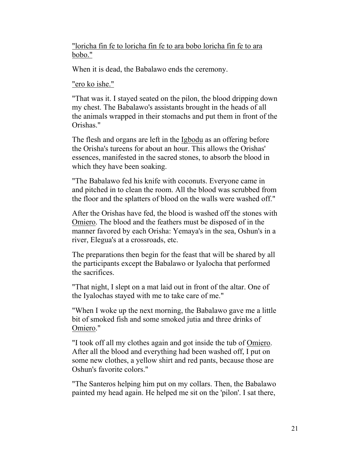"loricha fin fe to loricha fin fe to ara bobo loricha fin fe to ara bobo."

When it is dead, the Babalawo ends the ceremony.

"ero ko ishe."

"That was it. I stayed seated on the pilon, the blood dripping down my chest. The Babalawo's assistants brought in the heads of all the animals wrapped in their stomachs and put them in front of the Orishas."

The flesh and organs are left in the Igbodu as an offering before the Orisha's tureens for about an hour. This allows the Orishas' essences, manifested in the sacred stones, to absorb the blood in which they have been soaking.

"The Babalawo fed his knife with coconuts. Everyone came in and pitched in to clean the room. All the blood was scrubbed from the floor and the splatters of blood on the walls were washed off."

After the Orishas have fed, the blood is washed off the stones with Omiero. The blood and the feathers must be disposed of in the manner favored by each Orisha: Yemaya's in the sea, Oshun's in a river, Elegua's at a crossroads, etc.

The preparations then begin for the feast that will be shared by all the participants except the Babalawo or Iyalocha that performed the sacrifices.

"That night, I slept on a mat laid out in front of the altar. One of the Iyalochas stayed with me to take care of me."

"When I woke up the next morning, the Babalawo gave me a little bit of smoked fish and some smoked jutia and three drinks of Omiero."

"I took off all my clothes again and got inside the tub of Omiero. After all the blood and everything had been washed off, I put on some new clothes, a yellow shirt and red pants, because those are Oshun's favorite colors."

"The Santeros helping him put on my collars. Then, the Babalawo painted my head again. He helped me sit on the 'pilon'. I sat there,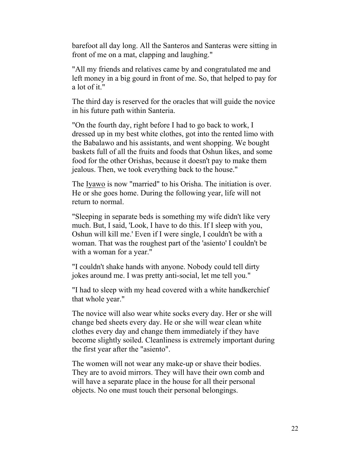barefoot all day long. All the Santeros and Santeras were sitting in front of me on a mat, clapping and laughing."

"All my friends and relatives came by and congratulated me and left money in a big gourd in front of me. So, that helped to pay for a lot of it."

The third day is reserved for the oracles that will guide the novice in his future path within Santeria.

"On the fourth day, right before I had to go back to work, I dressed up in my best white clothes, got into the rented limo with the Babalawo and his assistants, and went shopping. We bought baskets full of all the fruits and foods that Oshun likes, and some food for the other Orishas, because it doesn't pay to make them jealous. Then, we took everything back to the house."

The Iyawo is now "married" to his Orisha. The initiation is over. He or she goes home. During the following year, life will not return to normal.

"Sleeping in separate beds is something my wife didn't like very much. But, I said, 'Look, I have to do this. If I sleep with you, Oshun will kill me.' Even if I were single, I couldn't be with a woman. That was the roughest part of the 'asiento' I couldn't be with a woman for a year."

"I couldn't shake hands with anyone. Nobody could tell dirty jokes around me. I was pretty anti-social, let me tell you."

"I had to sleep with my head covered with a white handkerchief that whole year."

The novice will also wear white socks every day. Her or she will change bed sheets every day. He or she will wear clean white clothes every day and change them immediately if they have become slightly soiled. Cleanliness is extremely important during the first year after the "asiento".

The women will not wear any make-up or shave their bodies. They are to avoid mirrors. They will have their own comb and will have a separate place in the house for all their personal objects. No one must touch their personal belongings.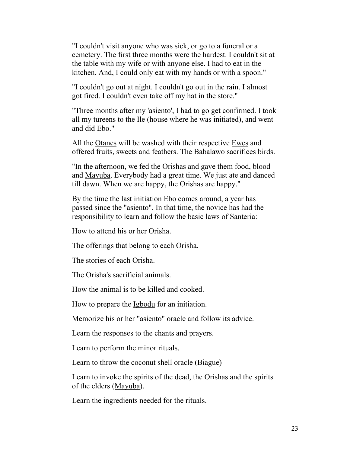"I couldn't visit anyone who was sick, or go to a funeral or a cemetery. The first three months were the hardest. I couldn't sit at the table with my wife or with anyone else. I had to eat in the kitchen. And, I could only eat with my hands or with a spoon."

"I couldn't go out at night. I couldn't go out in the rain. I almost got fired. I couldn't even take off my hat in the store."

"Three months after my 'asiento', I had to go get confirmed. I took all my tureens to the Ile (house where he was initiated), and went and did Ebo."

All the Otanes will be washed with their respective Ewes and offered fruits, sweets and feathers. The Babalawo sacrifices birds.

"In the afternoon, we fed the Orishas and gave them food, blood and Mayuba. Everybody had a great time. We just ate and danced till dawn. When we are happy, the Orishas are happy."

By the time the last initiation Ebo comes around, a year has passed since the "asiento". In that time, the novice has had the responsibility to learn and follow the basic laws of Santeria:

How to attend his or her Orisha.

The offerings that belong to each Orisha.

The stories of each Orisha.

The Orisha's sacrificial animals.

How the animal is to be killed and cooked.

How to prepare the Igbodu for an initiation.

Memorize his or her "asiento" oracle and follow its advice.

Learn the responses to the chants and prayers.

Learn to perform the minor rituals.

Learn to throw the coconut shell oracle (Biague)

Learn to invoke the spirits of the dead, the Orishas and the spirits of the elders (Mayuba).

Learn the ingredients needed for the rituals.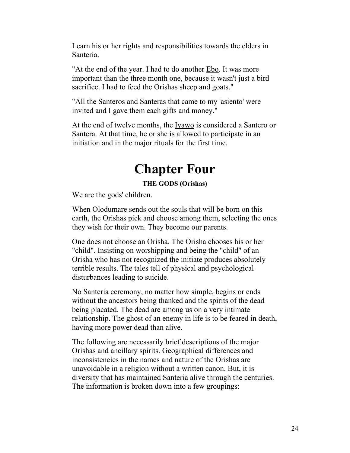Learn his or her rights and responsibilities towards the elders in Santeria.

"At the end of the year. I had to do another Ebo. It was more important than the three month one, because it wasn't just a bird sacrifice. I had to feed the Orishas sheep and goats."

"All the Santeros and Santeras that came to my 'asiento' were invited and I gave them each gifts and money."

At the end of twelve months, the <u>Iyawo</u> is considered a Santero or Santera. At that time, he or she is allowed to participate in an initiation and in the major rituals for the first time.

## **Chapter Four**

### **THE GODS (Orishas)**

We are the gods' children.

When Olodumare sends out the souls that will be born on this earth, the Orishas pick and choose among them, selecting the ones they wish for their own. They become our parents.

One does not choose an Orisha. The Orisha chooses his or her "child". Insisting on worshipping and being the "child" of an Orisha who has not recognized the initiate produces absolutely terrible results. The tales tell of physical and psychological disturbances leading to suicide.

No Santeria ceremony, no matter how simple, begins or ends without the ancestors being thanked and the spirits of the dead being placated. The dead are among us on a very intimate relationship. The ghost of an enemy in life is to be feared in death, having more power dead than alive.

The following are necessarily brief descriptions of the major Orishas and ancillary spirits. Geographical differences and inconsistencies in the names and nature of the Orishas are unavoidable in a religion without a written canon. But, it is diversity that has maintained Santeria alive through the centuries. The information is broken down into a few groupings: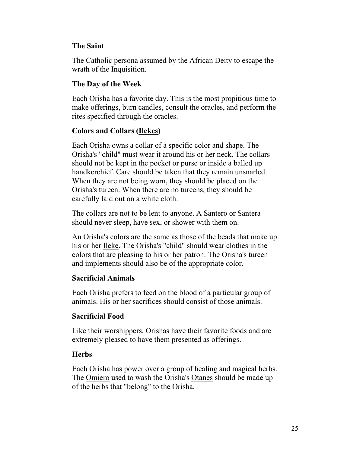## **The Saint**

The Catholic persona assumed by the African Deity to escape the wrath of the Inquisition.

## **The Day of the Week**

Each Orisha has a favorite day. This is the most propitious time to make offerings, burn candles, consult the oracles, and perform the rites specified through the oracles.

## **Colors and Collars (Ilekes)**

Each Orisha owns a collar of a specific color and shape. The Orisha's "child" must wear it around his or her neck. The collars should not be kept in the pocket or purse or inside a balled up handkerchief. Care should be taken that they remain unsnarled. When they are not being worn, they should be placed on the Orisha's tureen. When there are no tureens, they should be carefully laid out on a white cloth.

The collars are not to be lent to anyone. A Santero or Santera should never sleep, have sex, or shower with them on.

An Orisha's colors are the same as those of the beads that make up his or her Ileke. The Orisha's "child" should wear clothes in the colors that are pleasing to his or her patron. The Orisha's tureen and implements should also be of the appropriate color.

## **Sacrificial Animals**

Each Orisha prefers to feed on the blood of a particular group of animals. His or her sacrifices should consist of those animals.

## **Sacrificial Food**

Like their worshippers, Orishas have their favorite foods and are extremely pleased to have them presented as offerings.

## **Herbs**

Each Orisha has power over a group of healing and magical herbs. The Omiero used to wash the Orisha's Otanes should be made up of the herbs that "belong" to the Orisha.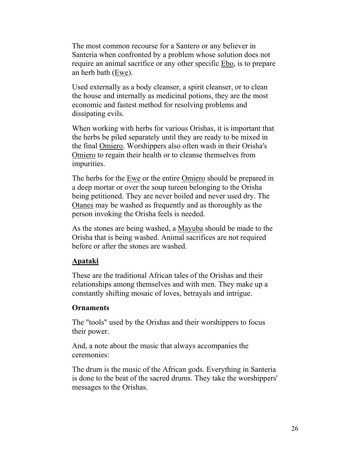The most common recourse for a Santero or any believer in Santeria when confronted by a problem whose solution does not require an animal sacrifice or any other specific Ebo, is to prepare an herb bath (Ewe).

Used externally as a body cleanser, a spirit cleanser, or to clean the house and internally as medicinal potions, they are the most economic and fastest method for resolving problems and dissipating evils.

When working with herbs for various Orishas, it is important that the herbs be piled separately until they are ready to be mixed in the final Omiero. Worshippers also often wash in their Orisha's Omiero to regain their health or to cleanse themselves from impurities.

The herbs for the Ewe or the entire Omiero should be prepared in a deep mortar or over the soup tureen belonging to the Orisha being petitioned. They are never boiled and never used dry. The Otanes may be washed as frequently and as thoroughly as the person invoking the Orisha feels is needed.

As the stones are being washed, a Mayuba should be made to the Orisha that is being washed. Animal sacrifices are not required before or after the stones are washed.

#### **Apataki**

These are the traditional African tales of the Orishas and their relationships among themselves and with men. They make up a constantly shifting mosaic of loves, betrayals and intrigue.

### **Ornaments**

The "tools" used by the Orishas and their worshippers to focus their power.

And, a note about the music that always accompanies the ceremonies:

The drum is the music of the African gods. Everything in Santeria is done to the beat of the sacred drums. They take the worshippers' messages to the Orishas.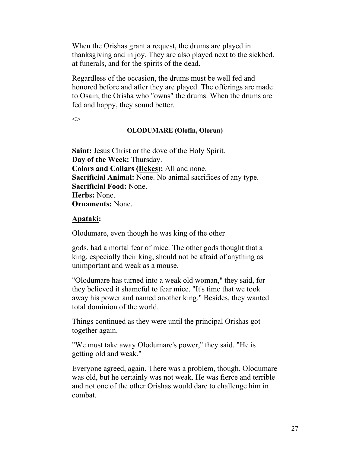When the Orishas grant a request, the drums are played in thanksgiving and in joy. They are also played next to the sickbed, at funerals, and for the spirits of the dead.

Regardless of the occasion, the drums must be well fed and honored before and after they are played. The offerings are made to Osain, the Orisha who "owns" the drums. When the drums are fed and happy, they sound better.

 $\Leftrightarrow$ 

#### **OLODUMARE (Olofin, Olorun)**

**Saint:** Jesus Christ or the dove of the Holy Spirit. **Day of the Week:** Thursday. **Colors and Collars (Ilekes):** All and none. **Sacrificial Animal:** None. No animal sacrifices of any type. **Sacrificial Food:** None. **Herbs:** None. **Ornaments:** None.

#### **Apataki:**

Olodumare, even though he was king of the other

gods, had a mortal fear of mice. The other gods thought that a king, especially their king, should not be afraid of anything as unimportant and weak as a mouse.

"Olodumare has turned into a weak old woman," they said, for they believed it shameful to fear mice. "It's time that we took away his power and named another king." Besides, they wanted total dominion of the world.

Things continued as they were until the principal Orishas got together again.

"We must take away Olodumare's power," they said. "He is getting old and weak."

Everyone agreed, again. There was a problem, though. Olodumare was old, but he certainly was not weak. He was fierce and terrible and not one of the other Orishas would dare to challenge him in combat.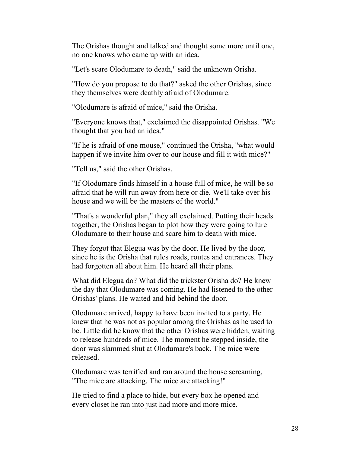The Orishas thought and talked and thought some more until one, no one knows who came up with an idea.

"Let's scare Olodumare to death," said the unknown Orisha.

"How do you propose to do that?" asked the other Orishas, since they themselves were deathly afraid of Olodumare.

"Olodumare is afraid of mice," said the Orisha.

"Everyone knows that," exclaimed the disappointed Orishas. "We thought that you had an idea."

"If he is afraid of one mouse," continued the Orisha, "what would happen if we invite him over to our house and fill it with mice?"

"Tell us," said the other Orishas.

"If Olodumare finds himself in a house full of mice, he will be so afraid that he will run away from here or die. We'll take over his house and we will be the masters of the world."

"That's a wonderful plan," they all exclaimed. Putting their heads together, the Orishas began to plot how they were going to lure Olodumare to their house and scare him to death with mice.

They forgot that Elegua was by the door. He lived by the door, since he is the Orisha that rules roads, routes and entrances. They had forgotten all about him. He heard all their plans.

What did Elegua do? What did the trickster Orisha do? He knew the day that Olodumare was coming. He had listened to the other Orishas' plans. He waited and hid behind the door.

Olodumare arrived, happy to have been invited to a party. He knew that he was not as popular among the Orishas as he used to be. Little did he know that the other Orishas were hidden, waiting to release hundreds of mice. The moment he stepped inside, the door was slammed shut at Olodumare's back. The mice were released.

Olodumare was terrified and ran around the house screaming, "The mice are attacking. The mice are attacking!"

He tried to find a place to hide, but every box he opened and every closet he ran into just had more and more mice.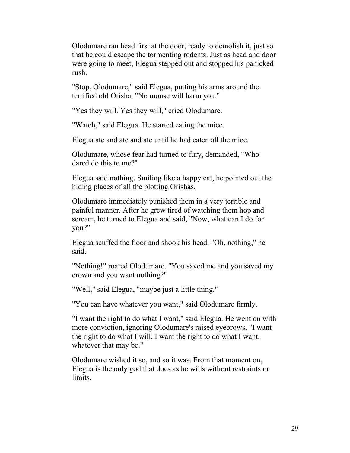Olodumare ran head first at the door, ready to demolish it, just so that he could escape the tormenting rodents. Just as head and door were going to meet, Elegua stepped out and stopped his panicked rush.

"Stop, Olodumare," said Elegua, putting his arms around the terrified old Orisha. "No mouse will harm you."

"Yes they will. Yes they will," cried Olodumare.

"Watch," said Elegua. He started eating the mice.

Elegua ate and ate and ate until he had eaten all the mice.

Olodumare, whose fear had turned to fury, demanded, "Who dared do this to me?"

Elegua said nothing. Smiling like a happy cat, he pointed out the hiding places of all the plotting Orishas.

Olodumare immediately punished them in a very terrible and painful manner. After he grew tired of watching them hop and scream, he turned to Elegua and said, "Now, what can I do for you?"

Elegua scuffed the floor and shook his head. "Oh, nothing," he said.

"Nothing!" roared Olodumare. "You saved me and you saved my crown and you want nothing?"

"Well," said Elegua, "maybe just a little thing."

"You can have whatever you want," said Olodumare firmly.

"I want the right to do what I want," said Elegua. He went on with more conviction, ignoring Olodumare's raised eyebrows. "I want the right to do what I will. I want the right to do what I want, whatever that may be."

Olodumare wished it so, and so it was. From that moment on, Elegua is the only god that does as he wills without restraints or limits.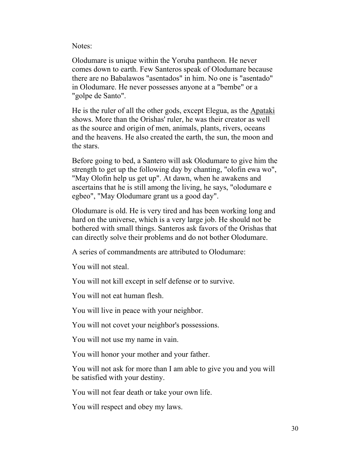Notes:

Olodumare is unique within the Yoruba pantheon. He never comes down to earth. Few Santeros speak of Olodumare because there are no Babalawos "asentados" in him. No one is "asentado" in Olodumare. He never possesses anyone at a "bembe" or a "golpe de Santo".

He is the ruler of all the other gods, except Elegua, as the Apataki shows. More than the Orishas' ruler, he was their creator as well as the source and origin of men, animals, plants, rivers, oceans and the heavens. He also created the earth, the sun, the moon and the stars.

Before going to bed, a Santero will ask Olodumare to give him the strength to get up the following day by chanting, "olofin ewa wo", "May Olofin help us get up". At dawn, when he awakens and ascertains that he is still among the living, he says, "olodumare e egbeo", "May Olodumare grant us a good day".

Olodumare is old. He is very tired and has been working long and hard on the universe, which is a very large job. He should not be bothered with small things. Santeros ask favors of the Orishas that can directly solve their problems and do not bother Olodumare.

A series of commandments are attributed to Olodumare:

You will not steal.

You will not kill except in self defense or to survive.

You will not eat human flesh.

You will live in peace with your neighbor.

You will not covet your neighbor's possessions.

You will not use my name in vain.

You will honor your mother and your father.

You will not ask for more than I am able to give you and you will be satisfied with your destiny.

You will not fear death or take your own life.

You will respect and obey my laws.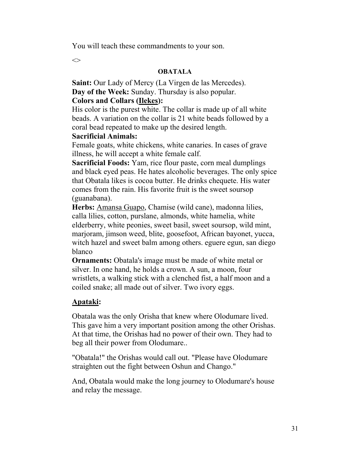You will teach these commandments to your son.

 $\Longleftrightarrow$ 

#### **OBATALA**

**Saint:** Our Lady of Mercy (La Virgen de las Mercedes). **Day of the Week:** Sunday. Thursday is also popular.

### **Colors and Collars (Ilekes):**

His color is the purest white. The collar is made up of all white beads. A variation on the collar is 21 white beads followed by a coral bead repeated to make up the desired length.

### **Sacrificial Animals:**

Female goats, white chickens, white canaries. In cases of grave illness, he will accept a white female calf.

**Sacrificial Foods:** Yam, rice flour paste, corn meal dumplings and black eyed peas. He hates alcoholic beverages. The only spice that Obatala likes is cocoa butter. He drinks chequete. His water comes from the rain. His favorite fruit is the sweet soursop (guanabana).

**Herbs:** Amansa Guapo, Chamise (wild cane), madonna lilies, calla lilies, cotton, purslane, almonds, white hamelia, white elderberry, white peonies, sweet basil, sweet soursop, wild mint, marjoram, jimson weed, blite, goosefoot, African bayonet, yucca, witch hazel and sweet balm among others. eguere egun, san diego blanco

**Ornaments:** Obatala's image must be made of white metal or silver. In one hand, he holds a crown. A sun, a moon, four wristlets, a walking stick with a clenched fist, a half moon and a coiled snake; all made out of silver. Two ivory eggs.

## **Apataki:**

Obatala was the only Orisha that knew where Olodumare lived. This gave him a very important position among the other Orishas. At that time, the Orishas had no power of their own. They had to beg all their power from Olodumare..

"Obatala!" the Orishas would call out. "Please have Olodumare straighten out the fight between Oshun and Chango."

And, Obatala would make the long journey to Olodumare's house and relay the message.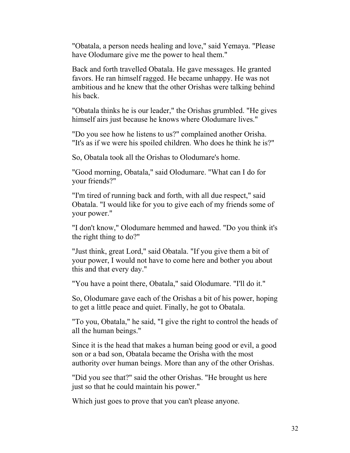"Obatala, a person needs healing and love," said Yemaya. "Please have Olodumare give me the power to heal them."

Back and forth travelled Obatala. He gave messages. He granted favors. He ran himself ragged. He became unhappy. He was not ambitious and he knew that the other Orishas were talking behind his back.

"Obatala thinks he is our leader," the Orishas grumbled. "He gives himself airs just because he knows where Olodumare lives."

"Do you see how he listens to us?" complained another Orisha. "It's as if we were his spoiled children. Who does he think he is?"

So, Obatala took all the Orishas to Olodumare's home.

"Good morning, Obatala," said Olodumare. "What can I do for your friends?"

"I'm tired of running back and forth, with all due respect," said Obatala. "I would like for you to give each of my friends some of your power."

"I don't know," Olodumare hemmed and hawed. "Do you think it's the right thing to do?"

"Just think, great Lord," said Obatala. "If you give them a bit of your power, I would not have to come here and bother you about this and that every day."

"You have a point there, Obatala," said Olodumare. "I'll do it."

So, Olodumare gave each of the Orishas a bit of his power, hoping to get a little peace and quiet. Finally, he got to Obatala.

"To you, Obatala," he said, "I give the right to control the heads of all the human beings."

Since it is the head that makes a human being good or evil, a good son or a bad son, Obatala became the Orisha with the most authority over human beings. More than any of the other Orishas.

"Did you see that?" said the other Orishas. "He brought us here just so that he could maintain his power."

Which just goes to prove that you can't please anyone.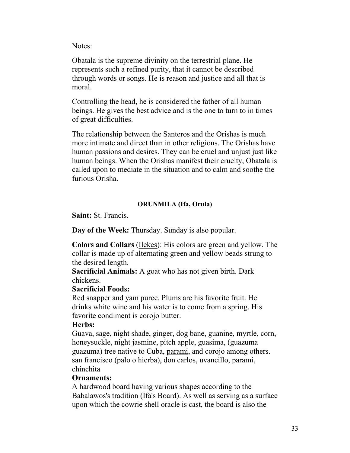Notes:

Obatala is the supreme divinity on the terrestrial plane. He represents such a refined purity, that it cannot be described through words or songs. He is reason and justice and all that is moral.

Controlling the head, he is considered the father of all human beings. He gives the best advice and is the one to turn to in times of great difficulties.

The relationship between the Santeros and the Orishas is much more intimate and direct than in other religions. The Orishas have human passions and desires. They can be cruel and unjust just like human beings. When the Orishas manifest their cruelty, Obatala is called upon to mediate in the situation and to calm and soothe the furious Orisha.

#### **ORUNMILA (Ifa, Orula)**

**Saint:** St. Francis.

**Day of the Week:** Thursday. Sunday is also popular.

**Colors and Collars** (Ilekes): His colors are green and yellow. The collar is made up of alternating green and yellow beads strung to the desired length.

**Sacrificial Animals:** A goat who has not given birth. Dark chickens.

#### **Sacrificial Foods:**

Red snapper and yam puree. Plums are his favorite fruit. He drinks white wine and his water is to come from a spring. His favorite condiment is corojo butter.

#### **Herbs:**

Guava, sage, night shade, ginger, dog bane, guanine, myrtle, corn, honeysuckle, night jasmine, pitch apple, guasima, (guazuma guazuma) tree native to Cuba, parami, and corojo among others. san francisco (palo o hierba), don carlos, uvancillo, parami, chinchita

#### **Ornaments:**

A hardwood board having various shapes according to the Babalawos's tradition (Ifa's Board). As well as serving as a surface upon which the cowrie shell oracle is cast, the board is also the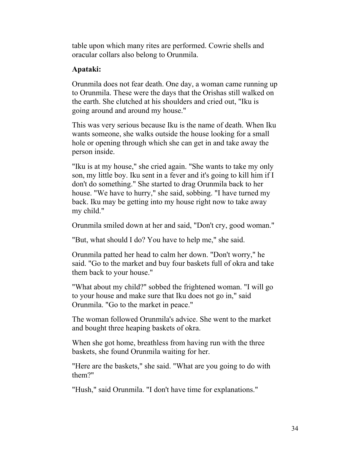table upon which many rites are performed. Cowrie shells and oracular collars also belong to Orunmila.

## **Apataki:**

Orunmila does not fear death. One day, a woman came running up to Orunmila. These were the days that the Orishas still walked on the earth. She clutched at his shoulders and cried out, "Iku is going around and around my house."

This was very serious because Iku is the name of death. When Iku wants someone, she walks outside the house looking for a small hole or opening through which she can get in and take away the person inside.

"Iku is at my house," she cried again. "She wants to take my only son, my little boy. Iku sent in a fever and it's going to kill him if I don't do something." She started to drag Orunmila back to her house. "We have to hurry," she said, sobbing. "I have turned my back. Iku may be getting into my house right now to take away my child."

Orunmila smiled down at her and said, "Don't cry, good woman."

"But, what should I do? You have to help me," she said.

Orunmila patted her head to calm her down. "Don't worry," he said. "Go to the market and buy four baskets full of okra and take them back to your house."

"What about my child?" sobbed the frightened woman. "I will go to your house and make sure that Iku does not go in," said Orunmila. "Go to the market in peace."

The woman followed Orunmila's advice. She went to the market and bought three heaping baskets of okra.

When she got home, breathless from having run with the three baskets, she found Orunmila waiting for her.

"Here are the baskets," she said. "What are you going to do with them?"

"Hush," said Orunmila. "I don't have time for explanations."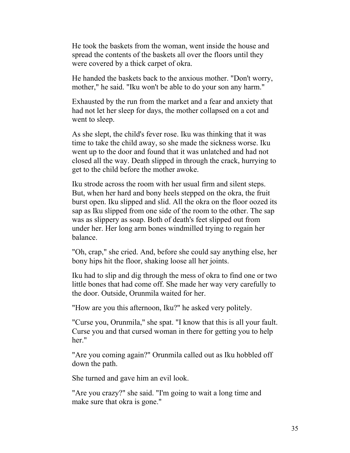He took the baskets from the woman, went inside the house and spread the contents of the baskets all over the floors until they were covered by a thick carpet of okra.

He handed the baskets back to the anxious mother. "Don't worry, mother," he said. "Iku won't be able to do your son any harm."

Exhausted by the run from the market and a fear and anxiety that had not let her sleep for days, the mother collapsed on a cot and went to sleep.

As she slept, the child's fever rose. Iku was thinking that it was time to take the child away, so she made the sickness worse. Iku went up to the door and found that it was unlatched and had not closed all the way. Death slipped in through the crack, hurrying to get to the child before the mother awoke.

Iku strode across the room with her usual firm and silent steps. But, when her hard and bony heels stepped on the okra, the fruit burst open. Iku slipped and slid. All the okra on the floor oozed its sap as Iku slipped from one side of the room to the other. The sap was as slippery as soap. Both of death's feet slipped out from under her. Her long arm bones windmilled trying to regain her balance.

"Oh, crap," she cried. And, before she could say anything else, her bony hips hit the floor, shaking loose all her joints.

Iku had to slip and dig through the mess of okra to find one or two little bones that had come off. She made her way very carefully to the door. Outside, Orunmila waited for her.

"How are you this afternoon, Iku?" he asked very politely.

"Curse you, Orunmila," she spat. "I know that this is all your fault. Curse you and that cursed woman in there for getting you to help her."

"Are you coming again?" Orunmila called out as Iku hobbled off down the path.

She turned and gave him an evil look.

"Are you crazy?" she said. "I'm going to wait a long time and make sure that okra is gone."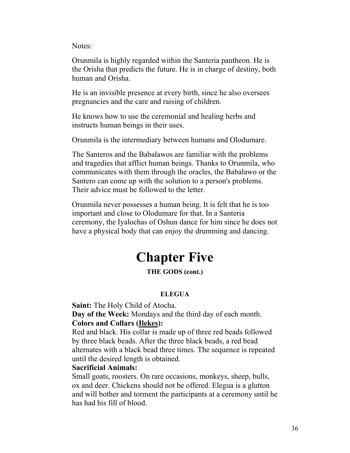Notes:

Orunmila is highly regarded within the Santeria pantheon. He is the Orisha that predicts the future. He is in charge of destiny, both human and Orisha.

He is an invisible presence at every birth, since he also oversees pregnancies and the care and raising of children.

He knows how to use the ceremonial and healing herbs and instructs human beings in their uses.

Orunmila is the intermediary between humans and Olodumare.

The Santeros and the Babalawos are familiar with the problems and tragedies that afflict human beings. Thanks to Orunmila, who communicates with them through the oracles, the Babalawo or the Santero can come up with the solution to a person's problems. Their advice must be followed to the letter.

Orunmila never possesses a human being. It is felt that he is too important and close to Olodumare for that. In a Santeria ceremony, the Iyalochas of Oshun dance for him since he does not have a physical body that can enjoy the drumming and dancing.

# **Chapter Five**

## **THE GODS (cont.)**

### **ELEGUA**

**Saint:** The Holy Child of Atocha.

**Day of the Week:** Mondays and the third day of each month. **Colors and Collars (Ilekes):**

Red and black. His collar is made up of three red beads followed by three black beads. After the three black beads, a red bead alternates with a black bead three times. The sequence is repeated until the desired length is obtained.

### **Sacrificial Animals:**

Small goats, roosters. On rare occasions, monkeys, sheep, bulls, ox and deer. Chickens should not be offered. Elegua is a glutton and will bother and torment the participants at a ceremony until he has had his fill of blood.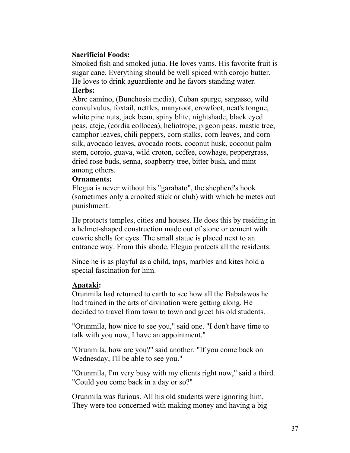### **Sacrificial Foods:**

Smoked fish and smoked jutia. He loves yams. His favorite fruit is sugar cane. Everything should be well spiced with corojo butter. He loves to drink aguardiente and he favors standing water.

### **Herbs:**

Abre camino, (Bunchosia media), Cuban spurge, sargasso, wild convulvulus, foxtail, nettles, manyroot, crowfoot, neat's tongue, white pine nuts, jack bean, spiny blite, nightshade, black eyed peas, ateje, (cordia collocea), heliotrope, pigeon peas, mastic tree, camphor leaves, chili peppers, corn stalks, corn leaves, and corn silk, avocado leaves, avocado roots, coconut husk, coconut palm stem, corojo, guava, wild croton, coffee, cowhage, peppergrass, dried rose buds, senna, soapberry tree, bitter bush, and mint among others.

### **Ornaments:**

Elegua is never without his "garabato", the shepherd's hook (sometimes only a crooked stick or club) with which he metes out punishment.

He protects temples, cities and houses. He does this by residing in a helmet-shaped construction made out of stone or cement with cowrie shells for eyes. The small statue is placed next to an entrance way. From this abode, Elegua protects all the residents.

Since he is as playful as a child, tops, marbles and kites hold a special fascination for him.

### **Apataki:**

Orunmila had returned to earth to see how all the Babalawos he had trained in the arts of divination were getting along. He decided to travel from town to town and greet his old students.

"Orunmila, how nice to see you," said one. "I don't have time to talk with you now, I have an appointment."

"Orunmila, how are you?" said another. "If you come back on Wednesday, I'll be able to see you."

"Orunmila, I'm very busy with my clients right now," said a third. "Could you come back in a day or so?"

Orunmila was furious. All his old students were ignoring him. They were too concerned with making money and having a big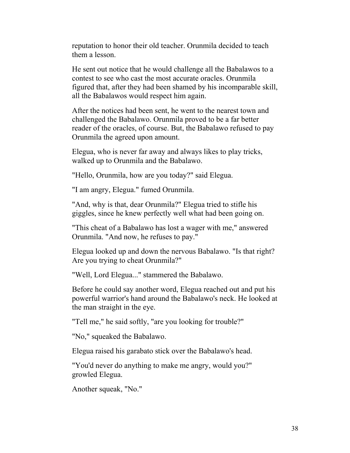reputation to honor their old teacher. Orunmila decided to teach them a lesson.

He sent out notice that he would challenge all the Babalawos to a contest to see who cast the most accurate oracles. Orunmila figured that, after they had been shamed by his incomparable skill, all the Babalawos would respect him again.

After the notices had been sent, he went to the nearest town and challenged the Babalawo. Orunmila proved to be a far better reader of the oracles, of course. But, the Babalawo refused to pay Orunmila the agreed upon amount.

Elegua, who is never far away and always likes to play tricks, walked up to Orunmila and the Babalawo.

"Hello, Orunmila, how are you today?" said Elegua.

"I am angry, Elegua." fumed Orunmila.

"And, why is that, dear Orunmila?" Elegua tried to stifle his giggles, since he knew perfectly well what had been going on.

"This cheat of a Babalawo has lost a wager with me," answered Orunmila. "And now, he refuses to pay."

Elegua looked up and down the nervous Babalawo. "Is that right? Are you trying to cheat Orunmila?"

"Well, Lord Elegua..." stammered the Babalawo.

Before he could say another word, Elegua reached out and put his powerful warrior's hand around the Babalawo's neck. He looked at the man straight in the eye.

"Tell me," he said softly, "are you looking for trouble?"

"No," squeaked the Babalawo.

Elegua raised his garabato stick over the Babalawo's head.

"You'd never do anything to make me angry, would you?" growled Elegua.

Another squeak, "No."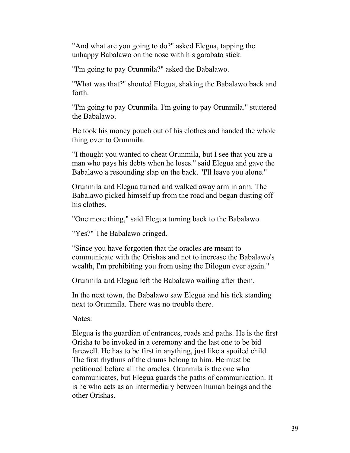"And what are you going to do?" asked Elegua, tapping the unhappy Babalawo on the nose with his garabato stick.

"I'm going to pay Orunmila?" asked the Babalawo.

"What was that?" shouted Elegua, shaking the Babalawo back and forth.

"I'm going to pay Orunmila. I'm going to pay Orunmila." stuttered the Babalawo.

He took his money pouch out of his clothes and handed the whole thing over to Orunmila.

"I thought you wanted to cheat Orunmila, but I see that you are a man who pays his debts when he loses." said Elegua and gave the Babalawo a resounding slap on the back. "I'll leave you alone."

Orunmila and Elegua turned and walked away arm in arm. The Babalawo picked himself up from the road and began dusting off his clothes.

"One more thing," said Elegua turning back to the Babalawo.

"Yes?" The Babalawo cringed.

"Since you have forgotten that the oracles are meant to communicate with the Orishas and not to increase the Babalawo's wealth, I'm prohibiting you from using the Dilogun ever again."

Orunmila and Elegua left the Babalawo wailing after them.

In the next town, the Babalawo saw Elegua and his tick standing next to Orunmila. There was no trouble there.

Notes:

Elegua is the guardian of entrances, roads and paths. He is the first Orisha to be invoked in a ceremony and the last one to be bid farewell. He has to be first in anything, just like a spoiled child. The first rhythms of the drums belong to him. He must be petitioned before all the oracles. Orunmila is the one who communicates, but Elegua guards the paths of communication. It is he who acts as an intermediary between human beings and the other Orishas.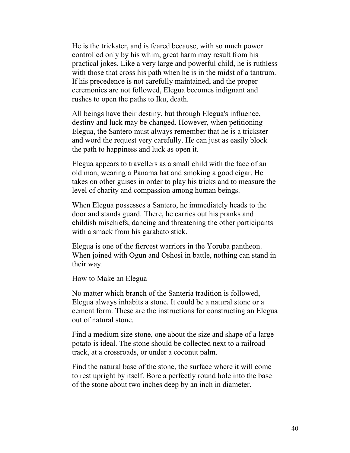He is the trickster, and is feared because, with so much power controlled only by his whim, great harm may result from his practical jokes. Like a very large and powerful child, he is ruthless with those that cross his path when he is in the midst of a tantrum. If his precedence is not carefully maintained, and the proper ceremonies are not followed, Elegua becomes indignant and rushes to open the paths to Iku, death.

All beings have their destiny, but through Elegua's influence, destiny and luck may be changed. However, when petitioning Elegua, the Santero must always remember that he is a trickster and word the request very carefully. He can just as easily block the path to happiness and luck as open it.

Elegua appears to travellers as a small child with the face of an old man, wearing a Panama hat and smoking a good cigar. He takes on other guises in order to play his tricks and to measure the level of charity and compassion among human beings.

When Elegua possesses a Santero, he immediately heads to the door and stands guard. There, he carries out his pranks and childish mischiefs, dancing and threatening the other participants with a smack from his garabato stick.

Elegua is one of the fiercest warriors in the Yoruba pantheon. When joined with Ogun and Oshosi in battle, nothing can stand in their way.

How to Make an Elegua

No matter which branch of the Santeria tradition is followed, Elegua always inhabits a stone. It could be a natural stone or a cement form. These are the instructions for constructing an Elegua out of natural stone.

Find a medium size stone, one about the size and shape of a large potato is ideal. The stone should be collected next to a railroad track, at a crossroads, or under a coconut palm.

Find the natural base of the stone, the surface where it will come to rest upright by itself. Bore a perfectly round hole into the base of the stone about two inches deep by an inch in diameter.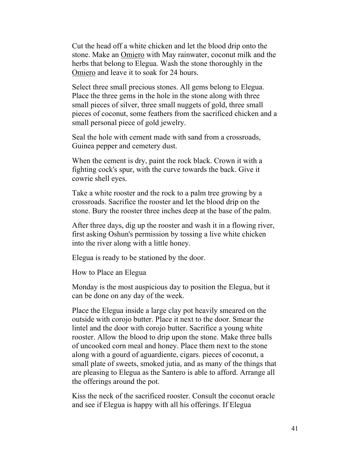Cut the head off a white chicken and let the blood drip onto the stone. Make an Omiero with May rainwater, coconut milk and the herbs that belong to Elegua. Wash the stone thoroughly in the Omiero and leave it to soak for 24 hours.

Select three small precious stones. All gems belong to Elegua. Place the three gems in the hole in the stone along with three small pieces of silver, three small nuggets of gold, three small pieces of coconut, some feathers from the sacrificed chicken and a small personal piece of gold jewelry.

Seal the hole with cement made with sand from a crossroads, Guinea pepper and cemetery dust.

When the cement is dry, paint the rock black. Crown it with a fighting cock's spur, with the curve towards the back. Give it cowrie shell eyes.

Take a white rooster and the rock to a palm tree growing by a crossroads. Sacrifice the rooster and let the blood drip on the stone. Bury the rooster three inches deep at the base of the palm.

After three days, dig up the rooster and wash it in a flowing river, first asking Oshun's permission by tossing a live white chicken into the river along with a little honey.

Elegua is ready to be stationed by the door.

How to Place an Elegua

Monday is the most auspicious day to position the Elegua, but it can be done on any day of the week.

Place the Elegua inside a large clay pot heavily smeared on the outside with corojo butter. Place it next to the door. Smear the lintel and the door with corojo butter. Sacrifice a young white rooster. Allow the blood to drip upon the stone. Make three balls of uncooked corn meal and honey. Place them next to the stone along with a gourd of aguardiente, cigars. pieces of coconut, a small plate of sweets, smoked jutia, and as many of the things that are pleasing to Elegua as the Santero is able to afford. Arrange all the offerings around the pot.

Kiss the neck of the sacrificed rooster. Consult the coconut oracle and see if Elegua is happy with all his offerings. If Elegua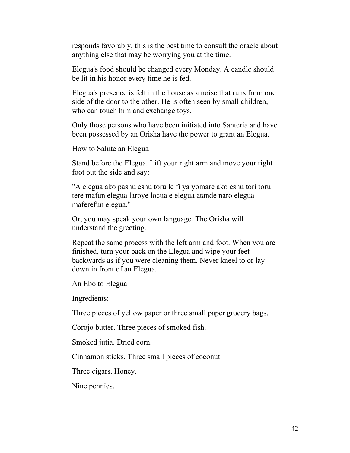responds favorably, this is the best time to consult the oracle about anything else that may be worrying you at the time.

Elegua's food should be changed every Monday. A candle should be lit in his honor every time he is fed.

Elegua's presence is felt in the house as a noise that runs from one side of the door to the other. He is often seen by small children, who can touch him and exchange toys.

Only those persons who have been initiated into Santeria and have been possessed by an Orisha have the power to grant an Elegua.

How to Salute an Elegua

Stand before the Elegua. Lift your right arm and move your right foot out the side and say:

"A elegua ako pashu eshu toru le fi ya yomare ako eshu tori toru tere mafun elegua laroye locua e elegua atande naro elegua maferefun elegua."

Or, you may speak your own language. The Orisha will understand the greeting.

Repeat the same process with the left arm and foot. When you are finished, turn your back on the Elegua and wipe your feet backwards as if you were cleaning them. Never kneel to or lay down in front of an Elegua.

An Ebo to Elegua

Ingredients:

Three pieces of yellow paper or three small paper grocery bags.

Corojo butter. Three pieces of smoked fish.

Smoked jutia. Dried corn.

Cinnamon sticks. Three small pieces of coconut.

Three cigars. Honey.

Nine pennies.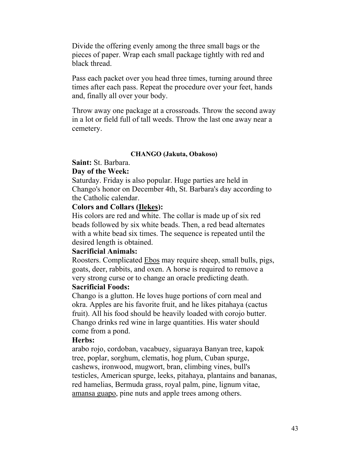Divide the offering evenly among the three small bags or the pieces of paper. Wrap each small package tightly with red and black thread.

Pass each packet over you head three times, turning around three times after each pass. Repeat the procedure over your feet, hands and, finally all over your body.

Throw away one package at a crossroads. Throw the second away in a lot or field full of tall weeds. Throw the last one away near a cemetery.

### **CHANGO (Jakuta, Obakoso)**

### **Saint:** St. Barbara.

### **Day of the Week:**

Saturday. Friday is also popular. Huge parties are held in Chango's honor on December 4th, St. Barbara's day according to the Catholic calendar.

### **Colors and Collars (Ilekes):**

His colors are red and white. The collar is made up of six red beads followed by six white beads. Then, a red bead alternates with a white bead six times. The sequence is repeated until the desired length is obtained.

### **Sacrificial Animals:**

Roosters. Complicated Ebos may require sheep, small bulls, pigs, goats, deer, rabbits, and oxen. A horse is required to remove a very strong curse or to change an oracle predicting death.

### **Sacrificial Foods:**

Chango is a glutton. He loves huge portions of corn meal and okra. Apples are his favorite fruit, and he likes pitahaya (cactus fruit). All his food should be heavily loaded with corojo butter. Chango drinks red wine in large quantities. His water should come from a pond.

### **Herbs:**

arabo rojo, cordoban, vacabuey, siguaraya Banyan tree, kapok tree, poplar, sorghum, clematis, hog plum, Cuban spurge, cashews, ironwood, mugwort, bran, climbing vines, bull's testicles, American spurge, leeks, pitahaya, plantains and bananas, red hamelias, Bermuda grass, royal palm, pine, lignum vitae, amansa guapo, pine nuts and apple trees among others.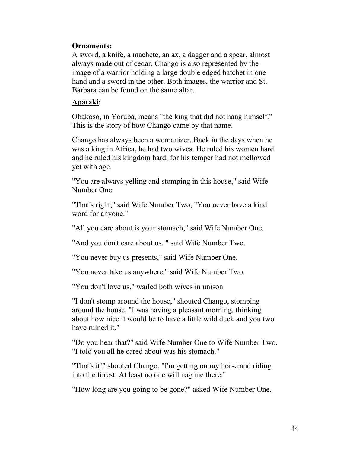### **Ornaments:**

A sword, a knife, a machete, an ax, a dagger and a spear, almost always made out of cedar. Chango is also represented by the image of a warrior holding a large double edged hatchet in one hand and a sword in the other. Both images, the warrior and St. Barbara can be found on the same altar.

### **Apataki:**

Obakoso, in Yoruba, means "the king that did not hang himself." This is the story of how Chango came by that name.

Chango has always been a womanizer. Back in the days when he was a king in Africa, he had two wives. He ruled his women hard and he ruled his kingdom hard, for his temper had not mellowed yet with age.

"You are always yelling and stomping in this house," said Wife Number One.

"That's right," said Wife Number Two, "You never have a kind word for anyone."

"All you care about is your stomach," said Wife Number One.

"And you don't care about us, " said Wife Number Two.

"You never buy us presents," said Wife Number One.

"You never take us anywhere," said Wife Number Two.

"You don't love us," wailed both wives in unison.

"I don't stomp around the house," shouted Chango, stomping around the house. "I was having a pleasant morning, thinking about how nice it would be to have a little wild duck and you two have ruined it."

"Do you hear that?" said Wife Number One to Wife Number Two. "I told you all he cared about was his stomach."

"That's it!" shouted Chango. "I'm getting on my horse and riding into the forest. At least no one will nag me there."

"How long are you going to be gone?" asked Wife Number One.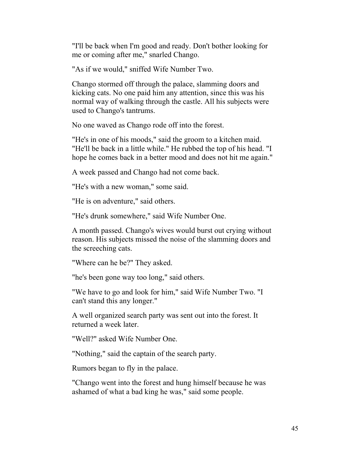"I'll be back when I'm good and ready. Don't bother looking for me or coming after me," snarled Chango.

"As if we would," sniffed Wife Number Two.

Chango stormed off through the palace, slamming doors and kicking cats. No one paid him any attention, since this was his normal way of walking through the castle. All his subjects were used to Chango's tantrums.

No one waved as Chango rode off into the forest.

"He's in one of his moods," said the groom to a kitchen maid. "He'll be back in a little while." He rubbed the top of his head. "I hope he comes back in a better mood and does not hit me again."

A week passed and Chango had not come back.

"He's with a new woman," some said.

"He is on adventure," said others.

"He's drunk somewhere," said Wife Number One.

A month passed. Chango's wives would burst out crying without reason. His subjects missed the noise of the slamming doors and the screeching cats.

"Where can he be?" They asked.

"he's been gone way too long," said others.

"We have to go and look for him," said Wife Number Two. "I can't stand this any longer."

A well organized search party was sent out into the forest. It returned a week later.

"Well?" asked Wife Number One.

"Nothing," said the captain of the search party.

Rumors began to fly in the palace.

"Chango went into the forest and hung himself because he was ashamed of what a bad king he was," said some people.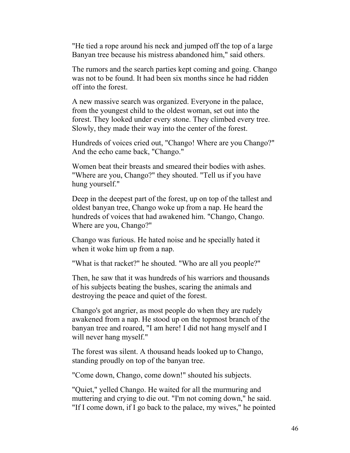"He tied a rope around his neck and jumped off the top of a large Banyan tree because his mistress abandoned him," said others.

The rumors and the search parties kept coming and going. Chango was not to be found. It had been six months since he had ridden off into the forest.

A new massive search was organized. Everyone in the palace, from the youngest child to the oldest woman, set out into the forest. They looked under every stone. They climbed every tree. Slowly, they made their way into the center of the forest.

Hundreds of voices cried out, "Chango! Where are you Chango?" And the echo came back, "Chango."

Women beat their breasts and smeared their bodies with ashes. "Where are you, Chango?" they shouted. "Tell us if you have hung yourself."

Deep in the deepest part of the forest, up on top of the tallest and oldest banyan tree, Chango woke up from a nap. He heard the hundreds of voices that had awakened him. "Chango, Chango. Where are you, Chango?"

Chango was furious. He hated noise and he specially hated it when it woke him up from a nap.

"What is that racket?" he shouted. "Who are all you people?"

Then, he saw that it was hundreds of his warriors and thousands of his subjects beating the bushes, scaring the animals and destroying the peace and quiet of the forest.

Chango's got angrier, as most people do when they are rudely awakened from a nap. He stood up on the topmost branch of the banyan tree and roared, "I am here! I did not hang myself and I will never hang myself."

The forest was silent. A thousand heads looked up to Chango, standing proudly on top of the banyan tree.

"Come down, Chango, come down!" shouted his subjects.

"Quiet," yelled Chango. He waited for all the murmuring and muttering and crying to die out. "I'm not coming down," he said. "If I come down, if I go back to the palace, my wives," he pointed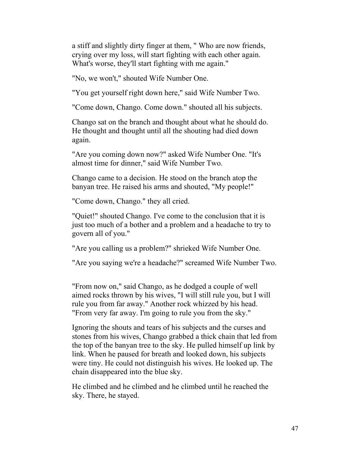a stiff and slightly dirty finger at them, " Who are now friends, crying over my loss, will start fighting with each other again. What's worse, they'll start fighting with me again."

"No, we won't," shouted Wife Number One.

"You get yourself right down here," said Wife Number Two.

"Come down, Chango. Come down." shouted all his subjects.

Chango sat on the branch and thought about what he should do. He thought and thought until all the shouting had died down again.

"Are you coming down now?" asked Wife Number One. "It's almost time for dinner," said Wife Number Two.

Chango came to a decision. He stood on the branch atop the banyan tree. He raised his arms and shouted, "My people!"

"Come down, Chango." they all cried.

"Quiet!" shouted Chango. I've come to the conclusion that it is just too much of a bother and a problem and a headache to try to govern all of you."

"Are you calling us a problem?" shrieked Wife Number One.

"Are you saying we're a headache?" screamed Wife Number Two.

"From now on," said Chango, as he dodged a couple of well aimed rocks thrown by his wives, "I will still rule you, but I will rule you from far away." Another rock whizzed by his head. "From very far away. I'm going to rule you from the sky."

Ignoring the shouts and tears of his subjects and the curses and stones from his wives, Chango grabbed a thick chain that led from the top of the banyan tree to the sky. He pulled himself up link by link. When he paused for breath and looked down, his subjects were tiny. He could not distinguish his wives. He looked up. The chain disappeared into the blue sky.

He climbed and he climbed and he climbed until he reached the sky. There, he stayed.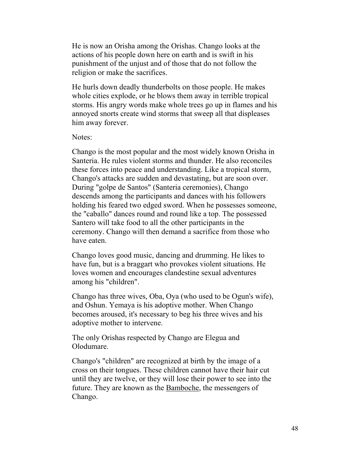He is now an Orisha among the Orishas. Chango looks at the actions of his people down here on earth and is swift in his punishment of the unjust and of those that do not follow the religion or make the sacrifices.

He hurls down deadly thunderbolts on those people. He makes whole cities explode, or he blows them away in terrible tropical storms. His angry words make whole trees go up in flames and his annoyed snorts create wind storms that sweep all that displeases him away forever.

Notes:

Chango is the most popular and the most widely known Orisha in Santeria. He rules violent storms and thunder. He also reconciles these forces into peace and understanding. Like a tropical storm, Chango's attacks are sudden and devastating, but are soon over. During "golpe de Santos" (Santeria ceremonies), Chango descends among the participants and dances with his followers holding his feared two edged sword. When he possesses someone, the "caballo" dances round and round like a top. The possessed Santero will take food to all the other participants in the ceremony. Chango will then demand a sacrifice from those who have eaten.

Chango loves good music, dancing and drumming. He likes to have fun, but is a braggart who provokes violent situations. He loves women and encourages clandestine sexual adventures among his "children".

Chango has three wives, Oba, Oya (who used to be Ogun's wife), and Oshun. Yemaya is his adoptive mother. When Chango becomes aroused, it's necessary to beg his three wives and his adoptive mother to intervene.

The only Orishas respected by Chango are Elegua and Olodumare.

Chango's "children" are recognized at birth by the image of a cross on their tongues. These children cannot have their hair cut until they are twelve, or they will lose their power to see into the future. They are known as the Bamboche, the messengers of Chango.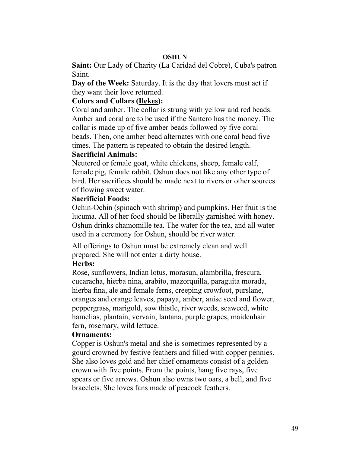### **OSHUN**

**Saint:** Our Lady of Charity (La Caridad del Cobre), Cuba's patron Saint.

**Day of the Week:** Saturday. It is the day that lovers must act if they want their love returned.

### **Colors and Collars (Ilekes):**

Coral and amber. The collar is strung with yellow and red beads. Amber and coral are to be used if the Santero has the money. The collar is made up of five amber beads followed by five coral beads. Then, one amber bead alternates with one coral bead five times. The pattern is repeated to obtain the desired length.

### **Sacrificial Animals:**

Neutered or female goat, white chickens, sheep, female calf, female pig, female rabbit. Oshun does not like any other type of bird. Her sacrifices should be made next to rivers or other sources of flowing sweet water.

### **Sacrificial Foods:**

Ochin-Ochin (spinach with shrimp) and pumpkins. Her fruit is the lucuma. All of her food should be liberally garnished with honey. Oshun drinks chamomille tea. The water for the tea, and all water used in a ceremony for Oshun, should be river water.

All offerings to Oshun must be extremely clean and well prepared. She will not enter a dirty house.

### **Herbs:**

Rose, sunflowers, Indian lotus, morasun, alambrilla, frescura, cucaracha, hierba nina, arabito, mazorquilla, paraguita morada, hierba fina, ale and female ferns, creeping crowfoot, purslane, oranges and orange leaves, papaya, amber, anise seed and flower, peppergrass, marigold, sow thistle, river weeds, seaweed, white hamelias, plantain, vervain, lantana, purple grapes, maidenhair fern, rosemary, wild lettuce.

### **Ornaments:**

Copper is Oshun's metal and she is sometimes represented by a gourd crowned by festive feathers and filled with copper pennies. She also loves gold and her chief ornaments consist of a golden crown with five points. From the points, hang five rays, five spears or five arrows. Oshun also owns two oars, a bell, and five bracelets. She loves fans made of peacock feathers.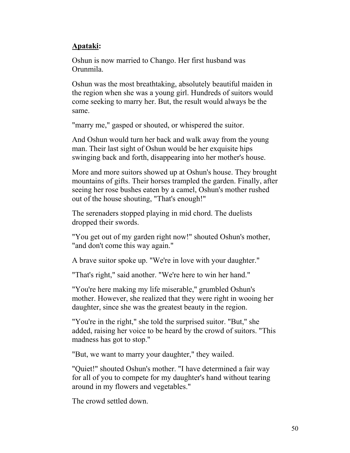### **Apataki:**

Oshun is now married to Chango. Her first husband was Orunmila.

Oshun was the most breathtaking, absolutely beautiful maiden in the region when she was a young girl. Hundreds of suitors would come seeking to marry her. But, the result would always be the same.

"marry me," gasped or shouted, or whispered the suitor.

And Oshun would turn her back and walk away from the young man. Their last sight of Oshun would be her exquisite hips swinging back and forth, disappearing into her mother's house.

More and more suitors showed up at Oshun's house. They brought mountains of gifts. Their horses trampled the garden. Finally, after seeing her rose bushes eaten by a camel, Oshun's mother rushed out of the house shouting, "That's enough!"

The serenaders stopped playing in mid chord. The duelists dropped their swords.

"You get out of my garden right now!" shouted Oshun's mother, "and don't come this way again."

A brave suitor spoke up. "We're in love with your daughter."

"That's right," said another. "We're here to win her hand."

"You're here making my life miserable," grumbled Oshun's mother. However, she realized that they were right in wooing her daughter, since she was the greatest beauty in the region.

"You're in the right," she told the surprised suitor. "But," she added, raising her voice to be heard by the crowd of suitors. "This madness has got to stop."

"But, we want to marry your daughter," they wailed.

"Quiet!" shouted Oshun's mother. "I have determined a fair way for all of you to compete for my daughter's hand without tearing around in my flowers and vegetables."

The crowd settled down.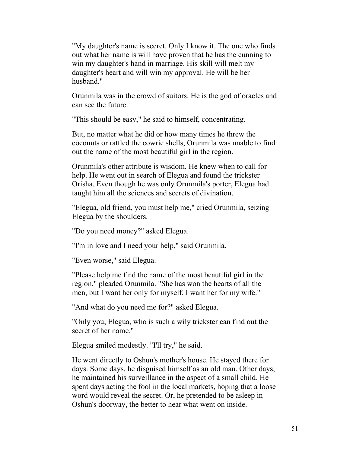"My daughter's name is secret. Only I know it. The one who finds out what her name is will have proven that he has the cunning to win my daughter's hand in marriage. His skill will melt my daughter's heart and will win my approval. He will be her husband."

Orunmila was in the crowd of suitors. He is the god of oracles and can see the future.

"This should be easy," he said to himself, concentrating.

But, no matter what he did or how many times he threw the coconuts or rattled the cowrie shells, Orunmila was unable to find out the name of the most beautiful girl in the region.

Orunmila's other attribute is wisdom. He knew when to call for help. He went out in search of Elegua and found the trickster Orisha. Even though he was only Orunmila's porter, Elegua had taught him all the sciences and secrets of divination.

"Elegua, old friend, you must help me," cried Orunmila, seizing Elegua by the shoulders.

"Do you need money?" asked Elegua.

"I'm in love and I need your help," said Orunmila.

"Even worse," said Elegua.

"Please help me find the name of the most beautiful girl in the region," pleaded Orunmila. "She has won the hearts of all the men, but I want her only for myself. I want her for my wife."

"And what do you need me for?" asked Elegua.

"Only you, Elegua, who is such a wily trickster can find out the secret of her name."

Elegua smiled modestly. "I'll try," he said.

He went directly to Oshun's mother's house. He stayed there for days. Some days, he disguised himself as an old man. Other days, he maintained his surveillance in the aspect of a small child. He spent days acting the fool in the local markets, hoping that a loose word would reveal the secret. Or, he pretended to be asleep in Oshun's doorway, the better to hear what went on inside.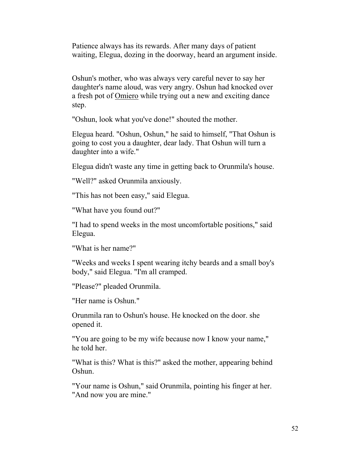Patience always has its rewards. After many days of patient waiting, Elegua, dozing in the doorway, heard an argument inside.

Oshun's mother, who was always very careful never to say her daughter's name aloud, was very angry. Oshun had knocked over a fresh pot of Omiero while trying out a new and exciting dance step.

"Oshun, look what you've done!" shouted the mother.

Elegua heard. "Oshun, Oshun," he said to himself, "That Oshun is going to cost you a daughter, dear lady. That Oshun will turn a daughter into a wife."

Elegua didn't waste any time in getting back to Orunmila's house.

"Well?" asked Orunmila anxiously.

"This has not been easy," said Elegua.

"What have you found out?"

"I had to spend weeks in the most uncomfortable positions," said Elegua.

"What is her name?"

"Weeks and weeks I spent wearing itchy beards and a small boy's body," said Elegua. "I'm all cramped.

"Please?" pleaded Orunmila.

"Her name is Oshun."

Orunmila ran to Oshun's house. He knocked on the door. she opened it.

"You are going to be my wife because now I know your name," he told her.

"What is this? What is this?" asked the mother, appearing behind Oshun.

"Your name is Oshun," said Orunmila, pointing his finger at her. "And now you are mine."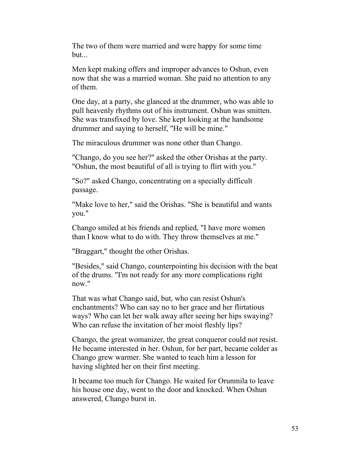The two of them were married and were happy for some time but...

Men kept making offers and improper advances to Oshun, even now that she was a married woman. She paid no attention to any of them.

One day, at a party, she glanced at the drummer, who was able to pull heavenly rhythms out of his instrument. Oshun was smitten. She was transfixed by love. She kept looking at the handsome drummer and saying to herself, "He will be mine."

The miraculous drummer was none other than Chango.

"Chango, do you see her?" asked the other Orishas at the party. "Oshun, the most beautiful of all is trying to flirt with you."

"So?" asked Chango, concentrating on a specially difficult passage.

"Make love to her," said the Orishas. "She is beautiful and wants you."

Chango smiled at his friends and replied, "I have more women than I know what to do with. They throw themselves at me."

"Braggart," thought the other Orishas.

"Besides," said Chango, counterpointing his decision with the beat of the drums. "I'm not ready for any more complications right now."

That was what Chango said, but, who can resist Oshun's enchantments? Who can say no to her grace and her flirtatious ways? Who can let her walk away after seeing her hips swaying? Who can refuse the invitation of her moist fleshly lips?

Chango, the great womanizer, the great conqueror could not resist. He became interested in her. Oshun, for her part, became colder as Chango grew warmer. She wanted to teach him a lesson for having slighted her on their first meeting.

It became too much for Chango. He waited for Orunmila to leave his house one day, went to the door and knocked. When Oshun answered, Chango burst in.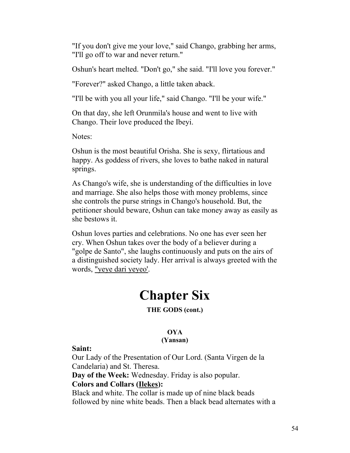"If you don't give me your love," said Chango, grabbing her arms, "I'll go off to war and never return."

Oshun's heart melted. "Don't go," she said. "I'll love you forever."

"Forever?" asked Chango, a little taken aback.

"I'll be with you all your life," said Chango. "I'll be your wife."

On that day, she left Orunmila's house and went to live with Chango. Their love produced the Ibeyi.

Notes:

Oshun is the most beautiful Orisha. She is sexy, flirtatious and happy. As goddess of rivers, she loves to bathe naked in natural springs.

As Chango's wife, she is understanding of the difficulties in love and marriage. She also helps those with money problems, since she controls the purse strings in Chango's household. But, the petitioner should beware, Oshun can take money away as easily as she bestows it.

Oshun loves parties and celebrations. No one has ever seen her cry. When Oshun takes over the body of a believer during a "golpe de Santo", she laughs continuously and puts on the airs of a distinguished society lady. Her arrival is always greeted with the words, "yeye dari yeyeo'.

# **Chapter Six**

### **THE GODS (cont.)**

### **OYA**

### **(Yansan)**

### **Saint:**

Our Lady of the Presentation of Our Lord. (Santa Virgen de la Candelaria) and St. Theresa. **Day of the Week:** Wednesday. Friday is also popular.

### **Colors and Collars (Ilekes):**

Black and white. The collar is made up of nine black beads followed by nine white beads. Then a black bead alternates with a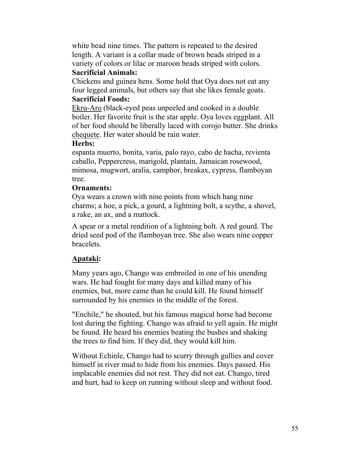white bead nine times. The pattern is repeated to the desired length. A variant is a collar made of brown beads striped in a variety of colors or lilac or maroon beads striped with colors.

### **Sacrificial Animals:**

Chickens and guinea hens. Some hold that Oya does not eat any four legged animals, but others say that she likes female goats. **Sacrificial Foods:**

Ekru-Aro (black-eyed peas unpeeled and cooked in a double boiler. Her favorite fruit is the star apple. Oya loves eggplant. All of her food should be liberally laced with corojo butter. She drinks chequete. Her water should be rain water.

### **Herbs:**

espanta muerto, bonita, varia, palo rayo, cabo de hacha, revienta caballo, Peppercress, marigold, plantain, Jamaican rosewood, mimosa, mugwort, aralia, camphor, breakax, cypress, flamboyan tree.

### **Ornaments:**

Oya wears a crown with nine points from which hang nine charms; a hoe, a pick, a gourd, a lightning bolt, a scythe, a shovel, a rake, an ax, and a mattock.

A spear or a metal rendition of a lightning bolt. A red gourd. The dried seed pod of the flamboyan tree. She also wears nine copper bracelets.

### **Apataki:**

Many years ago, Chango was embroiled in one of his unending wars. He had fought for many days and killed many of his enemies, but, more came than he could kill. He found himself surrounded by his enemies in the middle of the forest.

"Enchile," he shouted, but his famous magical horse had become lost during the fighting. Chango was afraid to yell again. He might be found. He heard his enemies beating the bushes and shaking the trees to find him. If they did, they would kill him.

Without Echinle, Chango had to scurry through gullies and cover himself in river mud to hide from his enemies. Days passed. His implacable enemies did not rest. They did not eat. Chango, tired and hurt, had to keep on running without sleep and without food.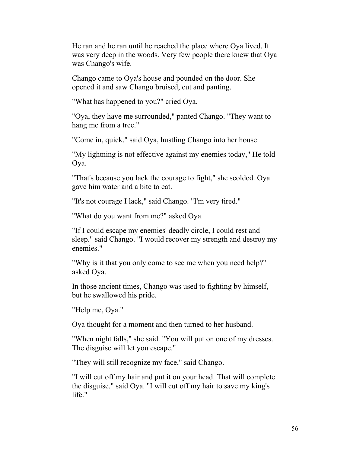He ran and he ran until he reached the place where Oya lived. It was very deep in the woods. Very few people there knew that Oya was Chango's wife.

Chango came to Oya's house and pounded on the door. She opened it and saw Chango bruised, cut and panting.

"What has happened to you?" cried Oya.

"Oya, they have me surrounded," panted Chango. "They want to hang me from a tree."

"Come in, quick." said Oya, hustling Chango into her house.

"My lightning is not effective against my enemies today," He told Oya.

"That's because you lack the courage to fight," she scolded. Oya gave him water and a bite to eat.

"It's not courage I lack," said Chango. "I'm very tired."

"What do you want from me?" asked Oya.

"If I could escape my enemies' deadly circle, I could rest and sleep." said Chango. "I would recover my strength and destroy my enemies."

"Why is it that you only come to see me when you need help?" asked Oya.

In those ancient times, Chango was used to fighting by himself, but he swallowed his pride.

"Help me, Oya."

Oya thought for a moment and then turned to her husband.

"When night falls," she said. "You will put on one of my dresses. The disguise will let you escape."

"They will still recognize my face," said Chango.

"I will cut off my hair and put it on your head. That will complete the disguise." said Oya. "I will cut off my hair to save my king's life."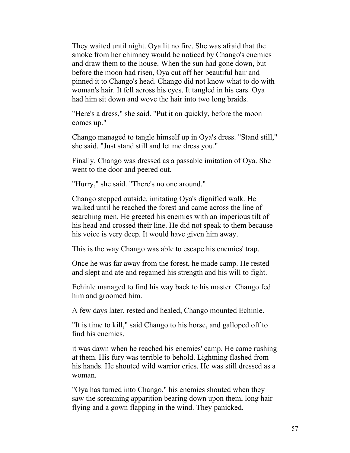They waited until night. Oya lit no fire. She was afraid that the smoke from her chimney would be noticed by Chango's enemies and draw them to the house. When the sun had gone down, but before the moon had risen, Oya cut off her beautiful hair and pinned it to Chango's head. Chango did not know what to do with woman's hair. It fell across his eyes. It tangled in his ears. Oya had him sit down and wove the hair into two long braids.

"Here's a dress," she said. "Put it on quickly, before the moon comes up."

Chango managed to tangle himself up in Oya's dress. "Stand still," she said. "Just stand still and let me dress you."

Finally, Chango was dressed as a passable imitation of Oya. She went to the door and peered out.

"Hurry," she said. "There's no one around."

Chango stepped outside, imitating Oya's dignified walk. He walked until he reached the forest and came across the line of searching men. He greeted his enemies with an imperious tilt of his head and crossed their line. He did not speak to them because his voice is very deep. It would have given him away.

This is the way Chango was able to escape his enemies' trap.

Once he was far away from the forest, he made camp. He rested and slept and ate and regained his strength and his will to fight.

Echinle managed to find his way back to his master. Chango fed him and groomed him.

A few days later, rested and healed, Chango mounted Echinle.

"It is time to kill," said Chango to his horse, and galloped off to find his enemies.

it was dawn when he reached his enemies' camp. He came rushing at them. His fury was terrible to behold. Lightning flashed from his hands. He shouted wild warrior cries. He was still dressed as a woman.

"Oya has turned into Chango," his enemies shouted when they saw the screaming apparition bearing down upon them, long hair flying and a gown flapping in the wind. They panicked.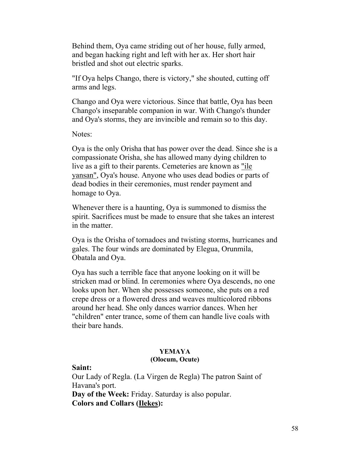Behind them, Oya came striding out of her house, fully armed, and began hacking right and left with her ax. Her short hair bristled and shot out electric sparks.

"If Oya helps Chango, there is victory," she shouted, cutting off arms and legs.

Chango and Oya were victorious. Since that battle, Oya has been Chango's inseparable companion in war. With Chango's thunder and Oya's storms, they are invincible and remain so to this day.

Notes:

Oya is the only Orisha that has power over the dead. Since she is a compassionate Orisha, she has allowed many dying children to live as a gift to their parents. Cemeteries are known as "ile yansan", Oya's house. Anyone who uses dead bodies or parts of dead bodies in their ceremonies, must render payment and homage to Oya.

Whenever there is a haunting, Oya is summoned to dismiss the spirit. Sacrifices must be made to ensure that she takes an interest in the matter.

Oya is the Orisha of tornadoes and twisting storms, hurricanes and gales. The four winds are dominated by Elegua, Orunmila, Obatala and Oya.

Oya has such a terrible face that anyone looking on it will be stricken mad or blind. In ceremonies where Oya descends, no one looks upon her. When she possesses someone, she puts on a red crepe dress or a flowered dress and weaves multicolored ribbons around her head. She only dances warrior dances. When her "children" enter trance, some of them can handle live coals with their bare hands.

## **YEMAYA**

### **(Olocum, Ocute)**

**Saint:**

Our Lady of Regla. (La Virgen de Regla) The patron Saint of Havana's port. **Day of the Week:** Friday. Saturday is also popular. **Colors and Collars (Ilekes):**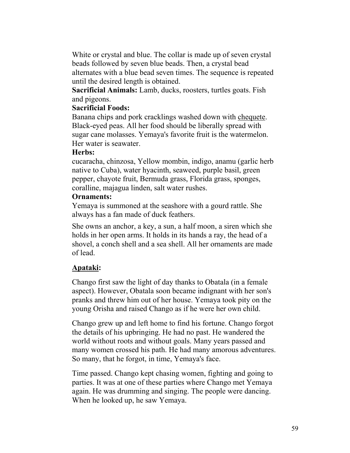White or crystal and blue. The collar is made up of seven crystal beads followed by seven blue beads. Then, a crystal bead alternates with a blue bead seven times. The sequence is repeated until the desired length is obtained.

**Sacrificial Animals:** Lamb, ducks, roosters, turtles goats. Fish and pigeons.

### **Sacrificial Foods:**

Banana chips and pork cracklings washed down with chequete. Black-eyed peas. All her food should be liberally spread with sugar cane molasses. Yemaya's favorite fruit is the watermelon. Her water is seawater.

### **Herbs:**

cucaracha, chinzosa, Yellow mombin, indigo, anamu (garlic herb native to Cuba), water hyacinth, seaweed, purple basil, green pepper, chayote fruit, Bermuda grass, Florida grass, sponges, coralline, majagua linden, salt water rushes.

### **Ornaments:**

Yemaya is summoned at the seashore with a gourd rattle. She always has a fan made of duck feathers.

She owns an anchor, a key, a sun, a half moon, a siren which she holds in her open arms. It holds in its hands a ray, the head of a shovel, a conch shell and a sea shell. All her ornaments are made of lead.

### **Apataki:**

Chango first saw the light of day thanks to Obatala (in a female aspect). However, Obatala soon became indignant with her son's pranks and threw him out of her house. Yemaya took pity on the young Orisha and raised Chango as if he were her own child.

Chango grew up and left home to find his fortune. Chango forgot the details of his upbringing. He had no past. He wandered the world without roots and without goals. Many years passed and many women crossed his path. He had many amorous adventures. So many, that he forgot, in time, Yemaya's face.

Time passed. Chango kept chasing women, fighting and going to parties. It was at one of these parties where Chango met Yemaya again. He was drumming and singing. The people were dancing. When he looked up, he saw Yemaya.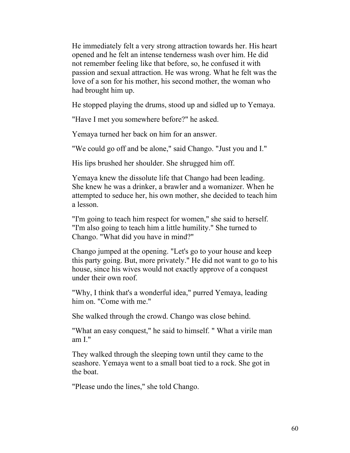He immediately felt a very strong attraction towards her. His heart opened and he felt an intense tenderness wash over him. He did not remember feeling like that before, so, he confused it with passion and sexual attraction. He was wrong. What he felt was the love of a son for his mother, his second mother, the woman who had brought him up.

He stopped playing the drums, stood up and sidled up to Yemaya.

"Have I met you somewhere before?" he asked.

Yemaya turned her back on him for an answer.

"We could go off and be alone," said Chango. "Just you and I."

His lips brushed her shoulder. She shrugged him off.

Yemaya knew the dissolute life that Chango had been leading. She knew he was a drinker, a brawler and a womanizer. When he attempted to seduce her, his own mother, she decided to teach him a lesson.

"I'm going to teach him respect for women," she said to herself. "I'm also going to teach him a little humility." She turned to Chango. "What did you have in mind?"

Chango jumped at the opening. "Let's go to your house and keep this party going. But, more privately." He did not want to go to his house, since his wives would not exactly approve of a conquest under their own roof.

"Why, I think that's a wonderful idea," purred Yemaya, leading him on. "Come with me."

She walked through the crowd. Chango was close behind.

"What an easy conquest," he said to himself. " What a virile man am I."

They walked through the sleeping town until they came to the seashore. Yemaya went to a small boat tied to a rock. She got in the boat.

"Please undo the lines," she told Chango.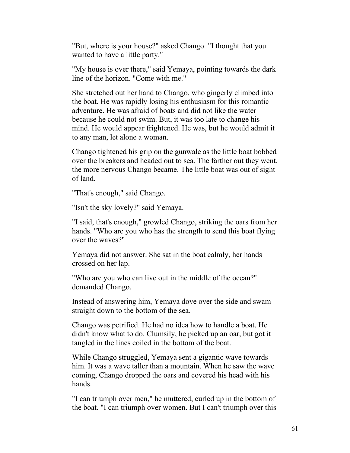"But, where is your house?" asked Chango. "I thought that you wanted to have a little party."

"My house is over there," said Yemaya, pointing towards the dark line of the horizon. "Come with me."

She stretched out her hand to Chango, who gingerly climbed into the boat. He was rapidly losing his enthusiasm for this romantic adventure. He was afraid of boats and did not like the water because he could not swim. But, it was too late to change his mind. He would appear frightened. He was, but he would admit it to any man, let alone a woman.

Chango tightened his grip on the gunwale as the little boat bobbed over the breakers and headed out to sea. The farther out they went, the more nervous Chango became. The little boat was out of sight of land.

"That's enough," said Chango.

"Isn't the sky lovely?" said Yemaya.

"I said, that's enough," growled Chango, striking the oars from her hands. "Who are you who has the strength to send this boat flying over the waves?"

Yemaya did not answer. She sat in the boat calmly, her hands crossed on her lap.

"Who are you who can live out in the middle of the ocean?" demanded Chango.

Instead of answering him, Yemaya dove over the side and swam straight down to the bottom of the sea.

Chango was petrified. He had no idea how to handle a boat. He didn't know what to do. Clumsily, he picked up an oar, but got it tangled in the lines coiled in the bottom of the boat.

While Chango struggled, Yemaya sent a gigantic wave towards him. It was a wave taller than a mountain. When he saw the wave coming, Chango dropped the oars and covered his head with his hands.

"I can triumph over men," he muttered, curled up in the bottom of the boat. "I can triumph over women. But I can't triumph over this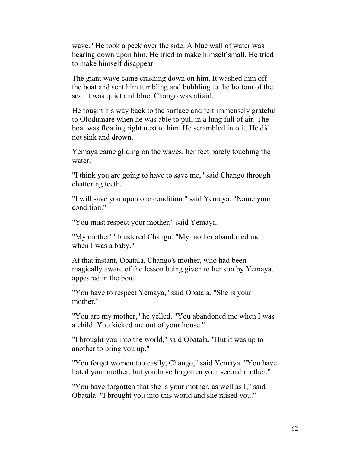wave." He took a peek over the side. A blue wall of water was bearing down upon him. He tried to make himself small. He tried to make himself disappear.

The giant wave came crashing down on him. It washed him off the boat and sent him tumbling and bubbling to the bottom of the sea. It was quiet and blue. Chango was afraid.

He fought his way back to the surface and felt immensely grateful to Olodumare when he was able to pull in a lung full of air. The boat was floating right next to him. He scrambled into it. He did not sink and drown.

Yemaya came gliding on the waves, her feet barely touching the water.

"I think you are going to have to save me," said Chango through chattering teeth.

"I will save you upon one condition." said Yemaya. "Name your condition."

"You must respect your mother," said Yemaya.

"My mother!" blustered Chango. "My mother abandoned me when I was a baby."

At that instant, Obatala, Chango's mother, who had been magically aware of the lesson being given to her son by Yemaya, appeared in the boat.

"You have to respect Yemaya," said Obatala. "She is your mother."

"You are my mother," he yelled. "You abandoned me when I was a child. You kicked me out of your house."

"I brought you into the world," said Obatala. "But it was up to another to bring you up."

"You forget women too easily, Chango," said Yemaya. "You have hated your mother, but you have forgotten your second mother."

"You have forgotten that she is your mother, as well as I," said Obatala. "I brought you into this world and she raised you."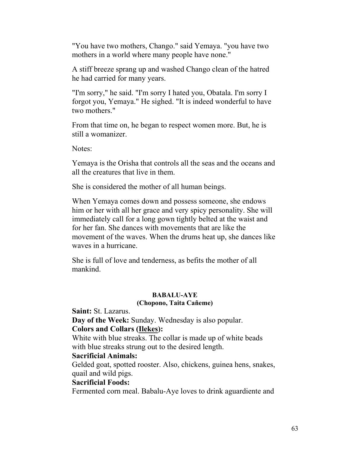"You have two mothers, Chango." said Yemaya. "you have two mothers in a world where many people have none."

A stiff breeze sprang up and washed Chango clean of the hatred he had carried for many years.

"I'm sorry," he said. "I'm sorry I hated you, Obatala. I'm sorry I forgot you, Yemaya." He sighed. "It is indeed wonderful to have two mothers."

From that time on, he began to respect women more. But, he is still a womanizer.

Notes:

Yemaya is the Orisha that controls all the seas and the oceans and all the creatures that live in them.

She is considered the mother of all human beings.

When Yemaya comes down and possess someone, she endows him or her with all her grace and very spicy personality. She will immediately call for a long gown tightly belted at the waist and for her fan. She dances with movements that are like the movement of the waves. When the drums heat up, she dances like waves in a hurricane.

She is full of love and tenderness, as befits the mother of all mankind.

### **BABALU-AYE**

### **(Chopono, Taita Cañeme)**

**Saint:** St. Lazarus.

**Day of the Week:** Sunday. Wednesday is also popular.

### **Colors and Collars (Ilekes):**

White with blue streaks. The collar is made up of white beads with blue streaks strung out to the desired length.

### **Sacrificial Animals:**

Gelded goat, spotted rooster. Also, chickens, guinea hens, snakes, quail and wild pigs.

### **Sacrificial Foods:**

Fermented corn meal. Babalu-Aye loves to drink aguardiente and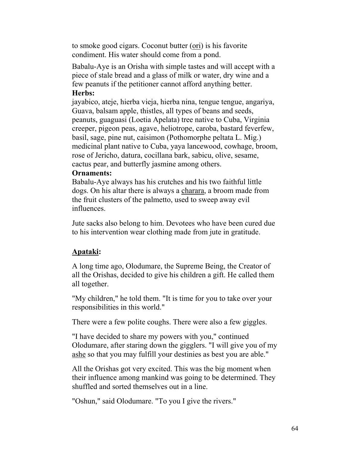to smoke good cigars. Coconut butter (ori) is his favorite condiment. His water should come from a pond.

Babalu-Aye is an Orisha with simple tastes and will accept with a piece of stale bread and a glass of milk or water, dry wine and a few peanuts if the petitioner cannot afford anything better. **Herbs:**

jayabico, ateje, hierba vieja, hierba nina, tengue tengue, angariya, Guava, balsam apple, thistles, all types of beans and seeds, peanuts, guaguasi (Loetia Apelata) tree native to Cuba, Virginia creeper, pigeon peas, agave, heliotrope, caroba, bastard feverfew, basil, sage, pine nut, caisimon (Pothomorphe peltata L. Mig.) medicinal plant native to Cuba, yaya lancewood, cowhage, broom, rose of Jericho, datura, cocillana bark, sabicu, olive, sesame, cactus pear, and butterfly jasmine among others.

### **Ornaments:**

Babalu-Aye always has his crutches and his two faithful little dogs. On his altar there is always a charara, a broom made from the fruit clusters of the palmetto, used to sweep away evil influences.

Jute sacks also belong to him. Devotees who have been cured due to his intervention wear clothing made from jute in gratitude.

### **Apataki:**

A long time ago, Olodumare, the Supreme Being, the Creator of all the Orishas, decided to give his children a gift. He called them all together.

"My children," he told them. "It is time for you to take over your responsibilities in this world."

There were a few polite coughs. There were also a few giggles.

"I have decided to share my powers with you," continued Olodumare, after staring down the gigglers. "I will give you of my ashe so that you may fulfill your destinies as best you are able."

All the Orishas got very excited. This was the big moment when their influence among mankind was going to be determined. They shuffled and sorted themselves out in a line.

"Oshun," said Olodumare. "To you I give the rivers."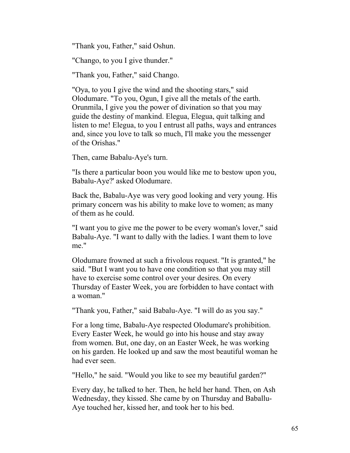"Thank you, Father," said Oshun.

"Chango, to you I give thunder."

"Thank you, Father," said Chango.

"Oya, to you I give the wind and the shooting stars," said Olodumare. "To you, Ogun, I give all the metals of the earth. Orunmila, I give you the power of divination so that you may guide the destiny of mankind. Elegua, Elegua, quit talking and listen to me! Elegua, to you I entrust all paths, ways and entrances and, since you love to talk so much, I'll make you the messenger of the Orishas."

Then, came Babalu-Aye's turn.

"Is there a particular boon you would like me to bestow upon you, Babalu-Aye?' asked Olodumare.

Back the, Babalu-Aye was very good looking and very young. His primary concern was his ability to make love to women; as many of them as he could.

"I want you to give me the power to be every woman's lover," said Babalu-Aye. "I want to dally with the ladies. I want them to love me."

Olodumare frowned at such a frivolous request. "It is granted," he said. "But I want you to have one condition so that you may still have to exercise some control over your desires. On every Thursday of Easter Week, you are forbidden to have contact with a woman."

"Thank you, Father," said Babalu-Aye. "I will do as you say."

For a long time, Babalu-Aye respected Olodumare's prohibition. Every Easter Week, he would go into his house and stay away from women. But, one day, on an Easter Week, he was working on his garden. He looked up and saw the most beautiful woman he had ever seen.

"Hello," he said. "Would you like to see my beautiful garden?"

Every day, he talked to her. Then, he held her hand. Then, on Ash Wednesday, they kissed. She came by on Thursday and Baballu-Aye touched her, kissed her, and took her to his bed.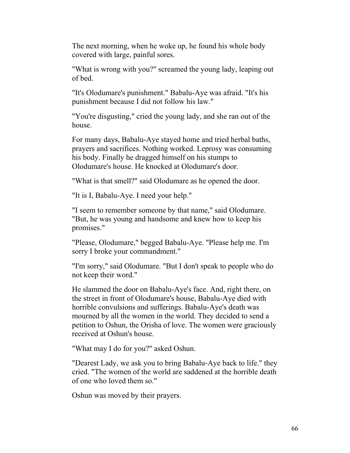The next morning, when he woke up, he found his whole body covered with large, painful sores.

"What is wrong with you?" screamed the young lady, leaping out of bed.

"It's Olodumare's punishment." Babalu-Aye was afraid. "It's his punishment because I did not follow his law."

"You're disgusting," cried the young lady, and she ran out of the house.

For many days, Babalu-Aye stayed home and tried herbal baths, prayers and sacrifices. Nothing worked. Leprosy was consuming his body. Finally he dragged himself on his stumps to Olodumare's house. He knocked at Olodumare's door.

"What is that smell?" said Olodumare as he opened the door.

"It is I, Babalu-Aye. I need your help."

"I seem to remember someone by that name," said Olodumare. "But, he was young and handsome and knew how to keep his promises."

"Please, Olodumare," begged Babalu-Aye. "Please help me. I'm sorry I broke your commandment."

"I'm sorry," said Olodumare. "But I don't speak to people who do not keep their word."

He slammed the door on Babalu-Aye's face. And, right there, on the street in front of Olodumare's house, Babalu-Aye died with horrible convulsions and sufferings. Babalu-Aye's death was mourned by all the women in the world. They decided to send a petition to Oshun, the Orisha of love. The women were graciously received at Oshun's house.

"What may I do for you?" asked Oshun.

"Dearest Lady, we ask you to bring Babalu-Aye back to life." they cried. "The women of the world are saddened at the horrible death of one who loved them so."

Oshun was moved by their prayers.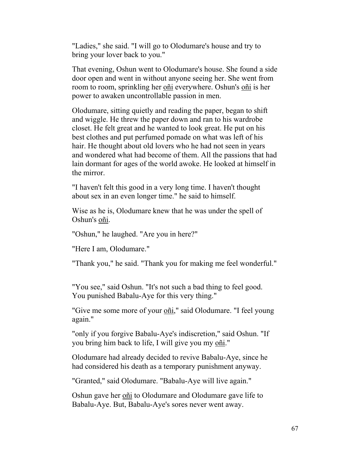"Ladies," she said. "I will go to Olodumare's house and try to bring your lover back to you."

That evening, Oshun went to Olodumare's house. She found a side door open and went in without anyone seeing her. She went from room to room, sprinkling her oñi everywhere. Oshun's oñi is her power to awaken uncontrollable passion in men.

Olodumare, sitting quietly and reading the paper, began to shift and wiggle. He threw the paper down and ran to his wardrobe closet. He felt great and he wanted to look great. He put on his best clothes and put perfumed pomade on what was left of his hair. He thought about old lovers who he had not seen in years and wondered what had become of them. All the passions that had lain dormant for ages of the world awoke. He looked at himself in the mirror.

"I haven't felt this good in a very long time. I haven't thought about sex in an even longer time." he said to himself.

Wise as he is, Olodumare knew that he was under the spell of Oshun's oñi.

"Oshun," he laughed. "Are you in here?"

"Here I am, Olodumare."

"Thank you," he said. "Thank you for making me feel wonderful."

"You see," said Oshun. "It's not such a bad thing to feel good. You punished Babalu-Aye for this very thing."

"Give me some more of your oñi," said Olodumare. "I feel young again."

"only if you forgive Babalu-Aye's indiscretion," said Oshun. "If you bring him back to life, I will give you my oñi."

Olodumare had already decided to revive Babalu-Aye, since he had considered his death as a temporary punishment anyway.

"Granted," said Olodumare. "Babalu-Aye will live again."

Oshun gave her on<sup>i</sup> to Olodumare and Olodumare gave life to Babalu-Aye. But, Babalu-Aye's sores never went away.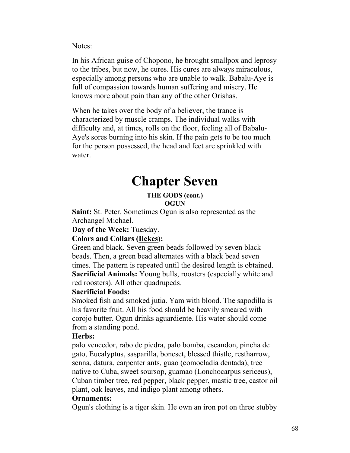Notes:

In his African guise of Chopono, he brought smallpox and leprosy to the tribes, but now, he cures. His cures are always miraculous, especially among persons who are unable to walk. Babalu-Aye is full of compassion towards human suffering and misery. He knows more about pain than any of the other Orishas.

When he takes over the body of a believer, the trance is characterized by muscle cramps. The individual walks with difficulty and, at times, rolls on the floor, feeling all of Babalu-Aye's sores burning into his skin. If the pain gets to be too much for the person possessed, the head and feet are sprinkled with water.

# **Chapter Seven**

### **THE GODS (cont.) OGUN**

**Saint:** St. Peter. Sometimes Ogun is also represented as the Archangel Michael.

**Day of the Week:** Tuesday.

### **Colors and Collars (Ilekes):**

Green and black. Seven green beads followed by seven black beads. Then, a green bead alternates with a black bead seven times. The pattern is repeated until the desired length is obtained. **Sacrificial Animals:** Young bulls, roosters (especially white and red roosters). All other quadrupeds.

### **Sacrificial Foods:**

Smoked fish and smoked jutia. Yam with blood. The sapodilla is his favorite fruit. All his food should be heavily smeared with corojo butter. Ogun drinks aguardiente. His water should come from a standing pond.

### **Herbs:**

palo vencedor, rabo de piedra, palo bomba, escandon, pincha de gato, Eucalyptus, sasparilla, boneset, blessed thistle, restharrow, senna, datura, carpenter ants, guao (comocladia dentada), tree native to Cuba, sweet soursop, guamao (Lonchocarpus sericeus), Cuban timber tree, red pepper, black pepper, mastic tree, castor oil plant, oak leaves, and indigo plant among others.

### **Ornaments:**

Ogun's clothing is a tiger skin. He own an iron pot on three stubby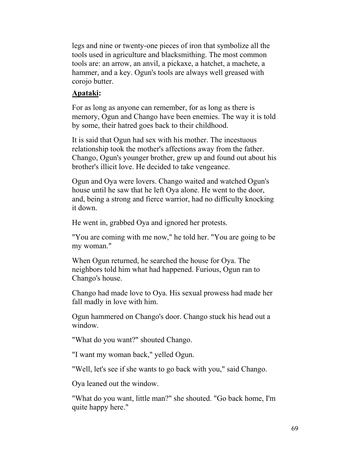legs and nine or twenty-one pieces of iron that symbolize all the tools used in agriculture and blacksmithing. The most common tools are: an arrow, an anvil, a pickaxe, a hatchet, a machete, a hammer, and a key. Ogun's tools are always well greased with corojo butter.

### **Apataki:**

For as long as anyone can remember, for as long as there is memory, Ogun and Chango have been enemies. The way it is told by some, their hatred goes back to their childhood.

It is said that Ogun had sex with his mother. The incestuous relationship took the mother's affections away from the father. Chango, Ogun's younger brother, grew up and found out about his brother's illicit love. He decided to take vengeance.

Ogun and Oya were lovers. Chango waited and watched Ogun's house until he saw that he left Oya alone. He went to the door, and, being a strong and fierce warrior, had no difficulty knocking it down.

He went in, grabbed Oya and ignored her protests.

"You are coming with me now," he told her. "You are going to be my woman."

When Ogun returned, he searched the house for Oya. The neighbors told him what had happened. Furious, Ogun ran to Chango's house.

Chango had made love to Oya. His sexual prowess had made her fall madly in love with him.

Ogun hammered on Chango's door. Chango stuck his head out a window.

"What do you want?" shouted Chango.

"I want my woman back," yelled Ogun.

"Well, let's see if she wants to go back with you," said Chango.

Oya leaned out the window.

"What do you want, little man?" she shouted. "Go back home, I'm quite happy here."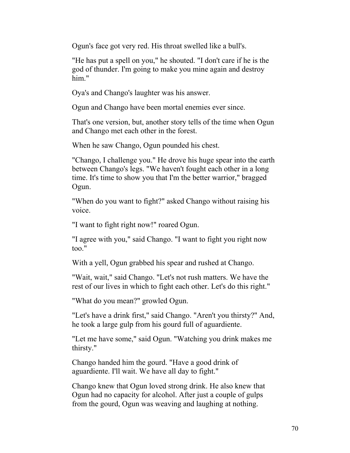Ogun's face got very red. His throat swelled like a bull's.

"He has put a spell on you," he shouted. "I don't care if he is the god of thunder. I'm going to make you mine again and destroy him."

Oya's and Chango's laughter was his answer.

Ogun and Chango have been mortal enemies ever since.

That's one version, but, another story tells of the time when Ogun and Chango met each other in the forest.

When he saw Chango, Ogun pounded his chest.

"Chango, I challenge you." He drove his huge spear into the earth between Chango's legs. "We haven't fought each other in a long time. It's time to show you that I'm the better warrior," bragged Ogun.

"When do you want to fight?" asked Chango without raising his voice.

"I want to fight right now!" roared Ogun.

"I agree with you," said Chango. "I want to fight you right now too."

With a yell, Ogun grabbed his spear and rushed at Chango.

"Wait, wait," said Chango. "Let's not rush matters. We have the rest of our lives in which to fight each other. Let's do this right."

"What do you mean?" growled Ogun.

"Let's have a drink first," said Chango. "Aren't you thirsty?" And, he took a large gulp from his gourd full of aguardiente.

"Let me have some," said Ogun. "Watching you drink makes me thirsty."

Chango handed him the gourd. "Have a good drink of aguardiente. I'll wait. We have all day to fight."

Chango knew that Ogun loved strong drink. He also knew that Ogun had no capacity for alcohol. After just a couple of gulps from the gourd, Ogun was weaving and laughing at nothing.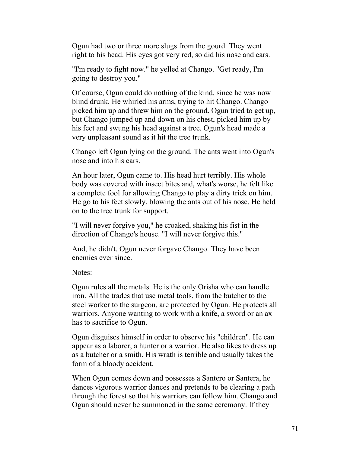Ogun had two or three more slugs from the gourd. They went right to his head. His eyes got very red, so did his nose and ears.

"I'm ready to fight now." he yelled at Chango. "Get ready, I'm going to destroy you."

Of course, Ogun could do nothing of the kind, since he was now blind drunk. He whirled his arms, trying to hit Chango. Chango picked him up and threw him on the ground. Ogun tried to get up, but Chango jumped up and down on his chest, picked him up by his feet and swung his head against a tree. Ogun's head made a very unpleasant sound as it hit the tree trunk.

Chango left Ogun lying on the ground. The ants went into Ogun's nose and into his ears.

An hour later, Ogun came to. His head hurt terribly. His whole body was covered with insect bites and, what's worse, he felt like a complete fool for allowing Chango to play a dirty trick on him. He go to his feet slowly, blowing the ants out of his nose. He held on to the tree trunk for support.

"I will never forgive you," he croaked, shaking his fist in the direction of Chango's house. "I will never forgive this."

And, he didn't. Ogun never forgave Chango. They have been enemies ever since.

Notes:

Ogun rules all the metals. He is the only Orisha who can handle iron. All the trades that use metal tools, from the butcher to the steel worker to the surgeon, are protected by Ogun. He protects all warriors. Anyone wanting to work with a knife, a sword or an ax has to sacrifice to Ogun.

Ogun disguises himself in order to observe his "children". He can appear as a laborer, a hunter or a warrior. He also likes to dress up as a butcher or a smith. His wrath is terrible and usually takes the form of a bloody accident.

When Ogun comes down and possesses a Santero or Santera, he dances vigorous warrior dances and pretends to be clearing a path through the forest so that his warriors can follow him. Chango and Ogun should never be summoned in the same ceremony. If they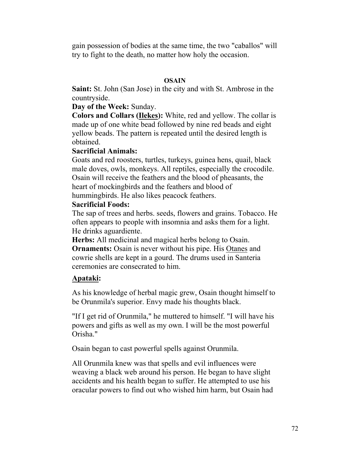gain possession of bodies at the same time, the two "caballos" will try to fight to the death, no matter how holy the occasion.

### **OSAIN**

**Saint:** St. John (San Jose) in the city and with St. Ambrose in the countryside.

### **Day of the Week:** Sunday.

**Colors and Collars (Ilekes):** White, red and yellow. The collar is made up of one white bead followed by nine red beads and eight yellow beads. The pattern is repeated until the desired length is obtained.

### **Sacrificial Animals:**

Goats and red roosters, turtles, turkeys, guinea hens, quail, black male doves, owls, monkeys. All reptiles, especially the crocodile. Osain will receive the feathers and the blood of pheasants, the heart of mockingbirds and the feathers and blood of hummingbirds. He also likes peacock feathers.

### **Sacrificial Foods:**

The sap of trees and herbs. seeds, flowers and grains. Tobacco. He often appears to people with insomnia and asks them for a light. He drinks aguardiente.

**Herbs:** All medicinal and magical herbs belong to Osain.

**Ornaments:** Osain is never without his pipe. His Otanes and cowrie shells are kept in a gourd. The drums used in Santeria ceremonies are consecrated to him.

### **Apataki:**

As his knowledge of herbal magic grew, Osain thought himself to be Orunmila's superior. Envy made his thoughts black.

"If I get rid of Orunmila," he muttered to himself. "I will have his powers and gifts as well as my own. I will be the most powerful Orisha."

Osain began to cast powerful spells against Orunmila.

All Orunmila knew was that spells and evil influences were weaving a black web around his person. He began to have slight accidents and his health began to suffer. He attempted to use his oracular powers to find out who wished him harm, but Osain had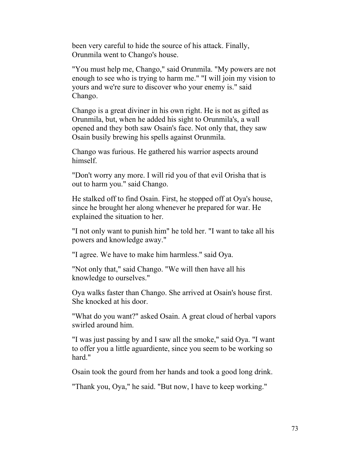been very careful to hide the source of his attack. Finally, Orunmila went to Chango's house.

"You must help me, Chango," said Orunmila. "My powers are not enough to see who is trying to harm me." "I will join my vision to yours and we're sure to discover who your enemy is." said Chango.

Chango is a great diviner in his own right. He is not as gifted as Orunmila, but, when he added his sight to Orunmila's, a wall opened and they both saw Osain's face. Not only that, they saw Osain busily brewing his spells against Orunmila.

Chango was furious. He gathered his warrior aspects around himself.

"Don't worry any more. I will rid you of that evil Orisha that is out to harm you." said Chango.

He stalked off to find Osain. First, he stopped off at Oya's house, since he brought her along whenever he prepared for war. He explained the situation to her.

"I not only want to punish him" he told her. "I want to take all his powers and knowledge away."

"I agree. We have to make him harmless." said Oya.

"Not only that," said Chango. "We will then have all his knowledge to ourselves."

Oya walks faster than Chango. She arrived at Osain's house first. She knocked at his door.

"What do you want?" asked Osain. A great cloud of herbal vapors swirled around him.

"I was just passing by and I saw all the smoke," said Oya. "I want to offer you a little aguardiente, since you seem to be working so hard."

Osain took the gourd from her hands and took a good long drink.

"Thank you, Oya," he said. "But now, I have to keep working."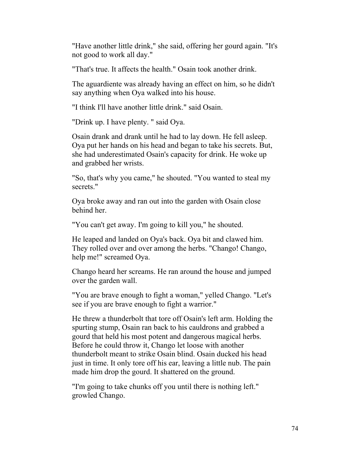"Have another little drink," she said, offering her gourd again. "It's not good to work all day."

"That's true. It affects the health." Osain took another drink.

The aguardiente was already having an effect on him, so he didn't say anything when Oya walked into his house.

"I think I'll have another little drink." said Osain.

"Drink up. I have plenty. " said Oya.

Osain drank and drank until he had to lay down. He fell asleep. Oya put her hands on his head and began to take his secrets. But, she had underestimated Osain's capacity for drink. He woke up and grabbed her wrists.

"So, that's why you came," he shouted. "You wanted to steal my secrets."

Oya broke away and ran out into the garden with Osain close behind her.

"You can't get away. I'm going to kill you," he shouted.

He leaped and landed on Oya's back. Oya bit and clawed him. They rolled over and over among the herbs. "Chango! Chango, help me!" screamed Oya.

Chango heard her screams. He ran around the house and jumped over the garden wall.

"You are brave enough to fight a woman," yelled Chango. "Let's see if you are brave enough to fight a warrior."

He threw a thunderbolt that tore off Osain's left arm. Holding the spurting stump, Osain ran back to his cauldrons and grabbed a gourd that held his most potent and dangerous magical herbs. Before he could throw it, Chango let loose with another thunderbolt meant to strike Osain blind. Osain ducked his head just in time. It only tore off his ear, leaving a little nub. The pain made him drop the gourd. It shattered on the ground.

"I'm going to take chunks off you until there is nothing left." growled Chango.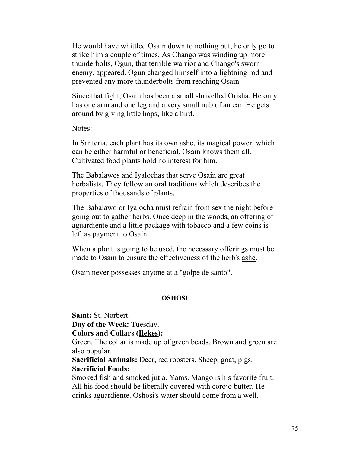He would have whittled Osain down to nothing but, he only go to strike him a couple of times. As Chango was winding up more thunderbolts, Ogun, that terrible warrior and Chango's sworn enemy, appeared. Ogun changed himself into a lightning rod and prevented any more thunderbolts from reaching Osain.

Since that fight, Osain has been a small shrivelled Orisha. He only has one arm and one leg and a very small nub of an ear. He gets around by giving little hops, like a bird.

Notes:

In Santeria, each plant has its own ashe, its magical power, which can be either harmful or beneficial. Osain knows them all. Cultivated food plants hold no interest for him.

The Babalawos and Iyalochas that serve Osain are great herbalists. They follow an oral traditions which describes the properties of thousands of plants.

The Babalawo or Iyalocha must refrain from sex the night before going out to gather herbs. Once deep in the woods, an offering of aguardiente and a little package with tobacco and a few coins is left as payment to Osain.

When a plant is going to be used, the necessary offerings must be made to Osain to ensure the effectiveness of the herb's ashe.

Osain never possesses anyone at a "golpe de santo".

#### **OSHOSI**

**Saint:** St. Norbert. **Day of the Week:** Tuesday. **Colors and Collars (Ilekes):** Green. The collar is made up of green beads. Brown and green are also popular. **Sacrificial Animals:** Deer, red roosters. Sheep, goat, pigs. **Sacrificial Foods:** Smoked fish and smoked jutia. Yams. Mango is his favorite fruit. All his food should be liberally covered with corojo butter. He drinks aguardiente. Oshosi's water should come from a well.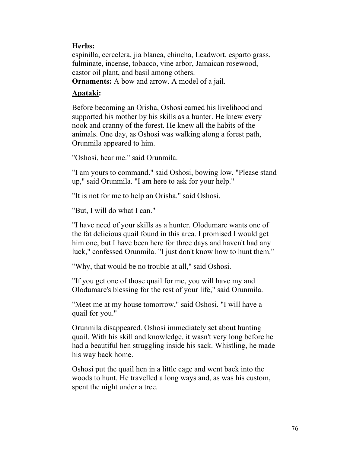# **Herbs:**

espinilla, cercelera, jia blanca, chincha, Leadwort, esparto grass, fulminate, incense, tobacco, vine arbor, Jamaican rosewood, castor oil plant, and basil among others.

**Ornaments:** A bow and arrow. A model of a jail.

# **Apataki:**

Before becoming an Orisha, Oshosi earned his livelihood and supported his mother by his skills as a hunter. He knew every nook and cranny of the forest. He knew all the habits of the animals. One day, as Oshosi was walking along a forest path, Orunmila appeared to him.

"Oshosi, hear me." said Orunmila.

"I am yours to command." said Oshosi, bowing low. "Please stand up," said Orunmila. "I am here to ask for your help."

"It is not for me to help an Orisha." said Oshosi.

"But, I will do what I can."

"I have need of your skills as a hunter. Olodumare wants one of the fat delicious quail found in this area. I promised I would get him one, but I have been here for three days and haven't had any luck," confessed Orunmila. "I just don't know how to hunt them."

"Why, that would be no trouble at all," said Oshosi.

"If you get one of those quail for me, you will have my and Olodumare's blessing for the rest of your life," said Orunmila.

"Meet me at my house tomorrow," said Oshosi. "I will have a quail for you."

Orunmila disappeared. Oshosi immediately set about hunting quail. With his skill and knowledge, it wasn't very long before he had a beautiful hen struggling inside his sack. Whistling, he made his way back home.

Oshosi put the quail hen in a little cage and went back into the woods to hunt. He travelled a long ways and, as was his custom, spent the night under a tree.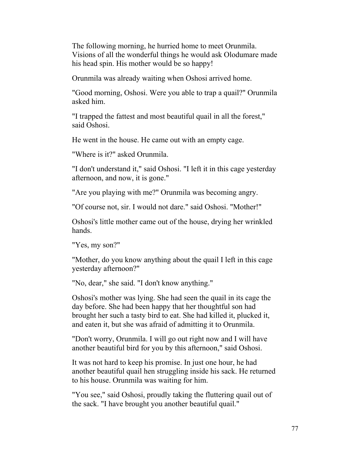The following morning, he hurried home to meet Orunmila. Visions of all the wonderful things he would ask Olodumare made his head spin. His mother would be so happy!

Orunmila was already waiting when Oshosi arrived home.

"Good morning, Oshosi. Were you able to trap a quail?" Orunmila asked him.

"I trapped the fattest and most beautiful quail in all the forest," said Oshosi.

He went in the house. He came out with an empty cage.

"Where is it?" asked Orunmila.

"I don't understand it," said Oshosi. "I left it in this cage yesterday afternoon, and now, it is gone."

"Are you playing with me?" Orunmila was becoming angry.

"Of course not, sir. I would not dare." said Oshosi. "Mother!"

Oshosi's little mother came out of the house, drying her wrinkled hands.

"Yes, my son?"

"Mother, do you know anything about the quail I left in this cage yesterday afternoon?"

"No, dear," she said. "I don't know anything."

Oshosi's mother was lying. She had seen the quail in its cage the day before. She had been happy that her thoughtful son had brought her such a tasty bird to eat. She had killed it, plucked it, and eaten it, but she was afraid of admitting it to Orunmila.

"Don't worry, Orunmila. I will go out right now and I will have another beautiful bird for you by this afternoon," said Oshosi.

It was not hard to keep his promise. In just one hour, he had another beautiful quail hen struggling inside his sack. He returned to his house. Orunmila was waiting for him.

"You see," said Oshosi, proudly taking the fluttering quail out of the sack. "I have brought you another beautiful quail."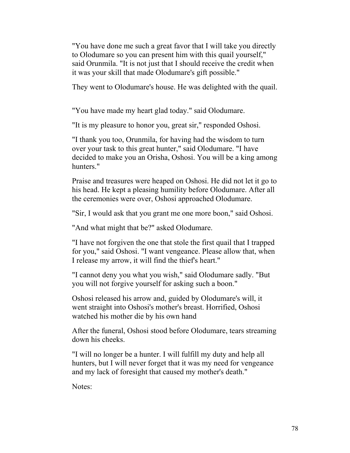"You have done me such a great favor that I will take you directly to Olodumare so you can present him with this quail yourself," said Orunmila. "It is not just that I should receive the credit when it was your skill that made Olodumare's gift possible."

They went to Olodumare's house. He was delighted with the quail.

"You have made my heart glad today." said Olodumare.

"It is my pleasure to honor you, great sir," responded Oshosi.

"I thank you too, Orunmila, for having had the wisdom to turn over your task to this great hunter," said Olodumare. "I have decided to make you an Orisha, Oshosi. You will be a king among hunters."

Praise and treasures were heaped on Oshosi. He did not let it go to his head. He kept a pleasing humility before Olodumare. After all the ceremonies were over, Oshosi approached Olodumare.

"Sir, I would ask that you grant me one more boon," said Oshosi.

"And what might that be?" asked Olodumare.

"I have not forgiven the one that stole the first quail that I trapped for you," said Oshosi. "I want vengeance. Please allow that, when I release my arrow, it will find the thief's heart."

"I cannot deny you what you wish," said Olodumare sadly. "But you will not forgive yourself for asking such a boon."

Oshosi released his arrow and, guided by Olodumare's will, it went straight into Oshosi's mother's breast. Horrified, Oshosi watched his mother die by his own hand

After the funeral, Oshosi stood before Olodumare, tears streaming down his cheeks.

"I will no longer be a hunter. I will fulfill my duty and help all hunters, but I will never forget that it was my need for vengeance and my lack of foresight that caused my mother's death."

Notes: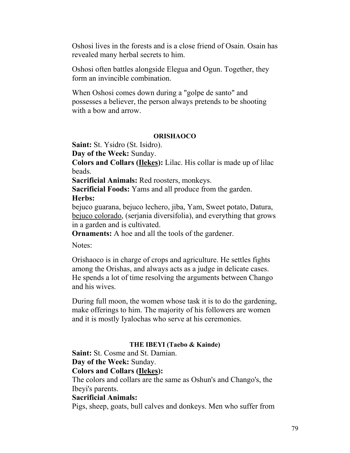Oshosi lives in the forests and is a close friend of Osain. Osain has revealed many herbal secrets to him.

Oshosi often battles alongside Elegua and Ogun. Together, they form an invincible combination.

When Oshosi comes down during a "golpe de santo" and possesses a believer, the person always pretends to be shooting with a bow and arrow.

#### **ORISHAOCO**

**Saint:** St. Ysidro (St. Isidro).

**Day of the Week:** Sunday.

**Colors and Collars (Ilekes):** Lilac. His collar is made up of lilac beads.

**Sacrificial Animals:** Red roosters, monkeys.

**Sacrificial Foods:** Yams and all produce from the garden.

## **Herbs:**

bejuco guarana, bejuco lechero, jiba, Yam, Sweet potato, Datura, bejuco colorado, (serjania diversifolia), and everything that grows in a garden and is cultivated.

**Ornaments:** A hoe and all the tools of the gardener.

Notes:

Orishaoco is in charge of crops and agriculture. He settles fights among the Orishas, and always acts as a judge in delicate cases. He spends a lot of time resolving the arguments between Chango and his wives.

During full moon, the women whose task it is to do the gardening, make offerings to him. The majority of his followers are women and it is mostly Iyalochas who serve at his ceremonies.

#### **THE IBEYI (Taebo & Kainde)**

**Saint:** St. Cosme and St. Damian.

#### **Day of the Week:** Sunday.

#### **Colors and Collars (Ilekes):**

The colors and collars are the same as Oshun's and Chango's, the Ibeyi's parents.

#### **Sacrificial Animals:**

Pigs, sheep, goats, bull calves and donkeys. Men who suffer from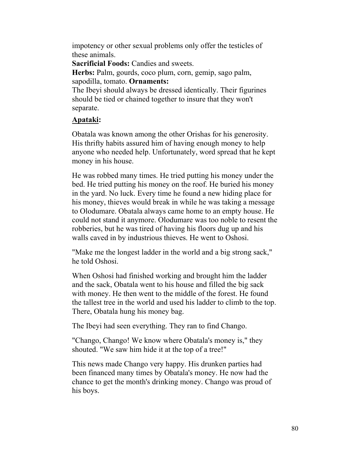impotency or other sexual problems only offer the testicles of these animals.

**Sacrificial Foods:** Candies and sweets.

**Herbs:** Palm, gourds, coco plum, corn, gemip, sago palm, sapodilla, tomato. **Ornaments:**

The Ibeyi should always be dressed identically. Their figurines should be tied or chained together to insure that they won't separate.

# **Apataki:**

Obatala was known among the other Orishas for his generosity. His thrifty habits assured him of having enough money to help anyone who needed help. Unfortunately, word spread that he kept money in his house.

He was robbed many times. He tried putting his money under the bed. He tried putting his money on the roof. He buried his money in the yard. No luck. Every time he found a new hiding place for his money, thieves would break in while he was taking a message to Olodumare. Obatala always came home to an empty house. He could not stand it anymore. Olodumare was too noble to resent the robberies, but he was tired of having his floors dug up and his walls caved in by industrious thieves. He went to Oshosi.

"Make me the longest ladder in the world and a big strong sack," he told Oshosi.

When Oshosi had finished working and brought him the ladder and the sack, Obatala went to his house and filled the big sack with money. He then went to the middle of the forest. He found the tallest tree in the world and used his ladder to climb to the top. There, Obatala hung his money bag.

The Ibeyi had seen everything. They ran to find Chango.

"Chango, Chango! We know where Obatala's money is," they shouted. "We saw him hide it at the top of a tree!"

This news made Chango very happy. His drunken parties had been financed many times by Obatala's money. He now had the chance to get the month's drinking money. Chango was proud of his boys.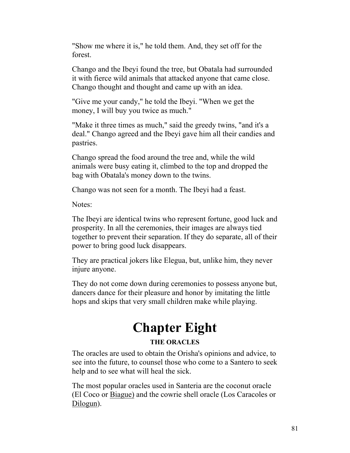"Show me where it is," he told them. And, they set off for the forest.

Chango and the Ibeyi found the tree, but Obatala had surrounded it with fierce wild animals that attacked anyone that came close. Chango thought and thought and came up with an idea.

"Give me your candy," he told the Ibeyi. "When we get the money, I will buy you twice as much."

"Make it three times as much," said the greedy twins, "and it's a deal." Chango agreed and the Ibeyi gave him all their candies and pastries.

Chango spread the food around the tree and, while the wild animals were busy eating it, climbed to the top and dropped the bag with Obatala's money down to the twins.

Chango was not seen for a month. The Ibeyi had a feast.

Notes:

The Ibeyi are identical twins who represent fortune, good luck and prosperity. In all the ceremonies, their images are always tied together to prevent their separation. If they do separate, all of their power to bring good luck disappears.

They are practical jokers like Elegua, but, unlike him, they never injure anyone.

They do not come down during ceremonies to possess anyone but, dancers dance for their pleasure and honor by imitating the little hops and skips that very small children make while playing.

# **Chapter Eight**

# **THE ORACLES**

The oracles are used to obtain the Orisha's opinions and advice, to see into the future, to counsel those who come to a Santero to seek help and to see what will heal the sick.

The most popular oracles used in Santeria are the coconut oracle (El Coco or Biague) and the cowrie shell oracle (Los Caracoles or Dilogun).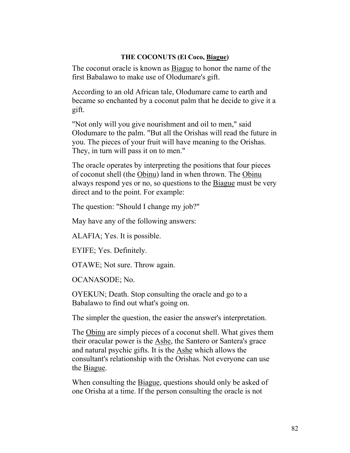#### **THE COCONUTS (El Coco, Biague)**

The coconut oracle is known as Biague to honor the name of the first Babalawo to make use of Olodumare's gift.

According to an old African tale, Olodumare came to earth and became so enchanted by a coconut palm that he decide to give it a gift.

"Not only will you give nourishment and oil to men," said Olodumare to the palm. "But all the Orishas will read the future in you. The pieces of your fruit will have meaning to the Orishas. They, in turn will pass it on to men."

The oracle operates by interpreting the positions that four pieces of coconut shell (the Obinu) land in when thrown. The Obinu always respond yes or no, so questions to the Biague must be very direct and to the point. For example:

The question: "Should I change my job?"

May have any of the following answers:

ALAFIA; Yes. It is possible.

EYIFE; Yes. Definitely.

OTAWE; Not sure. Throw again.

OCANASODE; No.

OYEKUN; Death. Stop consulting the oracle and go to a Babalawo to find out what's going on.

The simpler the question, the easier the answer's interpretation.

The Obinu are simply pieces of a coconut shell. What gives them their oracular power is the Ashe, the Santero or Santera's grace and natural psychic gifts. It is the Ashe which allows the consultant's relationship with the Orishas. Not everyone can use the Biague.

When consulting the Biague, questions should only be asked of one Orisha at a time. If the person consulting the oracle is not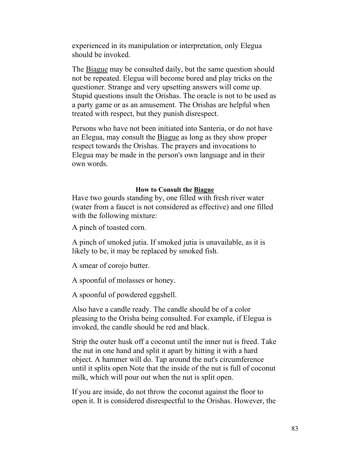experienced in its manipulation or interpretation, only Elegua should be invoked.

The Biague may be consulted daily, but the same question should not be repeated. Elegua will become bored and play tricks on the questioner. Strange and very upsetting answers will come up. Stupid questions insult the Orishas. The oracle is not to be used as a party game or as an amusement. The Orishas are helpful when treated with respect, but they punish disrespect.

Persons who have not been initiated into Santeria, or do not have an Elegua, may consult the Biague as long as they show proper respect towards the Orishas. The prayers and invocations to Elegua may be made in the person's own language and in their own words.

#### **How to Consult the Biague**

Have two gourds standing by, one filled with fresh river water (water from a faucet is not considered as effective) and one filled with the following mixture:

A pinch of toasted corn.

A pinch of smoked jutia. If smoked jutia is unavailable, as it is likely to be, it may be replaced by smoked fish.

A smear of corojo butter.

A spoonful of molasses or honey.

A spoonful of powdered eggshell.

Also have a candle ready. The candle should be of a color pleasing to the Orisha being consulted. For example, if Elegua is invoked, the candle should be red and black.

Strip the outer husk off a coconut until the inner nut is freed. Take the nut in one hand and split it apart by hitting it with a hard object. A hammer will do. Tap around the nut's circumference until it splits open Note that the inside of the nut is full of coconut milk, which will pour out when the nut is split open.

If you are inside, do not throw the coconut against the floor to open it. It is considered disrespectful to the Orishas. However, the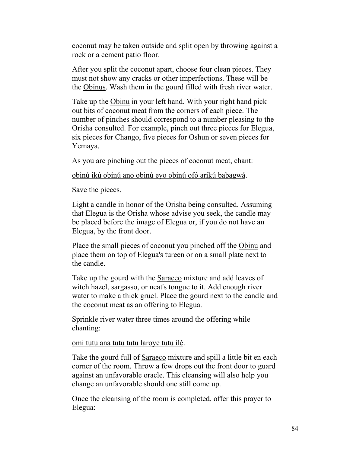coconut may be taken outside and split open by throwing against a rock or a cement patio floor.

After you split the coconut apart, choose four clean pieces. They must not show any cracks or other imperfections. These will be the Obinus. Wash them in the gourd filled with fresh river water.

Take up the Obinu in your left hand. With your right hand pick out bits of coconut meat from the corners of each piece. The number of pinches should correspond to a number pleasing to the Orisha consulted. For example, pinch out three pieces for Elegua, six pieces for Chango, five pieces for Oshun or seven pieces for Yemaya.

As you are pinching out the pieces of coconut meat, chant:

obinú ikú obinú ano obinú eyo obinú ofó arikú babagwá.

Save the pieces.

Light a candle in honor of the Orisha being consulted. Assuming that Elegua is the Orisha whose advise you seek, the candle may be placed before the image of Elegua or, if you do not have an Elegua, by the front door.

Place the small pieces of coconut you pinched off the Obinu and place them on top of Elegua's tureen or on a small plate next to the candle.

Take up the gourd with the Saraceo mixture and add leaves of witch hazel, sargasso, or neat's tongue to it. Add enough river water to make a thick gruel. Place the gourd next to the candle and the coconut meat as an offering to Elegua.

Sprinkle river water three times around the offering while chanting:

#### omi tutu ana tutu tutu laroye tutu ilé.

Take the gourd full of Saraeco mixture and spill a little bit en each corner of the room. Throw a few drops out the front door to guard against an unfavorable oracle. This cleansing will also help you change an unfavorable should one still come up.

Once the cleansing of the room is completed, offer this prayer to Elegua: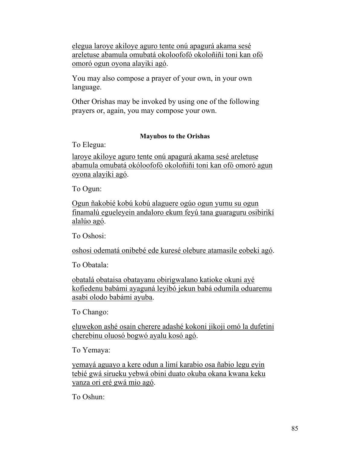elegua laroye akiloye aguro tente onú apagurá akama sesé areletuse abamula omubatá okoloofofó okoloñiñi toni kan ofó omoró ogun oyona alayiki agó.

You may also compose a prayer of your own, in your own language.

Other Orishas may be invoked by using one of the following prayers or, again, you may compose your own.

## **Mayubos to the Orishas**

To Elegua:

laroye akiloye aguro tente onú apagurá akama sesé areletuse abamula omubatá okóloofofó okoloñiñi toni kan ofó omoró agun oyona alayiki agó.

To Ogun:

Ogun ñakobié kobú kobú alaguere ogúo ogun yumu su ogun finamalú egueleyein andaloro ekum feyú tana guaraguru osibirikí alalúo agó.

To Oshosi:

oshosi odematá onibebé ede kuresé olebure atamasile eobeki agó.

To Obatala:

obatalá obataisa obatayanu obirigwalano katioke okuni ayé kofiedenu babámi ayaguná leyibó jekun babá odumila oduaremu asabi olodo babámi ayuba.

To Chango:

eluwekon ashé osain cherere adashé kokoni jikoji omó la dufetini cherebinu oluosó bogwó ayalu kosó agó.

To Yemaya:

yemayá aguayo a kere odun a limí karabio osa ñabio legu eyin tebié gwá sirueku yebwá obini duato okuba okana kwana keku yanza ori eré gwá mio agó.

To Oshun: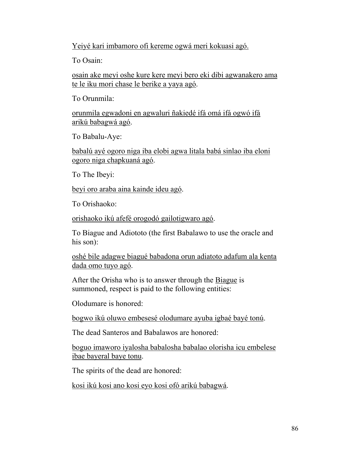Yeiyé kari imbamoro ofi kereme ogwá meri kokuasi agó.

To Osain:

osain ake meyi oshe kure kere meyi bero eki dibi agwanakero ama te le iku mori chase le berike a yaya agó.

To Orunmila:

orunmila egwadoni en agwaluri ñakiedé ifá omá ifá ogwó ifá arikú babagwá agó.

To Babalu-Aye:

babalú ayé ogoro niga iba elobi agwa litala babá sinlao iba eloni ogoro niga chapkuaná agó.

To The Ibeyi:

beyi oro araba aina kainde ideu agó.

To Orishaoko:

orishaoko ikú afefé orogodó gailotigwaro agó.

To Biague and Adiototo (the first Babalawo to use the oracle and his son):

oshé bile adagwe biagué babadona orun adiatoto adafum ala kenta dada omo tuyo agó.

After the Orisha who is to answer through the Biague is summoned, respect is paid to the following entities:

Olodumare is honored:

bogwo ikú oluwo embesesé olodumare ayuba igbaé bayé tonú.

The dead Santeros and Babalawos are honored:

boguo imaworo iyalosha babalosha babalao olorisha icu embelese ibae bayeral baye tonu.

The spirits of the dead are honored:

kosi ikú kosi ano kosi eyo kosi ofó arikú babagwá.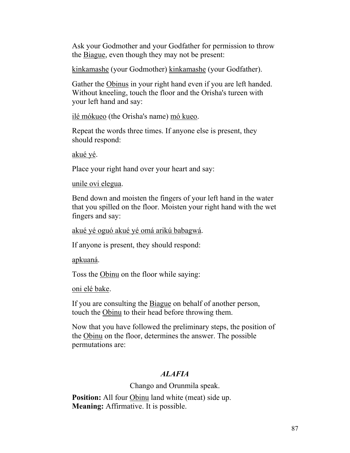Ask your Godmother and your Godfather for permission to throw the Biague, even though they may not be present:

kinkamashe (your Godmother) kinkamashe (your Godfather).

Gather the Obinus in your right hand even if you are left handed. Without kneeling, touch the floor and the Orisha's tureen with your left hand and say:

ilé mókueo (the Orisha's name) mó kueo.

Repeat the words three times. If anyone else is present, they should respond:

akué yé.

Place your right hand over your heart and say:

unile ovi elegua.

Bend down and moisten the fingers of your left hand in the water that you spilled on the floor. Moisten your right hand with the wet fingers and say:

akué yé oguó akué yé omá arikú babagwá.

If anyone is present, they should respond:

apkuaná.

Toss the Obinu on the floor while saying:

oni elé bake.

If you are consulting the Biague on behalf of another person, touch the Obinu to their head before throwing them.

Now that you have followed the preliminary steps, the position of the Obinu on the floor, determines the answer. The possible permutations are:

# *ALAFIA*

Chango and Orunmila speak.

**Position:** All four Obinu land white (meat) side up. **Meaning:** Affirmative. It is possible.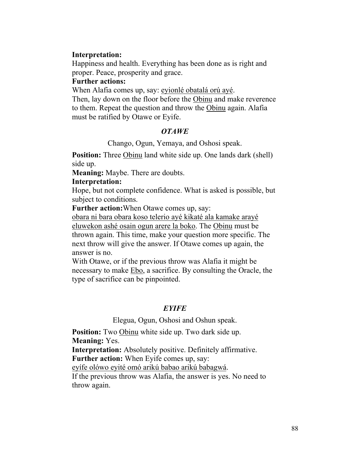## **Interpretation:**

Happiness and health. Everything has been done as is right and proper. Peace, prosperity and grace.

## **Further actions:**

When Alafia comes up, say: eyionlé obatalá orú ayé.

Then, lay down on the floor before the Obinu and make reverence to them. Repeat the question and throw the Obinu again. Alafia must be ratified by Otawe or Eyife.

#### *OTAWE*

Chango, Ogun, Yemaya, and Oshosi speak.

**Position:** Three Obinu land white side up. One lands dark (shell) side up.

**Meaning:** Maybe. There are doubts.

#### **Interpretation:**

Hope, but not complete confidence. What is asked is possible, but subject to conditions.

**Further action:**When Otawe comes up, say:

obara ni bara obara koso telerio ayé kikaté ala kamake arayé eluwekon ashé osain ogun arere la boko. The Obinu must be thrown again. This time, make your question more specific. The next throw will give the answer. If Otawe comes up again, the answer is no.

With Otawe, or if the previous throw was Alafia it might be necessary to make Ebo, a sacrifice. By consulting the Oracle, the type of sacrifice can be pinpointed.

## *EYIFE*

Elegua, Ogun, Oshosi and Oshun speak.

**Position:** Two Obinu white side up. Two dark side up. **Meaning:** Yes. **Interpretation:** Absolutely positive. Definitely affirmative. **Further action:** When Eyife comes up, say: eyífe olówo eyité omó arikú babao arikú babagwá. If the previous throw was Alafia, the answer is yes. No need to throw again.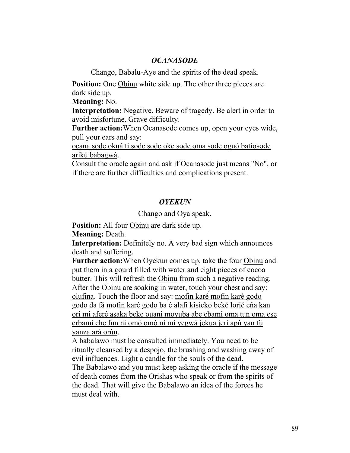## *OCANASODE*

Chango, Babalu-Aye and the spirits of the dead speak.

**Position:** One Obinu white side up. The other three pieces are dark side up.

**Meaning:** No.

**Interpretation:** Negative. Beware of tragedy. Be alert in order to avoid misfortune. Grave difficulty.

**Further action:**When Ocanasode comes up, open your eyes wide, pull your ears and say:

ocana sode okuá ti sode sode oke sode oma sode oguó batiosode arikú babagwá.

Consult the oracle again and ask if Ocanasode just means "No", or if there are further difficulties and complications present.

#### *OYEKUN*

Chango and Oya speak.

**Position:** All four Obinu are dark side up.

**Meaning:** Death.

**Interpretation:** Definitely no. A very bad sign which announces death and suffering.

**Further action:**When Oyekun comes up, take the four Obinu and put them in a gourd filled with water and eight pieces of cocoa butter. This will refresh the Obinu from such a negative reading. After the Obinu are soaking in water, touch your chest and say: olufina. Touch the floor and say: mofin karé mofin karé godo godo da fá mofin karé godo ba é alafi kisieko beké lorié eña kan ori mi aferé asaka beke ouani moyuba abe ebami oma tun oma ese erbami che fun ni omó omó ni mi yegwá jekua jeri apú yan fú yanza ará orún.

A babalawo must be consulted immediately. You need to be ritually cleansed by a despojo, the brushing and washing away of evil influences. Light a candle for the souls of the dead.

The Babalawo and you must keep asking the oracle if the message of death comes from the Orishas who speak or from the spirits of the dead. That will give the Babalawo an idea of the forces he must deal with.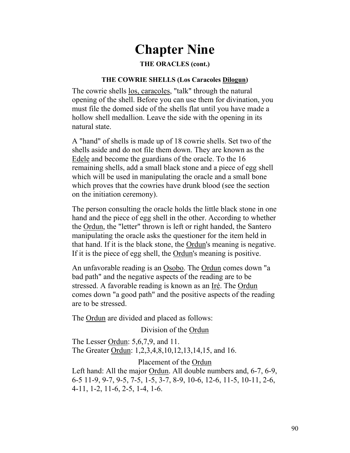# **Chapter Nine**

#### **THE ORACLES (cont.)**

#### **THE COWRIE SHELLS (Los Caracoles Dilogun)**

The cowrie shells los, caracoles, "talk" through the natural opening of the shell. Before you can use them for divination, you must file the domed side of the shells flat until you have made a hollow shell medallion. Leave the side with the opening in its natural state.

A "hand" of shells is made up of 18 cowrie shells. Set two of the shells aside and do not file them down. They are known as the Edele and become the guardians of the oracle. To the 16 remaining shells, add a small black stone and a piece of egg shell which will be used in manipulating the oracle and a small bone which proves that the cowries have drunk blood (see the section on the initiation ceremony).

The person consulting the oracle holds the little black stone in one hand and the piece of egg shell in the other. According to whether the Ordun, the "letter" thrown is left or right handed, the Santero manipulating the oracle asks the questioner for the item held in that hand. If it is the black stone, the Ordun's meaning is negative. If it is the piece of egg shell, the Ordun's meaning is positive.

An unfavorable reading is an Osobo. The Ordun comes down "a bad path" and the negative aspects of the reading are to be stressed. A favorable reading is known as an Iré. The Ordun comes down "a good path" and the positive aspects of the reading are to be stressed.

The Ordun are divided and placed as follows:

Division of the Ordun

The Lesser Ordun: 5,6,7,9, and 11.

The Greater Ordun: 1,2,3,4,8,10,12,13,14,15, and 16.

Placement of the Ordun

Left hand: All the major Ordun. All double numbers and, 6-7, 6-9, 6-5 11-9, 9-7, 9-5, 7-5, 1-5, 3-7, 8-9, 10-6, 12-6, 11-5, 10-11, 2-6, 4-11, 1-2, 11-6, 2-5, 1-4, 1-6.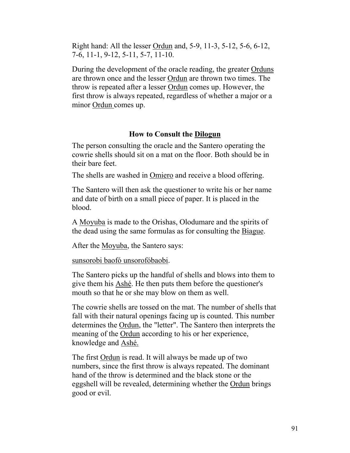Right hand: All the lesser Ordun and, 5-9, 11-3, 5-12, 5-6, 6-12, 7-6, 11-1, 9-12, 5-11, 5-7, 11-10.

During the development of the oracle reading, the greater Orduns are thrown once and the lesser Ordun are thrown two times. The throw is repeated after a lesser Ordun comes up. However, the first throw is always repeated, regardless of whether a major or a minor Ordun comes up.

## **How to Consult the Dilogun**

The person consulting the oracle and the Santero operating the cowrie shells should sit on a mat on the floor. Both should be in their bare feet.

The shells are washed in Omiero and receive a blood offering.

The Santero will then ask the questioner to write his or her name and date of birth on a small piece of paper. It is placed in the blood.

A Moyuba is made to the Orishas, Olodumare and the spirits of the dead using the same formulas as for consulting the Biague.

After the Moyuba, the Santero says:

sunsorobi baofó unsorofóbaobi.

The Santero picks up the handful of shells and blows into them to give them his Ashé. He then puts them before the questioner's mouth so that he or she may blow on them as well.

The cowrie shells are tossed on the mat. The number of shells that fall with their natural openings facing up is counted. This number determines the Ordun, the "letter". The Santero then interprets the meaning of the Ordun according to his or her experience, knowledge and Ashé.

The first Ordun is read. It will always be made up of two numbers, since the first throw is always repeated. The dominant hand of the throw is determined and the black stone or the eggshell will be revealed, determining whether the Ordun brings good or evil.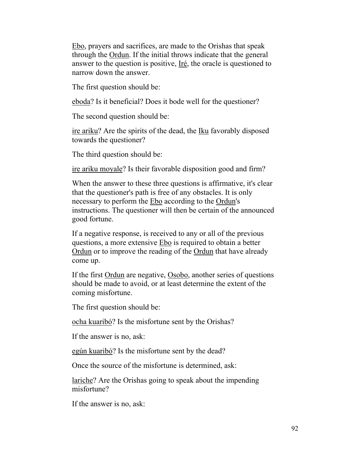Ebo, prayers and sacrifices, are made to the Orishas that speak through the Ordun. If the initial throws indicate that the general answer to the question is positive, Iré, the oracle is questioned to narrow down the answer.

The first question should be:

eboda? Is it beneficial? Does it bode well for the questioner?

The second question should be:

ire ariku? Are the spirits of the dead, the Iku favorably disposed towards the questioner?

The third question should be:

ire ariku moyale? Is their favorable disposition good and firm?

When the answer to these three questions is affirmative, it's clear that the questioner's path is free of any obstacles. It is only necessary to perform the Ebo according to the Ordun's instructions. The questioner will then be certain of the announced good fortune.

If a negative response, is received to any or all of the previous questions, a more extensive Ebo is required to obtain a better Ordun or to improve the reading of the Ordun that have already come up.

If the first Ordun are negative, Osobo, another series of questions should be made to avoid, or at least determine the extent of the coming misfortune.

The first question should be:

ocha kuaribó? Is the misfortune sent by the Orishas?

If the answer is no, ask:

egún kuaribó? Is the misfortune sent by the dead?

Once the source of the misfortune is determined, ask:

lariche? Are the Orishas going to speak about the impending misfortune?

If the answer is no, ask: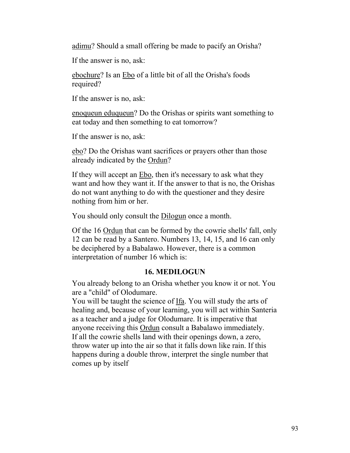adimu? Should a small offering be made to pacify an Orisha?

If the answer is no, ask:

ebochure? Is an Ebo of a little bit of all the Orisha's foods required?

If the answer is no, ask:

enoqueun eduqueun? Do the Orishas or spirits want something to eat today and then something to eat tomorrow?

If the answer is no, ask:

ebo? Do the Orishas want sacrifices or prayers other than those already indicated by the Ordun?

If they will accept an Ebo, then it's necessary to ask what they want and how they want it. If the answer to that is no, the Orishas do not want anything to do with the questioner and they desire nothing from him or her.

You should only consult the Dilogun once a month.

Of the 16 Ordun that can be formed by the cowrie shells' fall, only 12 can be read by a Santero. Numbers 13, 14, 15, and 16 can only be deciphered by a Babalawo. However, there is a common interpretation of number 16 which is:

# **16. MEDILOGUN**

You already belong to an Orisha whether you know it or not. You are a "child" of Olodumare.

You will be taught the science of Ifa. You will study the arts of healing and, because of your learning, you will act within Santeria as a teacher and a judge for Olodumare. It is imperative that anyone receiving this Ordun consult a Babalawo immediately. If all the cowrie shells land with their openings down, a zero, throw water up into the air so that it falls down like rain. If this happens during a double throw, interpret the single number that comes up by itself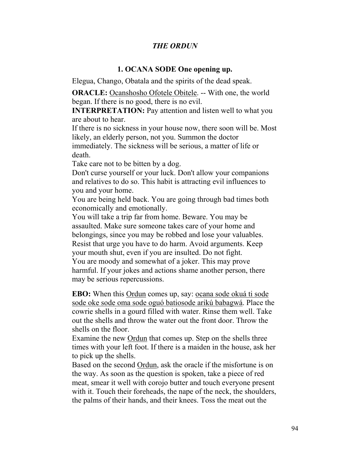# *THE ORDUN*

#### **1. OCANA SODE One opening up.**

Elegua, Chango, Obatala and the spirits of the dead speak.

**ORACLE:** Ocanshosho Ofotele Obitele. -- With one, the world began. If there is no good, there is no evil.

**INTERPRETATION:** Pay attention and listen well to what you are about to hear.

If there is no sickness in your house now, there soon will be. Most likely, an elderly person, not you. Summon the doctor immediately. The sickness will be serious, a matter of life or death.

Take care not to be bitten by a dog.

Don't curse yourself or your luck. Don't allow your companions and relatives to do so. This habit is attracting evil influences to you and your home.

You are being held back. You are going through bad times both economically and emotionally.

You will take a trip far from home. Beware. You may be assaulted. Make sure someone takes care of your home and belongings, since you may be robbed and lose your valuables. Resist that urge you have to do harm. Avoid arguments. Keep your mouth shut, even if you are insulted. Do not fight. You are moody and somewhat of a joker. This may prove harmful. If your jokes and actions shame another person, there may be serious repercussions.

**EBO:** When this Ordun comes up, say: ocana sode okuá ti sode sode oke sode oma sode oguó batiosode arikú babagwá. Place the cowrie shells in a gourd filled with water. Rinse them well. Take out the shells and throw the water out the front door. Throw the shells on the floor.

Examine the new Ordun that comes up. Step on the shells three times with your left foot. If there is a maiden in the house, ask her to pick up the shells.

Based on the second Ordun, ask the oracle if the misfortune is on the way. As soon as the question is spoken, take a piece of red meat, smear it well with corojo butter and touch everyone present with it. Touch their foreheads, the nape of the neck, the shoulders, the palms of their hands, and their knees. Toss the meat out the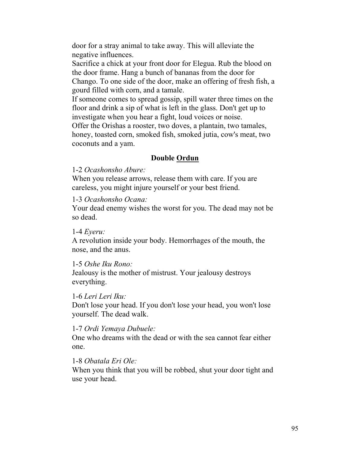door for a stray animal to take away. This will alleviate the negative influences.

Sacrifice a chick at your front door for Elegua. Rub the blood on the door frame. Hang a bunch of bananas from the door for Chango. To one side of the door, make an offering of fresh fish, a gourd filled with corn, and a tamale.

If someone comes to spread gossip, spill water three times on the floor and drink a sip of what is left in the glass. Don't get up to investigate when you hear a fight, loud voices or noise.

Offer the Orishas a rooster, two doves, a plantain, two tamales, honey, toasted corn, smoked fish, smoked jutia, cow's meat, two coconuts and a yam.

# **Double Ordun**

## 1-2 *Ocashonsho Abure:*

When you release arrows, release them with care. If you are careless, you might injure yourself or your best friend.

# 1-3 *Ocashonsho Ocana:*

Your dead enemy wishes the worst for you. The dead may not be so dead.

## 1-4 *Eyeru:*

A revolution inside your body. Hemorrhages of the mouth, the nose, and the anus.

# 1-5 *Oshe Iku Rono:*

Jealousy is the mother of mistrust. Your jealousy destroys everything.

# 1-6 *Leri Leri Iku:*

Don't lose your head. If you don't lose your head, you won't lose yourself. The dead walk.

## 1-7 *Ordi Yemaya Dubuele:*

One who dreams with the dead or with the sea cannot fear either one.

# 1-8 *Obatala Eri Ole:*

When you think that you will be robbed, shut your door tight and use your head.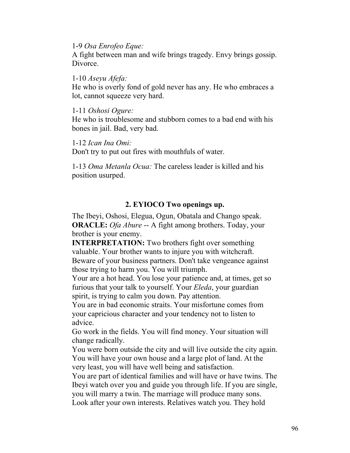1-9 *Osa Enrofeo Eque:*

A fight between man and wife brings tragedy. Envy brings gossip. Divorce.

1-10 *Aseyu Afefa:*

He who is overly fond of gold never has any. He who embraces a lot, cannot squeeze very hard.

1-11 *Oshosi Ogure:*

He who is troublesome and stubborn comes to a bad end with his bones in jail. Bad, very bad.

1-12 *Ican Ina Omi:*

Don't try to put out fires with mouthfuls of water.

1-13 *Oma Metanla Ocua:* The careless leader is killed and his position usurped.

# **2. EYIOCO Two openings up.**

The Ibeyi, Oshosi, Elegua, Ogun, Obatala and Chango speak. **ORACLE:** *Ofa Abure* -- A fight among brothers. Today, your brother is your enemy.

**INTERPRETATION:** Two brothers fight over something valuable. Your brother wants to injure you with witchcraft. Beware of your business partners. Don't take vengeance against those trying to harm you. You will triumph.

Your are a hot head. You lose your patience and, at times, get so furious that your talk to yourself. Your *Eleda*, your guardian spirit, is trying to calm you down. Pay attention.

You are in bad economic straits. Your misfortune comes from your capricious character and your tendency not to listen to advice.

Go work in the fields. You will find money. Your situation will change radically.

You were born outside the city and will live outside the city again. You will have your own house and a large plot of land. At the very least, you will have well being and satisfaction.

You are part of identical families and will have or have twins. The Ibeyi watch over you and guide you through life. If you are single, you will marry a twin. The marriage will produce many sons. Look after your own interests. Relatives watch you. They hold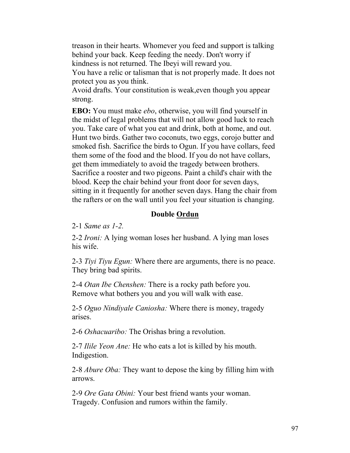treason in their hearts. Whomever you feed and support is talking behind your back. Keep feeding the needy. Don't worry if kindness is not returned. The Ibeyi will reward you.

You have a relic or talisman that is not properly made. It does not protect you as you think.

Avoid drafts. Your constitution is weak,even though you appear strong.

**EBO:** You must make *ebo*, otherwise, you will find yourself in the midst of legal problems that will not allow good luck to reach you. Take care of what you eat and drink, both at home, and out. Hunt two birds. Gather two coconuts, two eggs, corojo butter and smoked fish. Sacrifice the birds to Ogun. If you have collars, feed them some of the food and the blood. If you do not have collars, get them immediately to avoid the tragedy between brothers. Sacrifice a rooster and two pigeons. Paint a child's chair with the blood. Keep the chair behind your front door for seven days, sitting in it frequently for another seven days. Hang the chair from the rafters or on the wall until you feel your situation is changing.

# **Double Ordun**

2-1 *Same as 1-2.*

2-2 *Ironi:* A lying woman loses her husband. A lying man loses his wife.

2-3 *Tiyi Tiyu Egun:* Where there are arguments, there is no peace. They bring bad spirits.

2-4 *Otan Ibe Chenshen:* There is a rocky path before you. Remove what bothers you and you will walk with ease.

2-5 *Oguo Nindiyale Caniosha:* Where there is money, tragedy arises.

2-6 *Oshacuaribo:* The Orishas bring a revolution.

2-7 *Ilile Yeon Ane:* He who eats a lot is killed by his mouth. Indigestion.

2-8 *Abure Oba:* They want to depose the king by filling him with arrows.

2-9 *Ore Gata Obini:* Your best friend wants your woman. Tragedy. Confusion and rumors within the family.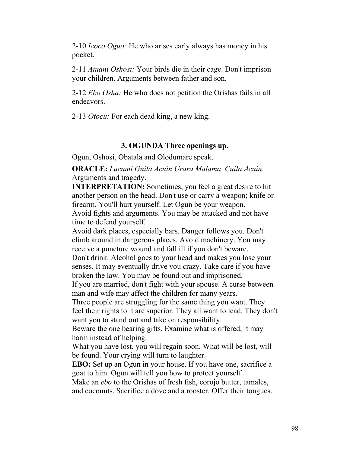2-10 *Icoco Oguo:* He who arises early always has money in his pocket.

2-11 *Ajuani Oshosi:* Your birds die in their cage. Don't imprison your children. Arguments between father and son.

2-12 *Ebo Osha:* He who does not petition the Orishas fails in all endeavors.

2-13 *Otocu:* For each dead king, a new king.

#### **3. OGUNDA Three openings up.**

Ogun, Oshosi, Obatala and Olodumare speak.

**ORACLE:** *Lucumi Guila Acuin Urara Malama*. *Cuila Acuin*. Arguments and tragedy.

**INTERPRETATION:** Sometimes, you feel a great desire to hit another person on the head. Don't use or carry a weapon; knife or firearm. You'll hurt yourself. Let Ogun be your weapon.

Avoid fights and arguments. You may be attacked and not have time to defend yourself.

Avoid dark places, especially bars. Danger follows you. Don't climb around in dangerous places. Avoid machinery. You may receive a puncture wound and fall ill if you don't beware.

Don't drink. Alcohol goes to your head and makes you lose your senses. It may eventually drive you crazy. Take care if you have broken the law. You may be found out and imprisoned.

If you are married, don't fight with your spouse. A curse between man and wife may affect the children for many years.

Three people are struggling for the same thing you want. They feel their rights to it are superior. They all want to lead. They don't want you to stand out and take on responsibility.

Beware the one bearing gifts. Examine what is offered, it may harm instead of helping.

What you have lost, you will regain soon. What will be lost, will be found. Your crying will turn to laughter.

**EBO:** Set up an Ogun in your house. If you have one, sacrifice a goat to him. Ogun will tell you how to protect yourself.

Make an *ebo* to the Orishas of fresh fish, corojo butter, tamales, and coconuts. Sacrifice a dove and a rooster. Offer their tongues.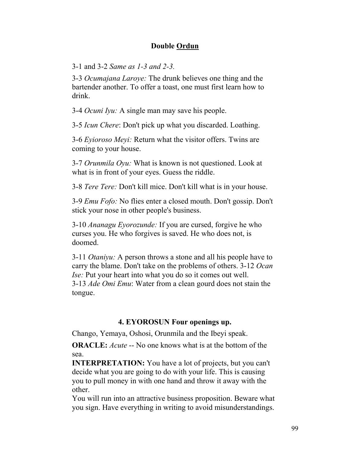# **Double Ordun**

3-1 and 3-2 *Same as 1-3 and 2-3.*

3-3 *Ocumajana Laroye:* The drunk believes one thing and the bartender another. To offer a toast, one must first learn how to drink.

3-4 *Ocuni Iyu:* A single man may save his people.

3-5 *Icun Chere*: Don't pick up what you discarded. Loathing.

3-6 *Eyioroso Meyi:* Return what the visitor offers. Twins are coming to your house.

3-7 *Orunmila Oyu:* What is known is not questioned. Look at what is in front of your eyes. Guess the riddle.

3-8 *Tere Tere:* Don't kill mice. Don't kill what is in your house.

3-9 *Emu Fofo:* No flies enter a closed mouth. Don't gossip. Don't stick your nose in other people's business.

3-10 *Ananagu Eyorozunde:* If you are cursed, forgive he who curses you. He who forgives is saved. He who does not, is doomed.

3-11 *Otaniyu:* A person throws a stone and all his people have to carry the blame. Don't take on the problems of others. 3-12 *Ocan Ise:* Put your heart into what you do so it comes out well. 3-13 *Ade Omi Emu*: Water from a clean gourd does not stain the tongue.

## **4. EYOROSUN Four openings up.**

Chango, Yemaya, Oshosi, Orunmila and the Ibeyi speak.

**ORACLE:** *Acute* -- No one knows what is at the bottom of the sea.

**INTERPRETATION:** You have a lot of projects, but you can't decide what you are going to do with your life. This is causing you to pull money in with one hand and throw it away with the other.

You will run into an attractive business proposition. Beware what you sign. Have everything in writing to avoid misunderstandings.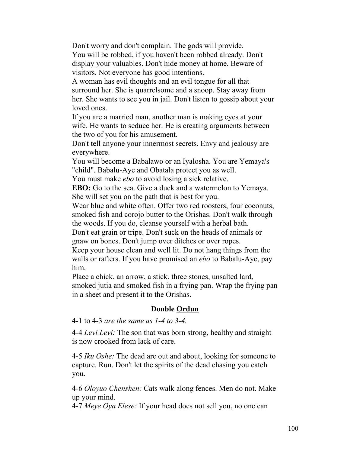Don't worry and don't complain. The gods will provide. You will be robbed, if you haven't been robbed already. Don't display your valuables. Don't hide money at home. Beware of visitors. Not everyone has good intentions.

A woman has evil thoughts and an evil tongue for all that surround her. She is quarrelsome and a snoop. Stay away from her. She wants to see you in jail. Don't listen to gossip about your loved ones.

If you are a married man, another man is making eyes at your wife. He wants to seduce her. He is creating arguments between the two of you for his amusement.

Don't tell anyone your innermost secrets. Envy and jealousy are everywhere.

You will become a Babalawo or an Iyalosha. You are Yemaya's "child". Babalu-Aye and Obatala protect you as well.

You must make *ebo* to avoid losing a sick relative.

**EBO:** Go to the sea. Give a duck and a watermelon to Yemaya. She will set you on the path that is best for you.

Wear blue and white often. Offer two red roosters, four coconuts, smoked fish and corojo butter to the Orishas. Don't walk through the woods. If you do, cleanse yourself with a herbal bath.

Don't eat grain or tripe. Don't suck on the heads of animals or gnaw on bones. Don't jump over ditches or over ropes.

Keep your house clean and well lit. Do not hang things from the walls or rafters. If you have promised an *ebo* to Babalu-Aye, pay him.

Place a chick, an arrow, a stick, three stones, unsalted lard, smoked jutia and smoked fish in a frying pan. Wrap the frying pan in a sheet and present it to the Orishas.

## **Double Ordun**

4-1 to 4-3 *are the same as 1-4 to 3-4.*

4-4 *Levi Levi:* The son that was born strong, healthy and straight is now crooked from lack of care.

4-5 *Iku Oshe:* The dead are out and about, looking for someone to capture. Run. Don't let the spirits of the dead chasing you catch you.

4-6 *Oloyuo Chenshen:* Cats walk along fences. Men do not. Make up your mind.

4-7 *Meye Oya Elese:* If your head does not sell you, no one can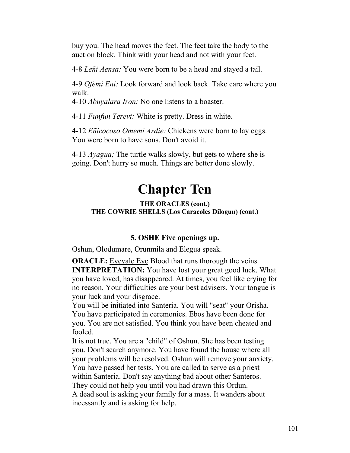buy you. The head moves the feet. The feet take the body to the auction block. Think with your head and not with your feet.

4-8 *Leñi Aensa:* You were born to be a head and stayed a tail.

4-9 *Ofemi Eni:* Look forward and look back. Take care where you walk.

4-10 *Abuyalara Iron:* No one listens to a boaster.

4-11 *Funfun Terevi:* White is pretty. Dress in white.

4-12 *Eñicocoso Omemi Ardie:* Chickens were born to lay eggs. You were born to have sons. Don't avoid it.

4-13 *Ayagua;* The turtle walks slowly, but gets to where she is going. Don't hurry so much. Things are better done slowly.

# **Chapter Ten**

## **THE ORACLES (cont.) THE COWRIE SHELLS (Los Caracoles Dilogun) (cont.)**

# **5. OSHE Five openings up.**

Oshun, Olodumare, Orunmila and Elegua speak.

**ORACLE:** Eyevale Eye Blood that runs thorough the veins. **INTERPRETATION:** You have lost your great good luck. What you have loved, has disappeared. At times, you feel like crying for no reason. Your difficulties are your best advisers. Your tongue is your luck and your disgrace.

You will be initiated into Santeria. You will "seat" your Orisha. You have participated in ceremonies. Ebos have been done for you. You are not satisfied. You think you have been cheated and fooled.

It is not true. You are a "child" of Oshun. She has been testing you. Don't search anymore. You have found the house where all your problems will be resolved. Oshun will remove your anxiety. You have passed her tests. You are called to serve as a priest within Santeria. Don't say anything bad about other Santeros. They could not help you until you had drawn this Ordun. A dead soul is asking your family for a mass. It wanders about incessantly and is asking for help.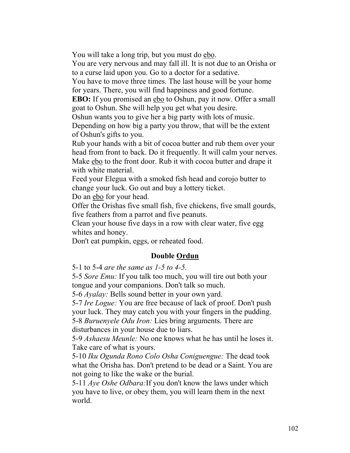You will take a long trip, but you must do ebo.

You are very nervous and may fall ill. It is not due to an Orisha or to a curse laid upon you. Go to a doctor for a sedative.

You have to move three times. The last house will be your home for years. There, you will find happiness and good fortune.

**EBO:** If you promised an ebo to Oshun, pay it now. Offer a small goat to Oshun. She will help you get what you desire.

Oshun wants you to give her a big party with lots of music.

Depending on how big a party you throw, that will be the extent of Oshun's gifts to you.

Rub your hands with a bit of cocoa butter and rub them over your head from front to back. Do it frequently. It will calm your nerves. Make ebo to the front door. Rub it with cocoa butter and drape it with white material.

Feed your Elegua with a smoked fish head and corojo butter to change your luck. Go out and buy a lottery ticket.

Do an ebo for your head.

Offer the Orishas five small fish, five chickens, five small gourds, five feathers from a parrot and five peanuts.

Clean your house five days in a row with clear water, five egg whites and honey.

Don't eat pumpkin, eggs, or reheated food.

# **Double Ordun**

5-1 to 5-4 *are the same as 1-5 to 4-5.*

5-5 *Sore Emu:* If you talk too much, you will tire out both your tongue and your companions. Don't talk so much.

5-6 *Ayalay:* Bells sound better in your own yard.

5-7 *Ire Logue:* You are free because of lack of proof. Don't push your luck. They may catch you with your fingers in the pudding. 5-8 *Buruenyele Odu Iron:* Lies bring arguments. There are disturbances in your house due to liars.

5-9 *Ashaesu Meunle:* No one knows what he has until he loses it. Take care of what is yours.

5-10 *Iku Ogunda Rono Colo Osha Coniguengue:* The dead took what the Orisha has. Don't pretend to be dead or a Saint. You are not going to like the wake or the burial.

5-11 *Aye Oshe Odbara:*If you don't know the laws under which you have to live, or obey them, you will learn them in the next world.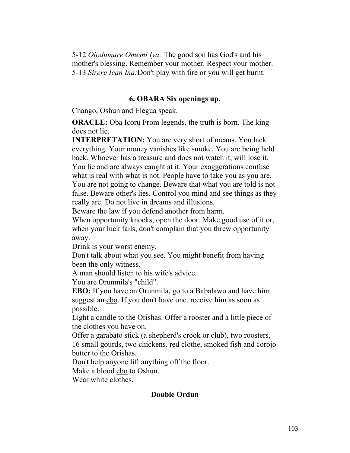5-12 *Olodumare Omemi Iya:* The good son has God's and his mother's blessing. Remember your mother. Respect your mother. 5-13 *Sirere Ican Ina:*Don't play with fire or you will get burnt.

#### **6. OBARA Six openings up.**

Chango, Oshun and Elegua speak.

**ORACLE:** Oba Icoru From legends, the truth is born. The king does not lie.

**INTERPRETATION:** You are very short of means. You lack everything. Your money vanishes like smoke. You are being held back. Whoever has a treasure and does not watch it, will lose it. You lie and are always caught at it. Your exaggerations confuse what is real with what is not. People have to take you as you are. You are not going to change. Beware that what you are told is not false. Beware other's lies. Control you mind and see things as they really are. Do not live in dreams and illusions.

Beware the law if you defend another from harm.

When opportunity knocks, open the door. Make good use of it or, when your luck fails, don't complain that you threw opportunity away.

Drink is your worst enemy.

Don't talk about what you see. You might benefit from having been the only witness.

A man should listen to his wife's advice.

You are Orunmila's "child".

**EBO:** If you have an Orunmila, go to a Babalawo and have him suggest an ebo. If you don't have one, receive him as soon as possible.

Light a candle to the Orishas. Offer a rooster and a little piece of the clothes you have on.

Offer a garabato stick (a shepherd's crook or club), two roosters, 16 small gourds, two chickens, red clothe, smoked fish and corojo butter to the Orishas.

Don't help anyone lift anything off the floor.

Make a blood ebo to Oshun.

Wear white clothes.

## **Double Ordun**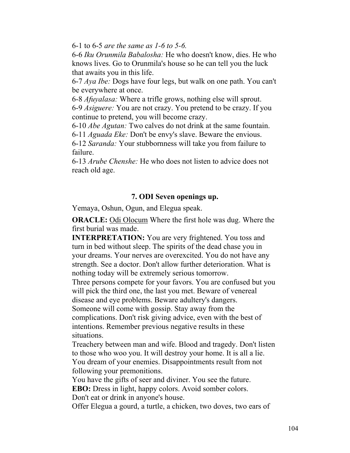6-1 to 6-5 *are the same as 1-6 to 5-6.*

6-6 *Iku Orunmila Babalosha:* He who doesn't know, dies. He who knows lives. Go to Orunmila's house so he can tell you the luck that awaits you in this life.

6-7 *Aya Ibe:* Dogs have four legs, but walk on one path. You can't be everywhere at once.

6-8 *Afuyalasa:* Where a trifle grows, nothing else will sprout. 6-9 *Asiguere:* You are not crazy. You pretend to be crazy. If you continue to pretend, you will become crazy.

6-10 *Abe Agutan:* Two calves do not drink at the same fountain.

6-11 *Aguada Eke:* Don't be envy's slave. Beware the envious.

6-12 *Saranda:* Your stubbornness will take you from failure to failure.

6-13 *Arube Chenshe:* He who does not listen to advice does not reach old age.

# **7. ODI Seven openings up.**

Yemaya, Oshun, Ogun, and Elegua speak.

**ORACLE:** Odi Olocum Where the first hole was dug. Where the first burial was made.

**INTERPRETATION:** You are very frightened. You toss and turn in bed without sleep. The spirits of the dead chase you in your dreams. Your nerves are overexcited. You do not have any strength. See a doctor. Don't allow further deterioration. What is nothing today will be extremely serious tomorrow. Three persons compete for your favors. You are confused but you

will pick the third one, the last you met. Beware of venereal disease and eye problems. Beware adultery's dangers. Someone will come with gossip. Stay away from the complications. Don't risk giving advice, even with the best of intentions. Remember previous negative results in these

situations.

Treachery between man and wife. Blood and tragedy. Don't listen to those who woo you. It will destroy your home. It is all a lie. You dream of your enemies. Disappointments result from not following your premonitions.

You have the gifts of seer and diviner. You see the future.

**EBO:** Dress in light, happy colors. Avoid somber colors.

Don't eat or drink in anyone's house.

Offer Elegua a gourd, a turtle, a chicken, two doves, two ears of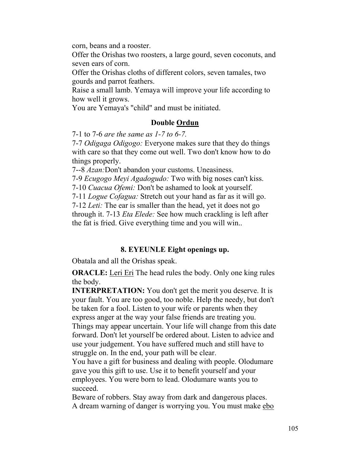corn, beans and a rooster.

Offer the Orishas two roosters, a large gourd, seven coconuts, and seven ears of corn.

Offer the Orishas cloths of different colors, seven tamales, two gourds and parrot feathers.

Raise a small lamb. Yemaya will improve your life according to how well it grows.

You are Yemaya's "child" and must be initiated.

# **Double Ordun**

7-1 to 7-6 *are the same as 1-7 to 6-7.*

7-7 *Odigaga Odigogo:* Everyone makes sure that they do things with care so that they come out well. Two don't know how to do things properly.

7--8 *Azan:*Don't abandon your customs. Uneasiness.

7-9 *Ecugogo Meyi Agadogudo:* Two with big noses can't kiss.

7-10 *Cuacua Ofemi:* Don't be ashamed to look at yourself.

7-11 *Logue Cofagua:* Stretch out your hand as far as it will go.

7-12 *Leti:* The ear is smaller than the head, yet it does not go through it. 7-13 *Eta Elede:* See how much crackling is left after the fat is fried. Give everything time and you will win..

# **8. EYEUNLE Eight openings up.**

Obatala and all the Orishas speak.

**ORACLE:** Leri Eri The head rules the body. Only one king rules the body.

**INTERPRETATION:** You don't get the merit you deserve. It is your fault. You are too good, too noble. Help the needy, but don't be taken for a fool. Listen to your wife or parents when they express anger at the way your false friends are treating you. Things may appear uncertain. Your life will change from this date forward. Don't let yourself be ordered about. Listen to advice and use your judgement. You have suffered much and still have to

struggle on. In the end, your path will be clear.

You have a gift for business and dealing with people. Olodumare gave you this gift to use. Use it to benefit yourself and your employees. You were born to lead. Olodumare wants you to succeed.

Beware of robbers. Stay away from dark and dangerous places. A dream warning of danger is worrying you. You must make ebo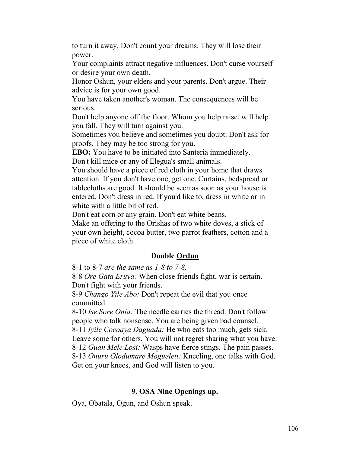to turn it away. Don't count your dreams. They will lose their power.

Your complaints attract negative influences. Don't curse yourself or desire your own death.

Honor Oshun, your elders and your parents. Don't argue. Their advice is for your own good.

You have taken another's woman. The consequences will be serious.

Don't help anyone off the floor. Whom you help raise, will help you fall. They will turn against you.

Sometimes you believe and sometimes you doubt. Don't ask for proofs. They may be too strong for you.

**EBO:** You have to be initiated into Santeria immediately.

Don't kill mice or any of Elegua's small animals.

You should have a piece of red cloth in your home that draws attention. If you don't have one, get one. Curtains, bedspread or tablecloths are good. It should be seen as soon as your house is entered. Don't dress in red. If you'd like to, dress in white or in white with a little bit of red.

Don't eat corn or any grain. Don't eat white beans.

Make an offering to the Orishas of two white doves, a stick of your own height, cocoa butter, two parrot feathers, cotton and a piece of white cloth.

# **Double Ordun**

8-1 to 8-7 *are the same as 1-8 to 7-8.*

8-8 *Ore Gata Eruya:* When close friends fight, war is certain. Don't fight with your friends.

8-9 *Chango Yile Abo:* Don't repeat the evil that you once committed.

8-10 *Ise Sore Onia:* The needle carries the thread. Don't follow people who talk nonsense. You are being given bad counsel.

8-11 *Iyile Cocoaya Daguada:* He who eats too much, gets sick.

Leave some for others. You will not regret sharing what you have.

8-12 *Guan Mele Losi:* Wasps have fierce stings. The pain passes.

8-13 *Onuru Olodumare Mogueleti:* Kneeling, one talks with God. Get on your knees, and God will listen to you.

# **9. OSA Nine Openings up.**

Oya, Obatala, Ogun, and Oshun speak.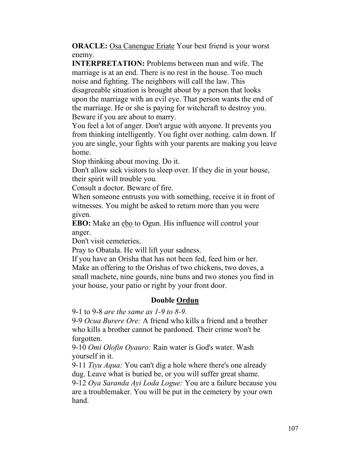**ORACLE:** Osa Canengue Eriate Your best friend is your worst enemy.

**INTERPRETATION:** Problems between man and wife. The marriage is at an end. There is no rest in the house. Too much noise and fighting. The neighbors will call the law. This disagreeable situation is brought about by a person that looks upon the marriage with an evil eye. That person wants the end of the marriage. He or she is paying for witchcraft to destroy you. Beware if you are about to marry.

You feel a lot of anger. Don't argue with anyone. It prevents you from thinking intelligently. You fight over nothing. calm down. If you are single, your fights with your parents are making you leave home.

Stop thinking about moving. Do it.

Don't allow sick visitors to sleep over. If they die in your house, their spirit will trouble you.

Consult a doctor. Beware of fire.

When someone entrusts you with something, receive it in front of witnesses. You might be asked to return more than you were given.

**EBO:** Make an ebo to Ogun. His influence will control your anger.

Don't visit cemeteries.

Pray to Obatala. He will lift your sadness.

If you have an Orisha that has not been fed, feed him or her. Make an offering to the Orishas of two chickens, two doves, a small machete, nine gourds, nine buns and two stones you find in your house, your patio or right by your front door.

## **Double Ordun**

9-1 to 9-8 *are the same as 1-9 to 8-9.*

9-9 *Ocua Burere Ore:* A friend who kills a friend and a brother who kills a brother cannot be pardoned. Their crime won't be forgotten.

9-10 *Omi Olofin Oyauro:* Rain water is God's water. Wash yourself in it.

9-11 *Tiyu Aqua:* You can't dig a hole where there's one already dug. Leave what is buried be, or you will suffer great shame.

9-12 *Oya Saranda Ayi Loda Logue:* You are a failure because you are a troublemaker. You will be put in the cemetery by your own hand.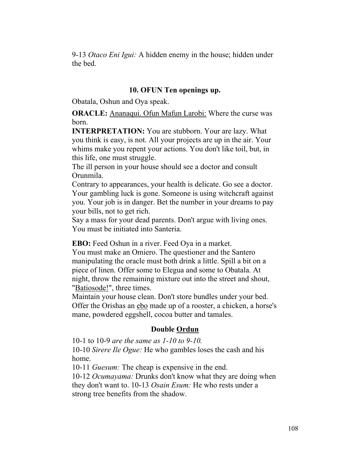9-13 *Otaco Eni Igui:* A hidden enemy in the house; hidden under the bed.

## **10. OFUN Ten openings up.**

Obatala, Oshun and Oya speak.

**ORACLE:** Ananaqui. Ofun Mafun Larobi: Where the curse was born.

**INTERPRETATION:** You are stubborn. Your are lazy. What you think is easy, is not. All your projects are up in the air. Your whims make you repent your actions. You don't like toil, but, in this life, one must struggle.

The ill person in your house should see a doctor and consult Orunmila.

Contrary to appearances, your health is delicate. Go see a doctor. Your gambling luck is gone. Someone is using witchcraft against you. Your job is in danger. Bet the number in your dreams to pay your bills, not to get rich.

Say a mass for your dead parents. Don't argue with living ones. You must be initiated into Santeria.

**EBO:** Feed Oshun in a river. Feed Oya in a market.

You must make an Omiero. The questioner and the Santero manipulating the oracle must both drink a little. Spill a bit on a piece of linen. Offer some to Elegua and some to Obatala. At night, throw the remaining mixture out into the street and shout, "Batiosode!", three times.

Maintain your house clean. Don't store bundles under your bed. Offer the Orishas an ebo made up of a rooster, a chicken, a horse's mane, powdered eggshell, cocoa butter and tamales.

## **Double Ordun**

10-1 to 10-9 *are the same as 1-10 to 9-10.*

10-10 *Sirere Ile Ogue:* He who gambles loses the cash and his home.

10-11 *Guesum:* The cheap is expensive in the end.

10-12 *Ocumayama:* Drunks don't know what they are doing when they don't want to. 10-13 *Osain Esum:* He who rests under a strong tree benefits from the shadow.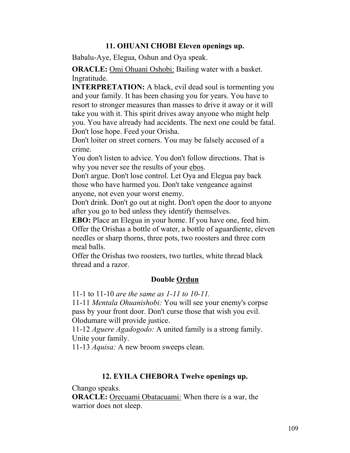# **11. OHUANI CHOBI Eleven openings up.**

Babalu-Aye, Elegua, Oshun and Oya speak.

**ORACLE:** Omi Ohuani Oshobi: Bailing water with a basket. Ingratitude.

**INTERPRETATION:** A black, evil dead soul is tormenting you and your family. It has been chasing you for years. You have to resort to stronger measures than masses to drive it away or it will take you with it. This spirit drives away anyone who might help you. You have already had accidents. The next one could be fatal. Don't lose hope. Feed your Orisha.

Don't loiter on street corners. You may be falsely accused of a crime.

You don't listen to advice. You don't follow directions. That is why you never see the results of your ebos.

Don't argue. Don't lose control. Let Oya and Elegua pay back those who have harmed you. Don't take vengeance against anyone, not even your worst enemy.

Don't drink. Don't go out at night. Don't open the door to anyone after you go to bed unless they identify themselves.

**EBO:** Place an Elegua in your home. If you have one, feed him. Offer the Orishas a bottle of water, a bottle of aguardiente, eleven needles or sharp thorns, three pots, two roosters and three corn meal balls.

Offer the Orishas two roosters, two turtles, white thread black thread and a razor.

### **Double Ordun**

11-1 to 11-10 *are the same as 1-11 to 10-11.*

11-11 *Mentala Ohuanishobi:* You will see your enemy's corpse pass by your front door. Don't curse those that wish you evil. Olodumare will provide justice.

11-12 *Aguere Agadogodo:* A united family is a strong family. Unite your family.

11-13 *Aquisa:* A new broom sweeps clean.

#### **12. EYILA CHEBORA Twelve openings up.**

Chango speaks.

**ORACLE:** Orecuami Obatacuami: When there is a war, the warrior does not sleep.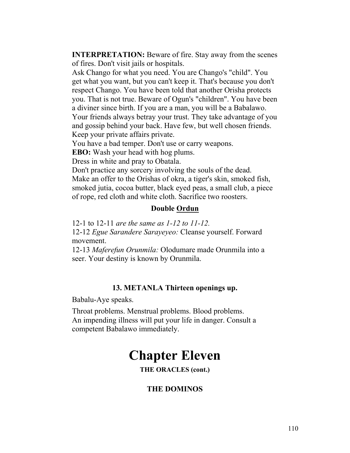**INTERPRETATION:** Beware of fire. Stay away from the scenes of fires. Don't visit jails or hospitals.

Ask Chango for what you need. You are Chango's "child". You get what you want, but you can't keep it. That's because you don't respect Chango. You have been told that another Orisha protects you. That is not true. Beware of Ogun's "children". You have been a diviner since birth. If you are a man, you will be a Babalawo.

Your friends always betray your trust. They take advantage of you and gossip behind your back. Have few, but well chosen friends. Keep your private affairs private.

You have a bad temper. Don't use or carry weapons.

**EBO:** Wash your head with hog plums.

Dress in white and pray to Obatala.

Don't practice any sorcery involving the souls of the dead.

Make an offer to the Orishas of okra, a tiger's skin, smoked fish, smoked jutia, cocoa butter, black eyed peas, a small club, a piece of rope, red cloth and white cloth. Sacrifice two roosters.

# **Double Ordun**

12-1 to 12-11 *are the same as 1-12 to 11-12.*

12-12 *Egue Sarandere Sarayeyeo:* Cleanse yourself. Forward movement.

12-13 *Maferefun Orunmila:* Olodumare made Orunmila into a seer. Your destiny is known by Orunmila.

### **13. METANLA Thirteen openings up.**

Babalu-Aye speaks.

Throat problems. Menstrual problems. Blood problems. An impending illness will put your life in danger. Consult a competent Babalawo immediately.

# **Chapter Eleven**

**THE ORACLES (cont.)**

# **THE DOMINOS**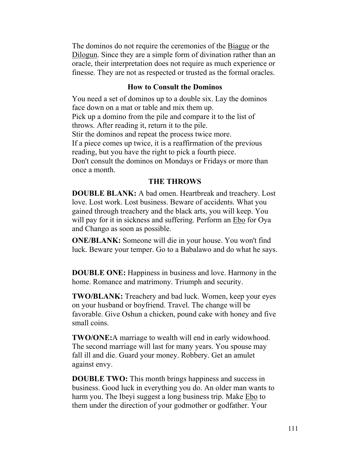The dominos do not require the ceremonies of the Biague or the Dilogun. Since they are a simple form of divination rather than an oracle, their interpretation does not require as much experience or finesse. They are not as respected or trusted as the formal oracles.

#### **How to Consult the Dominos**

You need a set of dominos up to a double six. Lay the dominos face down on a mat or table and mix them up. Pick up a domino from the pile and compare it to the list of throws. After reading it, return it to the pile. Stir the dominos and repeat the process twice more. If a piece comes up twice, it is a reaffirmation of the previous reading, but you have the right to pick a fourth piece. Don't consult the dominos on Mondays or Fridays or more than once a month.

#### **THE THROWS**

**DOUBLE BLANK:** A bad omen. Heartbreak and treachery. Lost love. Lost work. Lost business. Beware of accidents. What you gained through treachery and the black arts, you will keep. You will pay for it in sickness and suffering. Perform an Ebo for Oya and Chango as soon as possible.

**ONE/BLANK:** Someone will die in your house. You won't find luck. Beware your temper. Go to a Babalawo and do what he says.

**DOUBLE ONE:** Happiness in business and love. Harmony in the home. Romance and matrimony. Triumph and security.

**TWO/BLANK:** Treachery and bad luck. Women, keep your eyes on your husband or boyfriend. Travel. The change will be favorable. Give Oshun a chicken, pound cake with honey and five small coins.

**TWO/ONE:**A marriage to wealth will end in early widowhood. The second marriage will last for many years. You spouse may fall ill and die. Guard your money. Robbery. Get an amulet against envy.

**DOUBLE TWO:** This month brings happiness and success in business. Good luck in everything you do. An older man wants to harm you. The Ibeyi suggest a long business trip. Make Ebo to them under the direction of your godmother or godfather. Your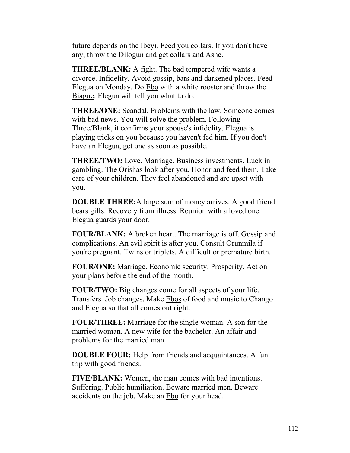future depends on the Ibeyi. Feed you collars. If you don't have any, throw the Dilogun and get collars and Ashe.

**THREE/BLANK:** A fight. The bad tempered wife wants a divorce. Infidelity. Avoid gossip, bars and darkened places. Feed Elegua on Monday. Do Ebo with a white rooster and throw the Biague. Elegua will tell you what to do.

**THREE/ONE:** Scandal. Problems with the law. Someone comes with bad news. You will solve the problem. Following Three/Blank, it confirms your spouse's infidelity. Elegua is playing tricks on you because you haven't fed him. If you don't have an Elegua, get one as soon as possible.

**THREE/TWO:** Love. Marriage. Business investments. Luck in gambling. The Orishas look after you. Honor and feed them. Take care of your children. They feel abandoned and are upset with you.

**DOUBLE THREE:**A large sum of money arrives. A good friend bears gifts. Recovery from illness. Reunion with a loved one. Elegua guards your door.

**FOUR/BLANK:** A broken heart. The marriage is off. Gossip and complications. An evil spirit is after you. Consult Orunmila if you're pregnant. Twins or triplets. A difficult or premature birth.

**FOUR/ONE:** Marriage. Economic security. Prosperity. Act on your plans before the end of the month.

**FOUR/TWO:** Big changes come for all aspects of your life. Transfers. Job changes. Make Ebos of food and music to Chango and Elegua so that all comes out right.

**FOUR/THREE:** Marriage for the single woman. A son for the married woman. A new wife for the bachelor. An affair and problems for the married man.

**DOUBLE FOUR:** Help from friends and acquaintances. A fun trip with good friends.

**FIVE/BLANK:** Women, the man comes with bad intentions. Suffering. Public humiliation. Beware married men. Beware accidents on the job. Make an Ebo for your head.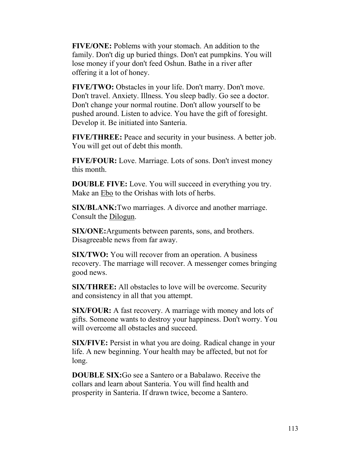**FIVE/ONE:** Poblems with your stomach. An addition to the family. Don't dig up buried things. Don't eat pumpkins. You will lose money if your don't feed Oshun. Bathe in a river after offering it a lot of honey.

**FIVE/TWO:** Obstacles in your life. Don't marry. Don't move. Don't travel. Anxiety. Illness. You sleep badly. Go see a doctor. Don't change your normal routine. Don't allow yourself to be pushed around. Listen to advice. You have the gift of foresight. Develop it. Be initiated into Santeria.

**FIVE/THREE:** Peace and security in your business. A better job. You will get out of debt this month.

**FIVE/FOUR:** Love. Marriage. Lots of sons. Don't invest money this month.

**DOUBLE FIVE:** Love. You will succeed in everything you try. Make an Ebo to the Orishas with lots of herbs.

**SIX/BLANK:**Two marriages. A divorce and another marriage. Consult the Dilogun.

**SIX/ONE:**Arguments between parents, sons, and brothers. Disagreeable news from far away.

**SIX/TWO:** You will recover from an operation. A business recovery. The marriage will recover. A messenger comes bringing good news.

**SIX/THREE:** All obstacles to love will be overcome. Security and consistency in all that you attempt.

**SIX/FOUR:** A fast recovery. A marriage with money and lots of gifts. Someone wants to destroy your happiness. Don't worry. You will overcome all obstacles and succeed.

**SIX/FIVE:** Persist in what you are doing. Radical change in your life. A new beginning. Your health may be affected, but not for long.

**DOUBLE SIX:**Go see a Santero or a Babalawo. Receive the collars and learn about Santeria. You will find health and prosperity in Santeria. If drawn twice, become a Santero.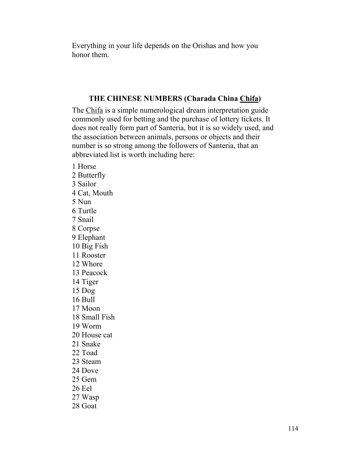Everything in your life depends on the Orishas and how you honor them.

#### **THE CHINESE NUMBERS (Charada China Chifa)**

The Chifa is a simple numerological dream interpretation guide commonly used for betting and the purchase of lottery tickets. It does not really form part of Santeria, but it is so widely used, and the association between animals, persons or objects and their number is so strong among the followers of Santeria, that an abbreviated list is worth including here:

1 Horse 2 Butterfly 3 Sailor 4 Cat, Mouth 5 Nun 6 Turtle 7 Snail 8 Corpse 9 Elephant 10 Big Fish 11 Rooster 12 Whore 13 Peacock 14 Tiger 15 Dog 16 Bull 17 Moon 18 Small Fish 19 Worm 20 House cat 21 Snake 22 Toad 23 Steam 24 Dove 25 Gem 26 Eel 27 Wasp 28 Goat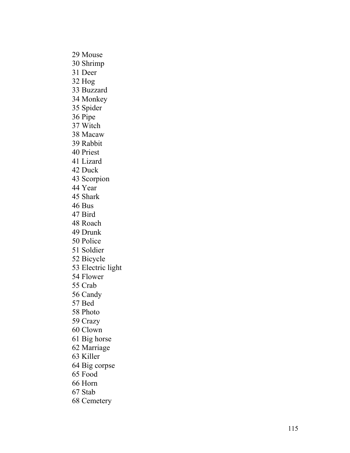29 Mouse 30 Shrimp 31 Deer 32 Hog 33 Buzzard 34 Monkey 35 Spider 36 Pipe 37 Witch 38 Macaw 39 Rabbit 40 Priest 41 Lizard 42 Duck 43 Scorpion 44 Year 45 Shark 46 Bus 47 Bird 48 Roach 49 Drunk 50 Police 51 Soldier 52 Bicycle 53 Electric light 54 Flower 55 Crab 56 Candy 57 Bed 58 Photo 59 Crazy 60 Clown 61 Big horse 62 Marriage 63 Killer 64 Big corpse 65 Food 66 Horn 67 Stab 68 Cemetery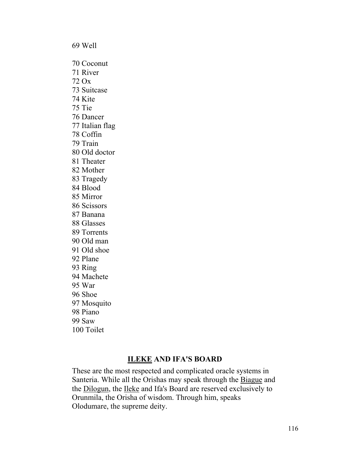69 Well 70 Coconut 71 River 72 Ox 73 Suitcase 74 Kite 75 Tie 76 Dancer 77 Italian flag 78 Coffin 79 Train 80 Old doctor 81 Theater 82 Mother 83 Tragedy 84 Blood 85 Mirror 86 Scissors 87 Banana 88 Glasses 89 Torrents 90 Old man 91 Old shoe 92 Plane 93 Ring 94 Machete 95 War 96 Shoe 97 Mosquito 98 Piano 99 Saw 100 Toilet

# **ILEKE AND IFA'S BOARD**

These are the most respected and complicated oracle systems in Santeria. While all the Orishas may speak through the Biague and the Dilogun, the Ileke and Ifa's Board are reserved exclusively to Orunmila, the Orisha of wisdom. Through him, speaks Olodumare, the supreme deity.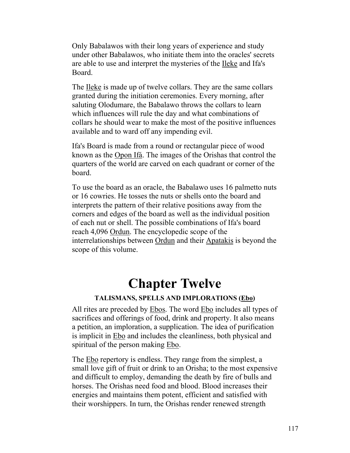Only Babalawos with their long years of experience and study under other Babalawos, who initiate them into the oracles' secrets are able to use and interpret the mysteries of the Ileke and Ifa's Board.

The Ileke is made up of twelve collars. They are the same collars granted during the initiation ceremonies. Every morning, after saluting Olodumare, the Babalawo throws the collars to learn which influences will rule the day and what combinations of collars he should wear to make the most of the positive influences available and to ward off any impending evil.

Ifa's Board is made from a round or rectangular piece of wood known as the Opon Ifá. The images of the Orishas that control the quarters of the world are carved on each quadrant or corner of the board.

To use the board as an oracle, the Babalawo uses 16 palmetto nuts or 16 cowries. He tosses the nuts or shells onto the board and interprets the pattern of their relative positions away from the corners and edges of the board as well as the individual position of each nut or shell. The possible combinations of Ifa's board reach 4,096 Ordun. The encyclopedic scope of the interrelationships between Ordun and their Apatakis is beyond the scope of this volume.

# **Chapter Twelve**

# **TALISMANS, SPELLS AND IMPLORATIONS (Ebo)**

All rites are preceded by Ebos. The word Ebo includes all types of sacrifices and offerings of food, drink and property. It also means a petition, an imploration, a supplication. The idea of purification is implicit in Ebo and includes the cleanliness, both physical and spiritual of the person making Ebo.

The Ebo repertory is endless. They range from the simplest, a small love gift of fruit or drink to an Orisha; to the most expensive and difficult to employ, demanding the death by fire of bulls and horses. The Orishas need food and blood. Blood increases their energies and maintains them potent, efficient and satisfied with their worshippers. In turn, the Orishas render renewed strength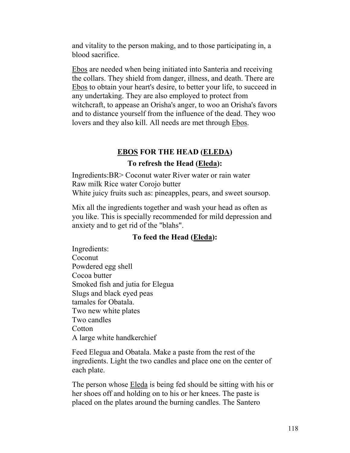and vitality to the person making, and to those participating in, a blood sacrifice.

Ebos are needed when being initiated into Santeria and receiving the collars. They shield from danger, illness, and death. There are Ebos to obtain your heart's desire, to better your life, to succeed in any undertaking. They are also employed to protect from witchcraft, to appease an Orisha's anger, to woo an Orisha's favors and to distance yourself from the influence of the dead. They woo lovers and they also kill. All needs are met through Ebos.

# **EBOS FOR THE HEAD (ELEDA)**

# **To refresh the Head (Eleda):**

Ingredients:BR> Coconut water River water or rain water Raw milk Rice water Corojo butter White juicy fruits such as: pineapples, pears, and sweet soursop.

Mix all the ingredients together and wash your head as often as you like. This is specially recommended for mild depression and anxiety and to get rid of the "blahs".

# **To feed the Head (Eleda):**

Ingredients: Coconut Powdered egg shell Cocoa butter Smoked fish and jutia for Elegua Slugs and black eyed peas tamales for Obatala. Two new white plates Two candles **Cotton** A large white handkerchief

Feed Elegua and Obatala. Make a paste from the rest of the ingredients. Light the two candles and place one on the center of each plate.

The person whose Eleda is being fed should be sitting with his or her shoes off and holding on to his or her knees. The paste is placed on the plates around the burning candles. The Santero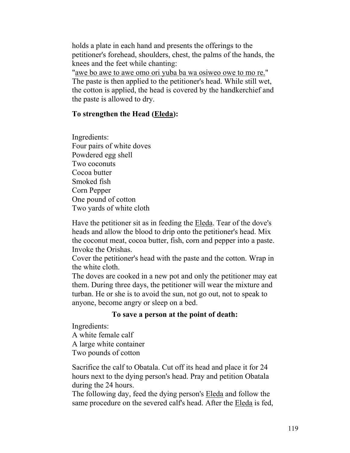holds a plate in each hand and presents the offerings to the petitioner's forehead, shoulders, chest, the palms of the hands, the knees and the feet while chanting:

"awe bo awe to awe omo ori yuba ba wa osiweo owe to mo re." The paste is then applied to the petitioner's head. While still wet, the cotton is applied, the head is covered by the handkerchief and the paste is allowed to dry.

#### **To strengthen the Head (Eleda):**

Ingredients: Four pairs of white doves Powdered egg shell Two coconuts Cocoa butter Smoked fish Corn Pepper One pound of cotton Two yards of white cloth

Have the petitioner sit as in feeding the Eleda. Tear of the dove's heads and allow the blood to drip onto the petitioner's head. Mix the coconut meat, cocoa butter, fish, corn and pepper into a paste. Invoke the Orishas.

Cover the petitioner's head with the paste and the cotton. Wrap in the white cloth.

The doves are cooked in a new pot and only the petitioner may eat them. During three days, the petitioner will wear the mixture and turban. He or she is to avoid the sun, not go out, not to speak to anyone, become angry or sleep on a bed.

#### **To save a person at the point of death:**

Ingredients:

A white female calf A large white container Two pounds of cotton

Sacrifice the calf to Obatala. Cut off its head and place it for 24 hours next to the dying person's head. Pray and petition Obatala during the 24 hours.

The following day, feed the dying person's Eleda and follow the same procedure on the severed calf's head. After the Eleda is fed,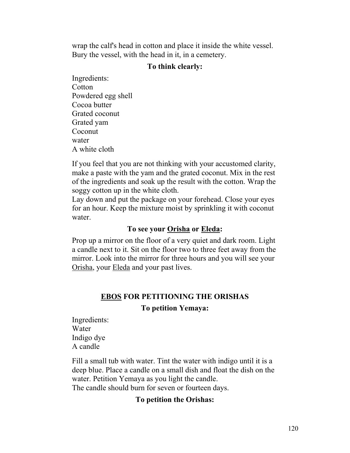wrap the calf's head in cotton and place it inside the white vessel. Bury the vessel, with the head in it, in a cemetery.

#### **To think clearly:**

Ingredients: Cotton Powdered egg shell Cocoa butter Grated coconut Grated yam Coconut water A white cloth

If you feel that you are not thinking with your accustomed clarity, make a paste with the yam and the grated coconut. Mix in the rest of the ingredients and soak up the result with the cotton. Wrap the soggy cotton up in the white cloth.

Lay down and put the package on your forehead. Close your eyes for an hour. Keep the mixture moist by sprinkling it with coconut water.

# **To see your Orisha or Eleda:**

Prop up a mirror on the floor of a very quiet and dark room. Light a candle next to it. Sit on the floor two to three feet away from the mirror. Look into the mirror for three hours and you will see your Orisha, your Eleda and your past lives.

# **EBOS FOR PETITIONING THE ORISHAS**

#### **To petition Yemaya:**

Ingredients: Water Indigo dye A candle

Fill a small tub with water. Tint the water with indigo until it is a deep blue. Place a candle on a small dish and float the dish on the water. Petition Yemaya as you light the candle. The candle should burn for seven or fourteen days.

### **To petition the Orishas:**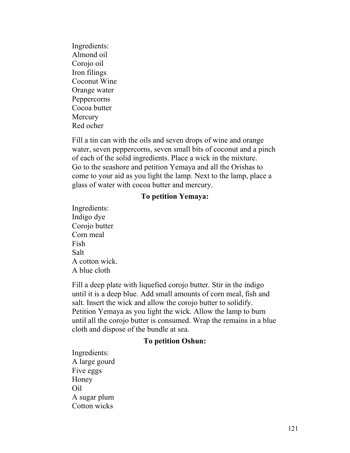Ingredients: Almond oil Corojo oil Iron filings Coconut Wine Orange water Peppercorns Cocoa butter **Mercury** Red ocher

Fill a tin can with the oils and seven drops of wine and orange water, seven peppercorns, seven small bits of coconut and a pinch of each of the solid ingredients. Place a wick in the mixture. Go to the seashore and petition Yemaya and all the Orishas to come to your aid as you light the lamp. Next to the lamp, place a glass of water with cocoa butter and mercury.

#### **To petition Yemaya:**

Ingredients: Indigo dye Corojo butter Corn meal Fish Salt A cotton wick. A blue cloth

Fill a deep plate with liquefied corojo butter. Stir in the indigo until it is a deep blue. Add small amounts of corn meal, fish and salt. Insert the wick and allow the corojo butter to solidify. Petition Yemaya as you light the wick. Allow the lamp to burn until all the corojo butter is consumed. Wrap the remains in a blue cloth and dispose of the bundle at sea.

#### **To petition Oshun:**

Ingredients: A large gourd Five eggs Honey Oil A sugar plum Cotton wicks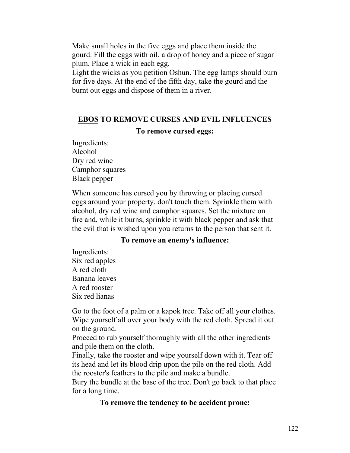Make small holes in the five eggs and place them inside the gourd. Fill the eggs with oil, a drop of honey and a piece of sugar plum. Place a wick in each egg.

Light the wicks as you petition Oshun. The egg lamps should burn for five days. At the end of the fifth day, take the gourd and the burnt out eggs and dispose of them in a river.

#### **EBOS TO REMOVE CURSES AND EVIL INFLUENCES**

#### **To remove cursed eggs:**

Ingredients: Alcohol Dry red wine Camphor squares Black pepper

When someone has cursed you by throwing or placing cursed eggs around your property, don't touch them. Sprinkle them with alcohol, dry red wine and camphor squares. Set the mixture on fire and, while it burns, sprinkle it with black pepper and ask that the evil that is wished upon you returns to the person that sent it.

#### **To remove an enemy's influence:**

Ingredients: Six red apples A red cloth Banana leaves A red rooster Six red lianas

Go to the foot of a palm or a kapok tree. Take off all your clothes. Wipe yourself all over your body with the red cloth. Spread it out on the ground.

Proceed to rub yourself thoroughly with all the other ingredients and pile them on the cloth.

Finally, take the rooster and wipe yourself down with it. Tear off its head and let its blood drip upon the pile on the red cloth. Add the rooster's feathers to the pile and make a bundle.

Bury the bundle at the base of the tree. Don't go back to that place for a long time.

#### **To remove the tendency to be accident prone:**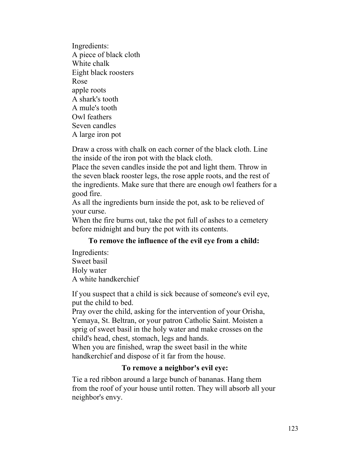Ingredients: A piece of black cloth White chalk Eight black roosters Rose apple roots A shark's tooth A mule's tooth Owl feathers Seven candles A large iron pot

Draw a cross with chalk on each corner of the black cloth. Line the inside of the iron pot with the black cloth.

Place the seven candles inside the pot and light them. Throw in the seven black rooster legs, the rose apple roots, and the rest of the ingredients. Make sure that there are enough owl feathers for a good fire.

As all the ingredients burn inside the pot, ask to be relieved of your curse.

When the fire burns out, take the pot full of ashes to a cemetery before midnight and bury the pot with its contents.

# **To remove the influence of the evil eye from a child:**

Ingredients: Sweet basil Holy water A white handkerchief

If you suspect that a child is sick because of someone's evil eye, put the child to bed.

Pray over the child, asking for the intervention of your Orisha, Yemaya, St. Beltran, or your patron Catholic Saint. Moisten a sprig of sweet basil in the holy water and make crosses on the child's head, chest, stomach, legs and hands.

When you are finished, wrap the sweet basil in the white handkerchief and dispose of it far from the house.

### **To remove a neighbor's evil eye:**

Tie a red ribbon around a large bunch of bananas. Hang them from the roof of your house until rotten. They will absorb all your neighbor's envy.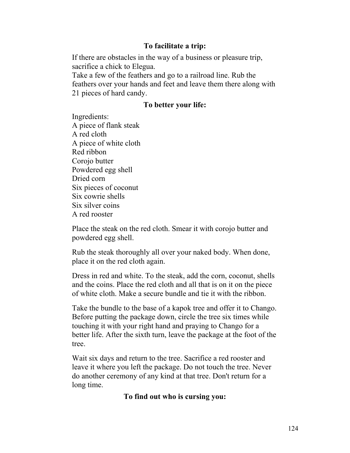### **To facilitate a trip:**

If there are obstacles in the way of a business or pleasure trip, sacrifice a chick to Elegua.

Take a few of the feathers and go to a railroad line. Rub the feathers over your hands and feet and leave them there along with 21 pieces of hard candy.

# **To better your life:**

Ingredients: A piece of flank steak A red cloth A piece of white cloth Red ribbon Corojo butter Powdered egg shell Dried corn Six pieces of coconut Six cowrie shells Six silver coins A red rooster

Place the steak on the red cloth. Smear it with corojo butter and powdered egg shell.

Rub the steak thoroughly all over your naked body. When done, place it on the red cloth again.

Dress in red and white. To the steak, add the corn, coconut, shells and the coins. Place the red cloth and all that is on it on the piece of white cloth. Make a secure bundle and tie it with the ribbon.

Take the bundle to the base of a kapok tree and offer it to Chango. Before putting the package down, circle the tree six times while touching it with your right hand and praying to Chango for a better life. After the sixth turn, leave the package at the foot of the tree.

Wait six days and return to the tree. Sacrifice a red rooster and leave it where you left the package. Do not touch the tree. Never do another ceremony of any kind at that tree. Don't return for a long time.

**To find out who is cursing you:**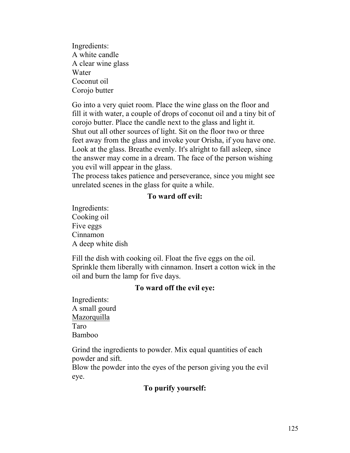Ingredients: A white candle A clear wine glass Water Coconut oil Corojo butter

Go into a very quiet room. Place the wine glass on the floor and fill it with water, a couple of drops of coconut oil and a tiny bit of corojo butter. Place the candle next to the glass and light it. Shut out all other sources of light. Sit on the floor two or three feet away from the glass and invoke your Orisha, if you have one. Look at the glass. Breathe evenly. It's alright to fall asleep, since the answer may come in a dream. The face of the person wishing you evil will appear in the glass.

The process takes patience and perseverance, since you might see unrelated scenes in the glass for quite a while.

#### **To ward off evil:**

Ingredients: Cooking oil Five eggs Cinnamon A deep white dish

Fill the dish with cooking oil. Float the five eggs on the oil. Sprinkle them liberally with cinnamon. Insert a cotton wick in the oil and burn the lamp for five days.

### **To ward off the evil eye:**

Ingredients: A small gourd Mazorquilla Taro Bamboo

Grind the ingredients to powder. Mix equal quantities of each powder and sift.

Blow the powder into the eyes of the person giving you the evil eye.

### **To purify yourself:**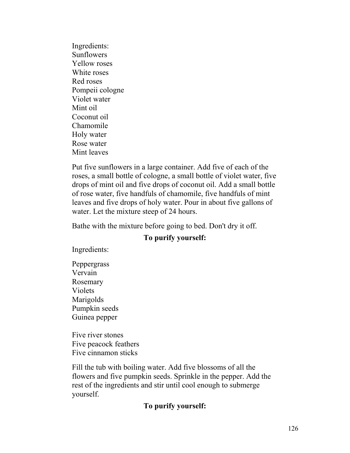Ingredients: **Sunflowers** Yellow roses White roses Red roses Pompeii cologne Violet water Mint oil Coconut oil Chamomile Holy water Rose water Mint leaves

Put five sunflowers in a large container. Add five of each of the roses, a small bottle of cologne, a small bottle of violet water, five drops of mint oil and five drops of coconut oil. Add a small bottle of rose water, five handfuls of chamomile, five handfuls of mint leaves and five drops of holy water. Pour in about five gallons of water. Let the mixture steep of 24 hours.

Bathe with the mixture before going to bed. Don't dry it off.

### **To purify yourself:**

Ingredients:

Peppergrass Vervain Rosemary Violets Marigolds Pumpkin seeds Guinea pepper

Five river stones Five peacock feathers Five cinnamon sticks

Fill the tub with boiling water. Add five blossoms of all the flowers and five pumpkin seeds. Sprinkle in the pepper. Add the rest of the ingredients and stir until cool enough to submerge yourself.

### **To purify yourself:**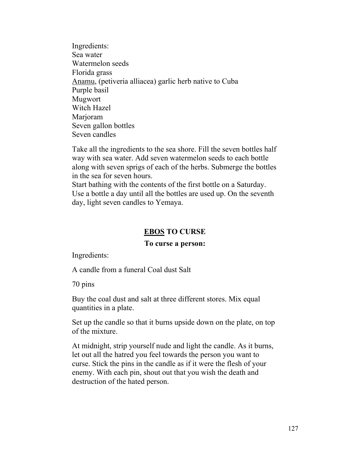Ingredients: Sea water Watermelon seeds Florida grass Anamu, (petiveria alliacea) garlic herb native to Cuba Purple basil Mugwort Witch Hazel Marioram Seven gallon bottles Seven candles

Take all the ingredients to the sea shore. Fill the seven bottles half way with sea water. Add seven watermelon seeds to each bottle along with seven sprigs of each of the herbs. Submerge the bottles in the sea for seven hours.

Start bathing with the contents of the first bottle on a Saturday. Use a bottle a day until all the bottles are used up. On the seventh day, light seven candles to Yemaya.

# **EBOS TO CURSE**

### **To curse a person:**

Ingredients:

A candle from a funeral Coal dust Salt

70 pins

Buy the coal dust and salt at three different stores. Mix equal quantities in a plate.

Set up the candle so that it burns upside down on the plate, on top of the mixture.

At midnight, strip yourself nude and light the candle. As it burns, let out all the hatred you feel towards the person you want to curse. Stick the pins in the candle as if it were the flesh of your enemy. With each pin, shout out that you wish the death and destruction of the hated person.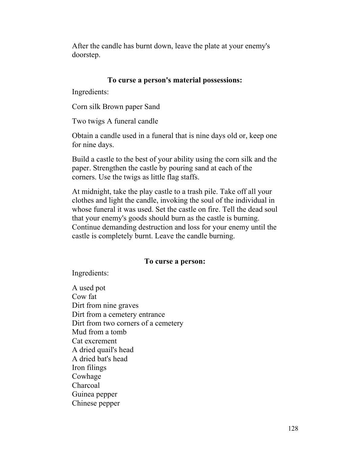After the candle has burnt down, leave the plate at your enemy's doorstep.

#### **To curse a person's material possessions:**

Ingredients:

Corn silk Brown paper Sand

Two twigs A funeral candle

Obtain a candle used in a funeral that is nine days old or, keep one for nine days.

Build a castle to the best of your ability using the corn silk and the paper. Strengthen the castle by pouring sand at each of the corners. Use the twigs as little flag staffs.

At midnight, take the play castle to a trash pile. Take off all your clothes and light the candle, invoking the soul of the individual in whose funeral it was used. Set the castle on fire. Tell the dead soul that your enemy's goods should burn as the castle is burning. Continue demanding destruction and loss for your enemy until the castle is completely burnt. Leave the candle burning.

# **To curse a person:**

Ingredients:

A used pot Cow fat Dirt from nine graves Dirt from a cemetery entrance Dirt from two corners of a cemetery Mud from a tomb Cat excrement A dried quail's head A dried bat's head Iron filings Cowhage Charcoal Guinea pepper Chinese pepper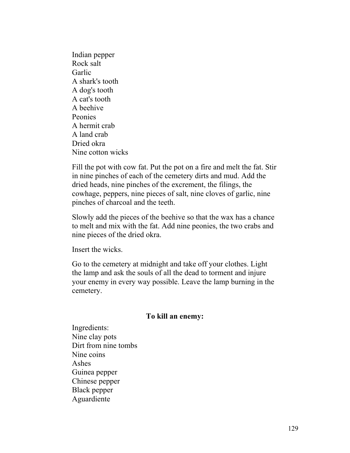Indian pepper Rock salt Garlic A shark's tooth A dog's tooth A cat's tooth A beehive Peonies A hermit crab A land crab Dried okra Nine cotton wicks

Fill the pot with cow fat. Put the pot on a fire and melt the fat. Stir in nine pinches of each of the cemetery dirts and mud. Add the dried heads, nine pinches of the excrement, the filings, the cowhage, peppers, nine pieces of salt, nine cloves of garlic, nine pinches of charcoal and the teeth.

Slowly add the pieces of the beehive so that the wax has a chance to melt and mix with the fat. Add nine peonies, the two crabs and nine pieces of the dried okra.

Insert the wicks.

Go to the cemetery at midnight and take off your clothes. Light the lamp and ask the souls of all the dead to torment and injure your enemy in every way possible. Leave the lamp burning in the cemetery.

#### **To kill an enemy:**

Ingredients: Nine clay pots Dirt from nine tombs Nine coins Ashes Guinea pepper Chinese pepper Black pepper Aguardiente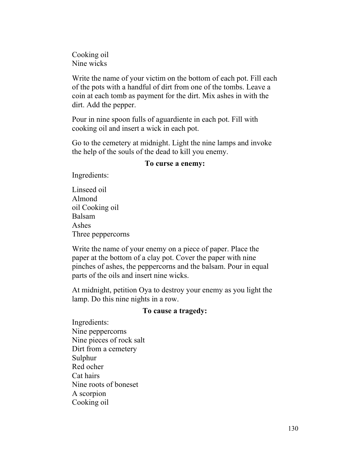Cooking oil Nine wicks

Write the name of your victim on the bottom of each pot. Fill each of the pots with a handful of dirt from one of the tombs. Leave a coin at each tomb as payment for the dirt. Mix ashes in with the dirt. Add the pepper.

Pour in nine spoon fulls of aguardiente in each pot. Fill with cooking oil and insert a wick in each pot.

Go to the cemetery at midnight. Light the nine lamps and invoke the help of the souls of the dead to kill you enemy.

#### **To curse a enemy:**

Ingredients:

Linseed oil Almond oil Cooking oil Balsam Ashes Three peppercorns

Write the name of your enemy on a piece of paper. Place the paper at the bottom of a clay pot. Cover the paper with nine pinches of ashes, the peppercorns and the balsam. Pour in equal parts of the oils and insert nine wicks.

At midnight, petition Oya to destroy your enemy as you light the lamp. Do this nine nights in a row.

### **To cause a tragedy:**

Ingredients: Nine peppercorns Nine pieces of rock salt Dirt from a cemetery Sulphur Red ocher Cat hairs Nine roots of boneset A scorpion Cooking oil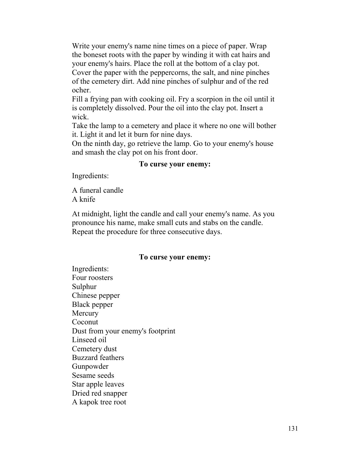Write your enemy's name nine times on a piece of paper. Wrap the boneset roots with the paper by winding it with cat hairs and your enemy's hairs. Place the roll at the bottom of a clay pot. Cover the paper with the peppercorns, the salt, and nine pinches of the cemetery dirt. Add nine pinches of sulphur and of the red ocher.

Fill a frying pan with cooking oil. Fry a scorpion in the oil until it is completely dissolved. Pour the oil into the clay pot. Insert a wick.

Take the lamp to a cemetery and place it where no one will bother it. Light it and let it burn for nine days.

On the ninth day, go retrieve the lamp. Go to your enemy's house and smash the clay pot on his front door.

#### **To curse your enemy:**

Ingredients:

A funeral candle A knife

At midnight, light the candle and call your enemy's name. As you pronounce his name, make small cuts and stabs on the candle. Repeat the procedure for three consecutive days.

#### **To curse your enemy:**

Ingredients: Four roosters Sulphur Chinese pepper Black pepper **Mercury** Coconut Dust from your enemy's footprint Linseed oil Cemetery dust Buzzard feathers Gunpowder Sesame seeds Star apple leaves Dried red snapper A kapok tree root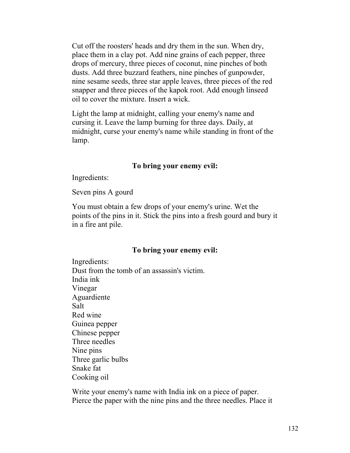Cut off the roosters' heads and dry them in the sun. When dry, place them in a clay pot. Add nine grains of each pepper, three drops of mercury, three pieces of coconut, nine pinches of both dusts. Add three buzzard feathers, nine pinches of gunpowder, nine sesame seeds, three star apple leaves, three pieces of the red snapper and three pieces of the kapok root. Add enough linseed oil to cover the mixture. Insert a wick.

Light the lamp at midnight, calling your enemy's name and cursing it. Leave the lamp burning for three days. Daily, at midnight, curse your enemy's name while standing in front of the lamp.

#### **To bring your enemy evil:**

Ingredients:

Seven pins A gourd

You must obtain a few drops of your enemy's urine. Wet the points of the pins in it. Stick the pins into a fresh gourd and bury it in a fire ant pile.

### **To bring your enemy evil:**

Ingredients: Dust from the tomb of an assassin's victim. India ink Vinegar Aguardiente Salt Red wine Guinea pepper Chinese pepper Three needles Nine pins Three garlic bulbs Snake fat Cooking oil

Write your enemy's name with India ink on a piece of paper. Pierce the paper with the nine pins and the three needles. Place it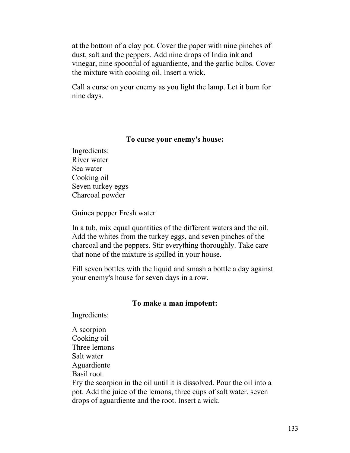at the bottom of a clay pot. Cover the paper with nine pinches of dust, salt and the peppers. Add nine drops of India ink and vinegar, nine spoonful of aguardiente, and the garlic bulbs. Cover the mixture with cooking oil. Insert a wick.

Call a curse on your enemy as you light the lamp. Let it burn for nine days.

#### **To curse your enemy's house:**

Ingredients: River water Sea water Cooking oil Seven turkey eggs Charcoal powder

Guinea pepper Fresh water

In a tub, mix equal quantities of the different waters and the oil. Add the whites from the turkey eggs, and seven pinches of the charcoal and the peppers. Stir everything thoroughly. Take care that none of the mixture is spilled in your house.

Fill seven bottles with the liquid and smash a bottle a day against your enemy's house for seven days in a row.

#### **To make a man impotent:**

Ingredients:

A scorpion Cooking oil Three lemons Salt water Aguardiente Basil root Fry the scorpion in the oil until it is dissolved. Pour the oil into a pot. Add the juice of the lemons, three cups of salt water, seven drops of aguardiente and the root. Insert a wick.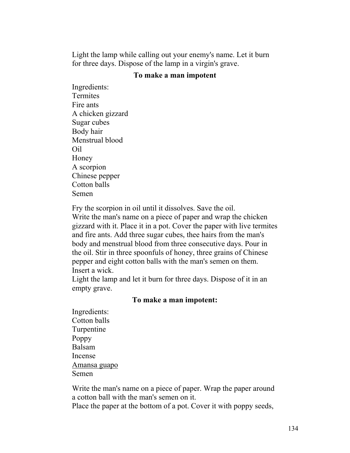Light the lamp while calling out your enemy's name. Let it burn for three days. Dispose of the lamp in a virgin's grave.

#### **To make a man impotent**

Ingredients: Termites Fire ants A chicken gizzard Sugar cubes Body hair Menstrual blood Oil Honey A scorpion Chinese pepper Cotton balls Semen

Fry the scorpion in oil until it dissolves. Save the oil.

Write the man's name on a piece of paper and wrap the chicken gizzard with it. Place it in a pot. Cover the paper with live termites and fire ants. Add three sugar cubes, thee hairs from the man's body and menstrual blood from three consecutive days. Pour in the oil. Stir in three spoonfuls of honey, three grains of Chinese pepper and eight cotton balls with the man's semen on them. Insert a wick.

Light the lamp and let it burn for three days. Dispose of it in an empty grave.

#### **To make a man impotent:**

Ingredients: Cotton balls Turpentine Poppy Balsam Incense Amansa guapo Semen

Write the man's name on a piece of paper. Wrap the paper around a cotton ball with the man's semen on it.

Place the paper at the bottom of a pot. Cover it with poppy seeds,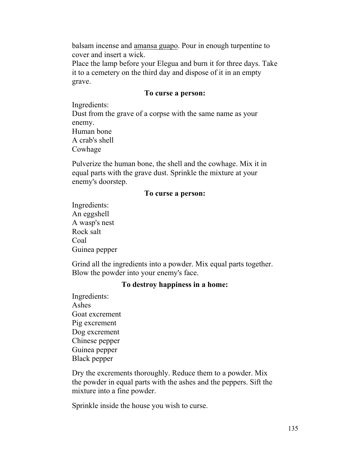balsam incense and amansa guapo. Pour in enough turpentine to cover and insert a wick.

Place the lamp before your Elegua and burn it for three days. Take it to a cemetery on the third day and dispose of it in an empty grave.

#### **To curse a person:**

Ingredients:

Dust from the grave of a corpse with the same name as your enemy. Human bone A crab's shell

Cowhage

Pulverize the human bone, the shell and the cowhage. Mix it in equal parts with the grave dust. Sprinkle the mixture at your enemy's doorstep.

### **To curse a person:**

Ingredients: An eggshell A wasp's nest Rock salt Coal Guinea pepper

Grind all the ingredients into a powder. Mix equal parts together. Blow the powder into your enemy's face.

#### **To destroy happiness in a home:**

Ingredients: Ashes Goat excrement Pig excrement Dog excrement Chinese pepper Guinea pepper Black pepper

Dry the excrements thoroughly. Reduce them to a powder. Mix the powder in equal parts with the ashes and the peppers. Sift the mixture into a fine powder.

Sprinkle inside the house you wish to curse.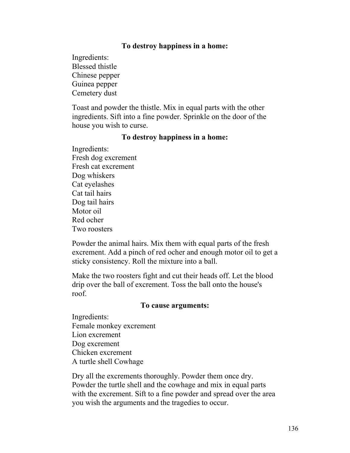#### **To destroy happiness in a home:**

Ingredients: Blessed thistle Chinese pepper Guinea pepper Cemetery dust

Toast and powder the thistle. Mix in equal parts with the other ingredients. Sift into a fine powder. Sprinkle on the door of the house you wish to curse.

#### **To destroy happiness in a home:**

Ingredients: Fresh dog excrement Fresh cat excrement Dog whiskers Cat eyelashes Cat tail hairs Dog tail hairs Motor oil Red ocher Two roosters

Powder the animal hairs. Mix them with equal parts of the fresh excrement. Add a pinch of red ocher and enough motor oil to get a sticky consistency. Roll the mixture into a ball.

Make the two roosters fight and cut their heads off. Let the blood drip over the ball of excrement. Toss the ball onto the house's roof.

#### **To cause arguments:**

Ingredients: Female monkey excrement Lion excrement Dog excrement Chicken excrement A turtle shell Cowhage

Dry all the excrements thoroughly. Powder them once dry. Powder the turtle shell and the cowhage and mix in equal parts with the excrement. Sift to a fine powder and spread over the area you wish the arguments and the tragedies to occur.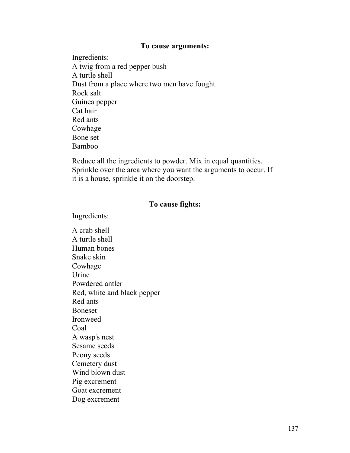#### **To cause arguments:**

Ingredients: A twig from a red pepper bush A turtle shell Dust from a place where two men have fought Rock salt Guinea pepper Cat hair Red ants Cowhage Bone set Bamboo

Reduce all the ingredients to powder. Mix in equal quantities. Sprinkle over the area where you want the arguments to occur. If it is a house, sprinkle it on the doorstep.

#### **To cause fights:**

Ingredients:

A crab shell A turtle shell Human bones Snake skin Cowhage Urine Powdered antler Red, white and black pepper Red ants Boneset Ironweed Coal A wasp's nest Sesame seeds Peony seeds Cemetery dust Wind blown dust Pig excrement Goat excrement Dog excrement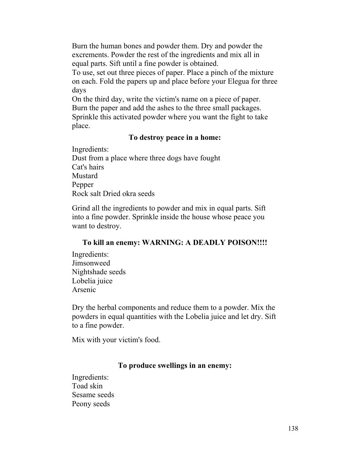Burn the human bones and powder them. Dry and powder the excrements. Powder the rest of the ingredients and mix all in equal parts. Sift until a fine powder is obtained.

To use, set out three pieces of paper. Place a pinch of the mixture on each. Fold the papers up and place before your Elegua for three days

On the third day, write the victim's name on a piece of paper. Burn the paper and add the ashes to the three small packages. Sprinkle this activated powder where you want the fight to take place.

### **To destroy peace in a home:**

Ingredients: Dust from a place where three dogs have fought Cat's hairs Mustard Pepper Rock salt Dried okra seeds

Grind all the ingredients to powder and mix in equal parts. Sift into a fine powder. Sprinkle inside the house whose peace you want to destroy.

### **To kill an enemy: WARNING: A DEADLY POISON!!!!**

Ingredients: Jimsonweed Nightshade seeds Lobelia juice Arsenic

Dry the herbal components and reduce them to a powder. Mix the powders in equal quantities with the Lobelia juice and let dry. Sift to a fine powder.

Mix with your victim's food.

# **To produce swellings in an enemy:**

Ingredients: Toad skin Sesame seeds Peony seeds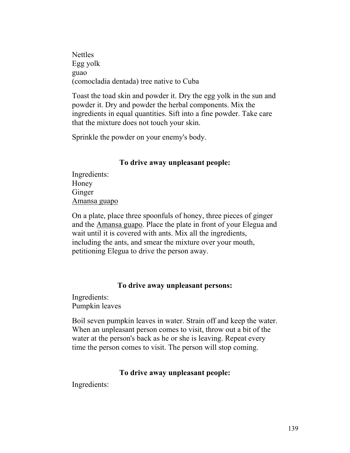**Nettles** Egg yolk guao (comocladia dentada) tree native to Cuba

Toast the toad skin and powder it. Dry the egg yolk in the sun and powder it. Dry and powder the herbal components. Mix the ingredients in equal quantities. Sift into a fine powder. Take care that the mixture does not touch your skin.

Sprinkle the powder on your enemy's body.

### **To drive away unpleasant people:**

Ingredients: Honey Ginger Amansa guapo

On a plate, place three spoonfuls of honey, three pieces of ginger and the Amansa guapo. Place the plate in front of your Elegua and wait until it is covered with ants. Mix all the ingredients, including the ants, and smear the mixture over your mouth, petitioning Elegua to drive the person away.

### **To drive away unpleasant persons:**

Ingredients: Pumpkin leaves

Boil seven pumpkin leaves in water. Strain off and keep the water. When an unpleasant person comes to visit, throw out a bit of the water at the person's back as he or she is leaving. Repeat every time the person comes to visit. The person will stop coming.

#### **To drive away unpleasant people:**

Ingredients: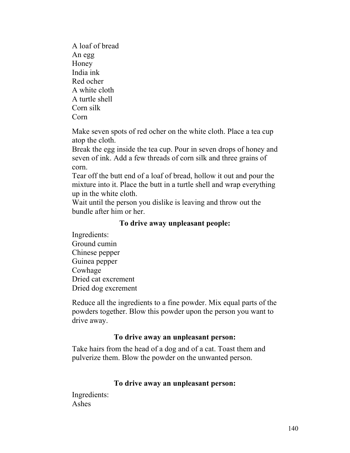A loaf of bread An egg Honey India ink Red ocher A white cloth A turtle shell Corn silk Corn

Make seven spots of red ocher on the white cloth. Place a tea cup atop the cloth.

Break the egg inside the tea cup. Pour in seven drops of honey and seven of ink. Add a few threads of corn silk and three grains of corn.

Tear off the butt end of a loaf of bread, hollow it out and pour the mixture into it. Place the butt in a turtle shell and wrap everything up in the white cloth.

Wait until the person you dislike is leaving and throw out the bundle after him or her.

### **To drive away unpleasant people:**

Ingredients: Ground cumin Chinese pepper Guinea pepper Cowhage Dried cat excrement Dried dog excrement

Reduce all the ingredients to a fine powder. Mix equal parts of the powders together. Blow this powder upon the person you want to drive away.

### **To drive away an unpleasant person:**

Take hairs from the head of a dog and of a cat. Toast them and pulverize them. Blow the powder on the unwanted person.

# **To drive away an unpleasant person:**

Ingredients: Ashes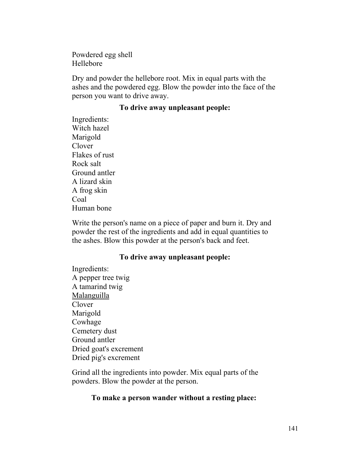Powdered egg shell Hellebore

Dry and powder the hellebore root. Mix in equal parts with the ashes and the powdered egg. Blow the powder into the face of the person you want to drive away.

#### **To drive away unpleasant people:**

Ingredients: Witch hazel Marigold Clover Flakes of rust Rock salt Ground antler A lizard skin A frog skin Coal Human bone

Write the person's name on a piece of paper and burn it. Dry and powder the rest of the ingredients and add in equal quantities to the ashes. Blow this powder at the person's back and feet.

### **To drive away unpleasant people:**

Ingredients: A pepper tree twig A tamarind twig Malanguilla Clover Marigold Cowhage Cemetery dust Ground antler Dried goat's excrement Dried pig's excrement

Grind all the ingredients into powder. Mix equal parts of the powders. Blow the powder at the person.

#### **To make a person wander without a resting place:**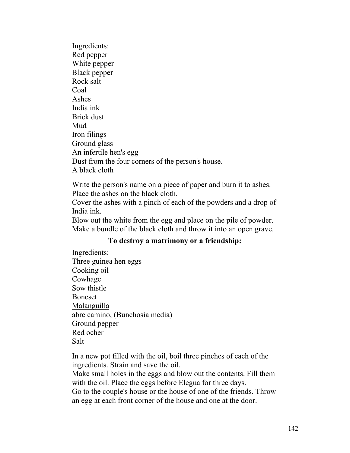Ingredients: Red pepper White pepper Black pepper Rock salt Coal Ashes India ink Brick dust Mud Iron filings Ground glass An infertile hen's egg Dust from the four corners of the person's house. A black cloth

Write the person's name on a piece of paper and burn it to ashes. Place the ashes on the black cloth.

Cover the ashes with a pinch of each of the powders and a drop of India ink.

Blow out the white from the egg and place on the pile of powder. Make a bundle of the black cloth and throw it into an open grave.

### **To destroy a matrimony or a friendship:**

Ingredients: Three guinea hen eggs Cooking oil Cowhage Sow thistle Boneset Malanguilla abre camino, (Bunchosia media) Ground pepper Red ocher Salt

In a new pot filled with the oil, boil three pinches of each of the ingredients. Strain and save the oil.

Make small holes in the eggs and blow out the contents. Fill them with the oil. Place the eggs before Elegua for three days.

Go to the couple's house or the house of one of the friends. Throw an egg at each front corner of the house and one at the door.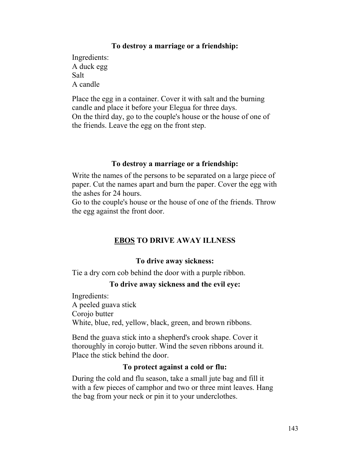### **To destroy a marriage or a friendship:**

Ingredients: A duck egg Salt A candle

Place the egg in a container. Cover it with salt and the burning candle and place it before your Elegua for three days. On the third day, go to the couple's house or the house of one of the friends. Leave the egg on the front step.

#### **To destroy a marriage or a friendship:**

Write the names of the persons to be separated on a large piece of paper. Cut the names apart and burn the paper. Cover the egg with the ashes for 24 hours.

Go to the couple's house or the house of one of the friends. Throw the egg against the front door.

# **EBOS TO DRIVE AWAY ILLNESS**

# **To drive away sickness:**

Tie a dry corn cob behind the door with a purple ribbon.

### **To drive away sickness and the evil eye:**

Ingredients: A peeled guava stick Corojo butter White, blue, red, yellow, black, green, and brown ribbons.

Bend the guava stick into a shepherd's crook shape. Cover it thoroughly in corojo butter. Wind the seven ribbons around it. Place the stick behind the door.

### **To protect against a cold or flu:**

During the cold and flu season, take a small jute bag and fill it with a few pieces of camphor and two or three mint leaves. Hang the bag from your neck or pin it to your underclothes.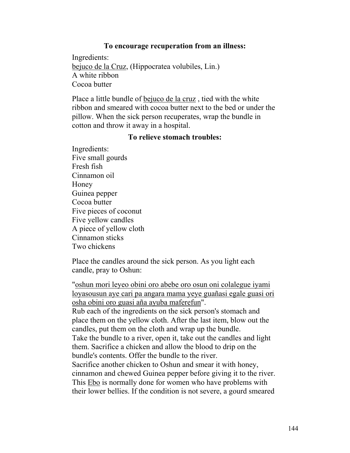#### **To encourage recuperation from an illness:**

Ingredients: bejuco de la Cruz, (Hippocratea volubiles, Lin.) A white ribbon Cocoa butter

Place a little bundle of bejuco de la cruz , tied with the white ribbon and smeared with cocoa butter next to the bed or under the pillow. When the sick person recuperates, wrap the bundle in cotton and throw it away in a hospital.

#### **To relieve stomach troubles:**

Ingredients: Five small gourds Fresh fish Cinnamon oil Honey Guinea pepper Cocoa butter Five pieces of coconut Five yellow candles A piece of yellow cloth Cinnamon sticks Two chickens

Place the candles around the sick person. As you light each candle, pray to Oshun:

"oshun mori leyeo obini oro abebe oro osun oni colalegue iyami loyasousun aye cari pa angara mama yeye guañasi egale guasi ori osha obini oro guasi aña ayuba maferefun". Rub each of the ingredients on the sick person's stomach and place them on the yellow cloth. After the last item, blow out the candles, put them on the cloth and wrap up the bundle. Take the bundle to a river, open it, take out the candles and light them. Sacrifice a chicken and allow the blood to drip on the bundle's contents. Offer the bundle to the river. Sacrifice another chicken to Oshun and smear it with honey, cinnamon and chewed Guinea pepper before giving it to the river. This Ebo is normally done for women who have problems with their lower bellies. If the condition is not severe, a gourd smeared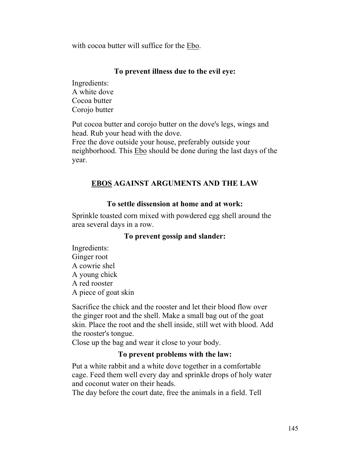with cocoa butter will suffice for the Ebo.

# **To prevent illness due to the evil eye:**

Ingredients: A white dove Cocoa butter Corojo butter

Put cocoa butter and corojo butter on the dove's legs, wings and head. Rub your head with the dove.

Free the dove outside your house, preferably outside your neighborhood. This Ebo should be done during the last days of the year.

# **EBOS AGAINST ARGUMENTS AND THE LAW**

# **To settle dissension at home and at work:**

Sprinkle toasted corn mixed with powdered egg shell around the area several days in a row.

# **To prevent gossip and slander:**

Ingredients: Ginger root A cowrie shel A young chick A red rooster A piece of goat skin

Sacrifice the chick and the rooster and let their blood flow over the ginger root and the shell. Make a small bag out of the goat skin. Place the root and the shell inside, still wet with blood. Add the rooster's tongue.

Close up the bag and wear it close to your body.

# **To prevent problems with the law:**

Put a white rabbit and a white dove together in a comfortable cage. Feed them well every day and sprinkle drops of holy water and coconut water on their heads.

The day before the court date, free the animals in a field. Tell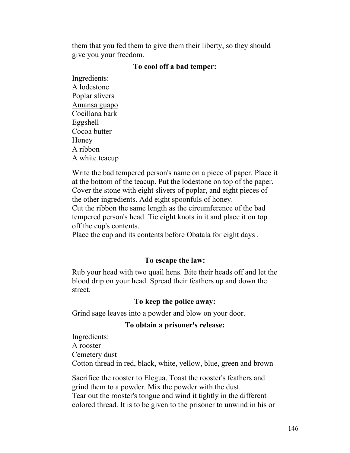them that you fed them to give them their liberty, so they should give you your freedom.

#### **To cool off a bad temper:**

Ingredients: A lodestone Poplar slivers Amansa guapo Cocillana bark Eggshell Cocoa butter Honey A ribbon A white teacup

Write the bad tempered person's name on a piece of paper. Place it at the bottom of the teacup. Put the lodestone on top of the paper. Cover the stone with eight slivers of poplar, and eight pieces of the other ingredients. Add eight spoonfuls of honey. Cut the ribbon the same length as the circumference of the bad tempered person's head. Tie eight knots in it and place it on top off the cup's contents.

Place the cup and its contents before Obatala for eight days .

#### **To escape the law:**

Rub your head with two quail hens. Bite their heads off and let the blood drip on your head. Spread their feathers up and down the street.

#### **To keep the police away:**

Grind sage leaves into a powder and blow on your door.

#### **To obtain a prisoner's release:**

Ingredients: A rooster Cemetery dust Cotton thread in red, black, white, yellow, blue, green and brown

Sacrifice the rooster to Elegua. Toast the rooster's feathers and grind them to a powder. Mix the powder with the dust. Tear out the rooster's tongue and wind it tightly in the different colored thread. It is to be given to the prisoner to unwind in his or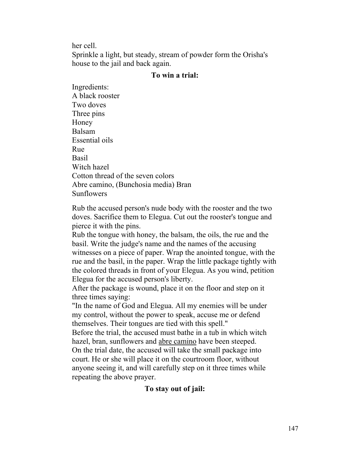her cell.

Sprinkle a light, but steady, stream of powder form the Orisha's house to the jail and back again.

#### **To win a trial:**

Ingredients: A black rooster Two doves Three pins Honey Balsam Essential oils Rue Basil Witch hazel Cotton thread of the seven colors Abre camino, (Bunchosia media) Bran Sunflowers

Rub the accused person's nude body with the rooster and the two doves. Sacrifice them to Elegua. Cut out the rooster's tongue and pierce it with the pins.

Rub the tongue with honey, the balsam, the oils, the rue and the basil. Write the judge's name and the names of the accusing witnesses on a piece of paper. Wrap the anointed tongue, with the rue and the basil, in the paper. Wrap the little package tightly with the colored threads in front of your Elegua. As you wind, petition Elegua for the accused person's liberty.

After the package is wound, place it on the floor and step on it three times saying:

"In the name of God and Elegua. All my enemies will be under my control, without the power to speak, accuse me or defend themselves. Their tongues are tied with this spell."

Before the trial, the accused must bathe in a tub in which witch hazel, bran, sunflowers and abre camino have been steeped.

On the trial date, the accused will take the small package into court. He or she will place it on the courtroom floor, without anyone seeing it, and will carefully step on it three times while repeating the above prayer.

# **To stay out of jail:**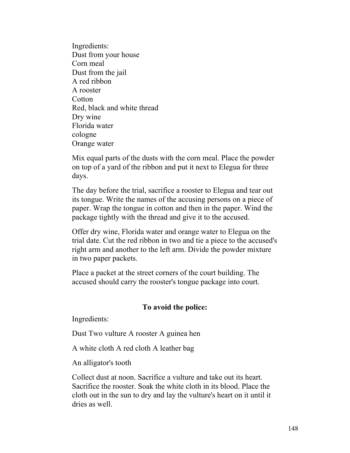Ingredients: Dust from your house Corn meal Dust from the jail A red ribbon A rooster **Cotton** Red, black and white thread Dry wine Florida water cologne Orange water

Mix equal parts of the dusts with the corn meal. Place the powder on top of a yard of the ribbon and put it next to Elegua for three days.

The day before the trial, sacrifice a rooster to Elegua and tear out its tongue. Write the names of the accusing persons on a piece of paper. Wrap the tongue in cotton and then in the paper. Wind the package tightly with the thread and give it to the accused.

Offer dry wine, Florida water and orange water to Elegua on the trial date. Cut the red ribbon in two and tie a piece to the accused's right arm and another to the left arm. Divide the powder mixture in two paper packets.

Place a packet at the street corners of the court building. The accused should carry the rooster's tongue package into court.

# **To avoid the police:**

Ingredients:

Dust Two vulture A rooster A guinea hen

A white cloth A red cloth A leather bag

An alligator's tooth

Collect dust at noon. Sacrifice a vulture and take out its heart. Sacrifice the rooster. Soak the white cloth in its blood. Place the cloth out in the sun to dry and lay the vulture's heart on it until it dries as well.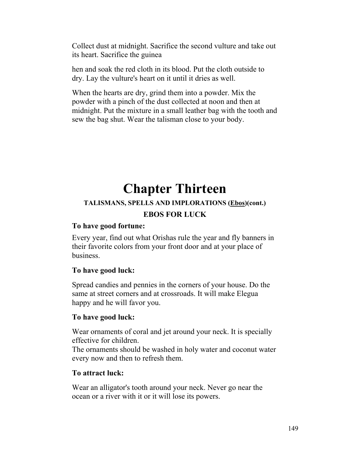Collect dust at midnight. Sacrifice the second vulture and take out its heart. Sacrifice the guinea

hen and soak the red cloth in its blood. Put the cloth outside to dry. Lay the vulture's heart on it until it dries as well.

When the hearts are dry, grind them into a powder. Mix the powder with a pinch of the dust collected at noon and then at midnight. Put the mixture in a small leather bag with the tooth and sew the bag shut. Wear the talisman close to your body.

# **Chapter Thirteen**

# **TALISMANS, SPELLS AND IMPLORATIONS (Ebos)(cont.) EBOS FOR LUCK**

# **To have good fortune:**

Every year, find out what Orishas rule the year and fly banners in their favorite colors from your front door and at your place of business.

# **To have good luck:**

Spread candies and pennies in the corners of your house. Do the same at street corners and at crossroads. It will make Elegua happy and he will favor you.

# **To have good luck:**

Wear ornaments of coral and jet around your neck. It is specially effective for children.

The ornaments should be washed in holy water and coconut water every now and then to refresh them.

## **To attract luck:**

Wear an alligator's tooth around your neck. Never go near the ocean or a river with it or it will lose its powers.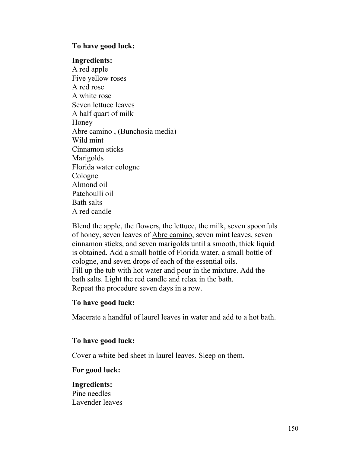## **To have good luck:**

#### **Ingredients:**

A red apple Five yellow roses A red rose A white rose Seven lettuce leaves A half quart of milk Honey Abre camino , (Bunchosia media) Wild mint Cinnamon sticks Marigolds Florida water cologne Cologne Almond oil Patchoulli oil Bath salts A red candle

Blend the apple, the flowers, the lettuce, the milk, seven spoonfuls of honey, seven leaves of Abre camino, seven mint leaves, seven cinnamon sticks, and seven marigolds until a smooth, thick liquid is obtained. Add a small bottle of Florida water, a small bottle of cologne, and seven drops of each of the essential oils. Fill up the tub with hot water and pour in the mixture. Add the bath salts. Light the red candle and relax in the bath. Repeat the procedure seven days in a row.

#### **To have good luck:**

Macerate a handful of laurel leaves in water and add to a hot bath.

#### **To have good luck:**

Cover a white bed sheet in laurel leaves. Sleep on them.

#### **For good luck:**

**Ingredients:** Pine needles Lavender leaves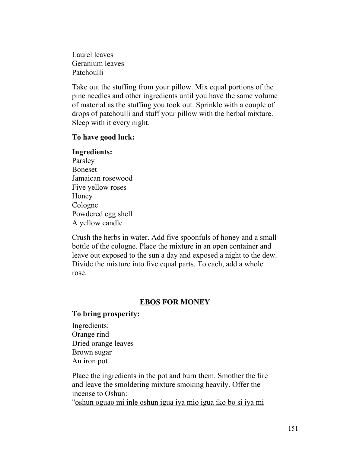Laurel leaves Geranium leaves Patchoulli

Take out the stuffing from your pillow. Mix equal portions of the pine needles and other ingredients until you have the same volume of material as the stuffing you took out. Sprinkle with a couple of drops of patchoulli and stuff your pillow with the herbal mixture. Sleep with it every night.

## **To have good luck:**

# **Ingredients:** Parsley Boneset Jamaican rosewood Five yellow roses Honey Cologne Powdered egg shell A yellow candle

Crush the herbs in water. Add five spoonfuls of honey and a small bottle of the cologne. Place the mixture in an open container and leave out exposed to the sun a day and exposed a night to the dew. Divide the mixture into five equal parts. To each, add a whole rose.

# **EBOS FOR MONEY**

# **To bring prosperity:**

Ingredients: Orange rind Dried orange leaves Brown sugar An iron pot

Place the ingredients in the pot and burn them. Smother the fire and leave the smoldering mixture smoking heavily. Offer the incense to Oshun:

"oshun oguao mi inle oshun igua iya mio igua iko bo si iya mi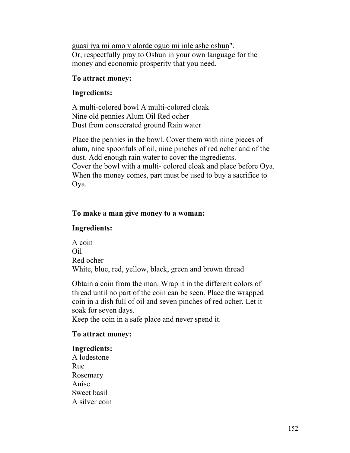guasi iya mi omo y alorde oguo mi inle ashe oshun". Or, respectfully pray to Oshun in your own language for the money and economic prosperity that you need.

# **To attract money:**

# **Ingredients:**

A multi-colored bowl A multi-colored cloak Nine old pennies Alum Oil Red ocher Dust from consecrated ground Rain water

Place the pennies in the bowl. Cover them with nine pieces of alum, nine spoonfuls of oil, nine pinches of red ocher and of the dust. Add enough rain water to cover the ingredients. Cover the bowl with a multi- colored cloak and place before Oya. When the money comes, part must be used to buy a sacrifice to Oya.

# **To make a man give money to a woman:**

# **Ingredients:**

A coin Oil Red ocher White, blue, red, yellow, black, green and brown thread

Obtain a coin from the man. Wrap it in the different colors of thread until no part of the coin can be seen. Place the wrapped coin in a dish full of oil and seven pinches of red ocher. Let it soak for seven days.

Keep the coin in a safe place and never spend it.

# **To attract money:**

# **Ingredients:**

A lodestone Rue Rosemary Anise Sweet basil A silver coin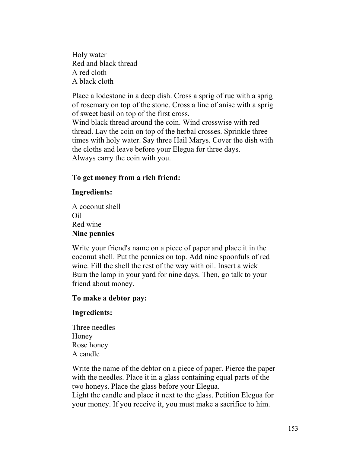Holy water Red and black thread A red cloth A black cloth

Place a lodestone in a deep dish. Cross a sprig of rue with a sprig of rosemary on top of the stone. Cross a line of anise with a sprig of sweet basil on top of the first cross. Wind black thread around the coin. Wind crosswise with red thread. Lay the coin on top of the herbal crosses. Sprinkle three times with holy water. Say three Hail Marys. Cover the dish with the cloths and leave before your Elegua for three days.

Always carry the coin with you.

# **To get money from a rich friend:**

## **Ingredients:**

A coconut shell Oil Red wine **Nine pennies**

Write your friend's name on a piece of paper and place it in the coconut shell. Put the pennies on top. Add nine spoonfuls of red wine. Fill the shell the rest of the way with oil. Insert a wick Burn the lamp in your yard for nine days. Then, go talk to your friend about money.

## **To make a debtor pay:**

# **Ingredients:**

Three needles Honey Rose honey A candle

Write the name of the debtor on a piece of paper. Pierce the paper with the needles. Place it in a glass containing equal parts of the two honeys. Place the glass before your Elegua.

Light the candle and place it next to the glass. Petition Elegua for your money. If you receive it, you must make a sacrifice to him.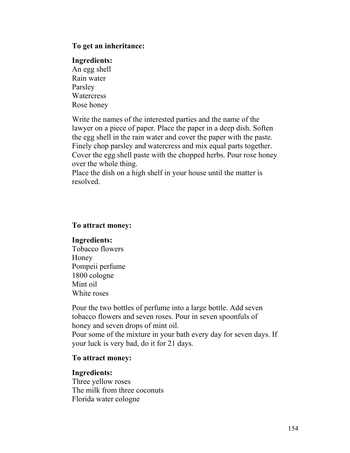#### **To get an inheritance:**

#### **Ingredients:**

An egg shell Rain water Parsley **Watercress** Rose honey

Write the names of the interested parties and the name of the lawyer on a piece of paper. Place the paper in a deep dish. Soften the egg shell in the rain water and cover the paper with the paste. Finely chop parsley and watercress and mix equal parts together. Cover the egg shell paste with the chopped herbs. Pour rose honey over the whole thing.

Place the dish on a high shelf in your house until the matter is resolved.

#### **To attract money:**

#### **Ingredients:**

Tobacco flowers Honey Pompeii perfume 1800 cologne Mint oil White roses

Pour the two bottles of perfume into a large bottle. Add seven tobacco flowers and seven roses. Pour in seven spoonfuls of honey and seven drops of mint oil. Pour some of the mixture in your bath every day for seven days. If your luck is very bad, do it for 21 days.

## **To attract money:**

## **Ingredients:**

Three yellow roses The milk from three coconuts Florida water cologne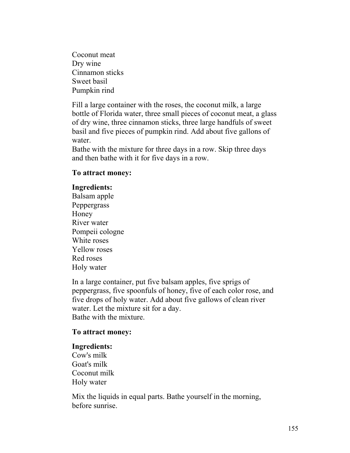Coconut meat Dry wine Cinnamon sticks Sweet basil Pumpkin rind

Fill a large container with the roses, the coconut milk, a large bottle of Florida water, three small pieces of coconut meat, a glass of dry wine, three cinnamon sticks, three large handfuls of sweet basil and five pieces of pumpkin rind. Add about five gallons of water.

Bathe with the mixture for three days in a row. Skip three days and then bathe with it for five days in a row.

# **To attract money:**

## **Ingredients:**

Balsam apple Peppergrass Honey River water Pompeii cologne White roses Yellow roses Red roses Holy water

In a large container, put five balsam apples, five sprigs of peppergrass, five spoonfuls of honey, five of each color rose, and five drops of holy water. Add about five gallows of clean river water. Let the mixture sit for a day. Bathe with the mixture.

## **To attract money:**

## **Ingredients:**

Cow's milk Goat's milk Coconut milk Holy water

Mix the liquids in equal parts. Bathe yourself in the morning, before sunrise.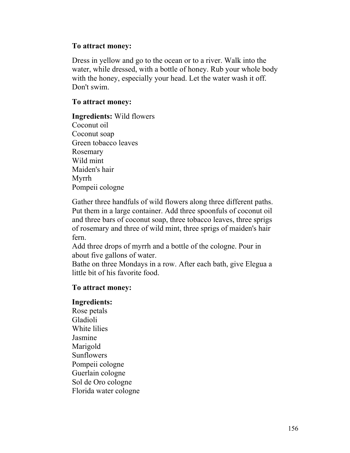## **To attract money:**

Dress in yellow and go to the ocean or to a river. Walk into the water, while dressed, with a bottle of honey. Rub your whole body with the honey, especially your head. Let the water wash it off. Don't swim.

#### **To attract money:**

**Ingredients:** Wild flowers Coconut oil Coconut soap Green tobacco leaves Rosemary Wild mint Maiden's hair Myrrh Pompeii cologne

Gather three handfuls of wild flowers along three different paths. Put them in a large container. Add three spoonfuls of coconut oil and three bars of coconut soap, three tobacco leaves, three sprigs of rosemary and three of wild mint, three sprigs of maiden's hair fern.

Add three drops of myrrh and a bottle of the cologne. Pour in about five gallons of water.

Bathe on three Mondays in a row. After each bath, give Elegua a little bit of his favorite food.

#### **To attract money:**

#### **Ingredients:**

Rose petals Gladioli White lilies Jasmine Marigold Sunflowers Pompeii cologne Guerlain cologne Sol de Oro cologne Florida water cologne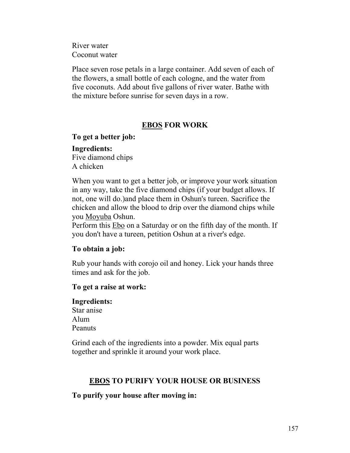River water Coconut water

Place seven rose petals in a large container. Add seven of each of the flowers, a small bottle of each cologne, and the water from five coconuts. Add about five gallons of river water. Bathe with the mixture before sunrise for seven days in a row.

# **EBOS FOR WORK**

#### **To get a better job:**

**Ingredients:** Five diamond chips A chicken

When you want to get a better job, or improve your work situation in any way, take the five diamond chips (if your budget allows. If not, one will do.)and place them in Oshun's tureen. Sacrifice the chicken and allow the blood to drip over the diamond chips while you Moyuba Oshun.

Perform this Ebo on a Saturday or on the fifth day of the month. If you don't have a tureen, petition Oshun at a river's edge.

#### **To obtain a job:**

Rub your hands with corojo oil and honey. Lick your hands three times and ask for the job.

#### **To get a raise at work:**

**Ingredients:** Star anise Alum Peanuts

Grind each of the ingredients into a powder. Mix equal parts together and sprinkle it around your work place.

## **EBOS TO PURIFY YOUR HOUSE OR BUSINESS**

**To purify your house after moving in:**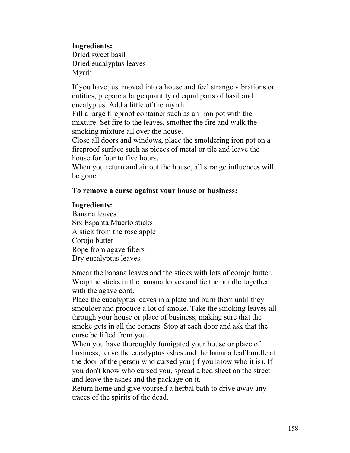**Ingredients:**

Dried sweet basil Dried eucalyptus leaves Myrrh

If you have just moved into a house and feel strange vibrations or entities, prepare a large quantity of equal parts of basil and eucalyptus. Add a little of the myrrh.

Fill a large fireproof container such as an iron pot with the mixture. Set fire to the leaves, smother the fire and walk the smoking mixture all over the house.

Close all doors and windows, place the smoldering iron pot on a fireproof surface such as pieces of metal or tile and leave the house for four to five hours.

When you return and air out the house, all strange influences will be gone.

# **To remove a curse against your house or business:**

# **Ingredients:**

Banana leaves Six Espanta Muerto sticks A stick from the rose apple Corojo butter Rope from agave fibers Dry eucalyptus leaves

Smear the banana leaves and the sticks with lots of corojo butter. Wrap the sticks in the banana leaves and tie the bundle together with the agave cord.

Place the eucalyptus leaves in a plate and burn them until they smoulder and produce a lot of smoke. Take the smoking leaves all through your house or place of business, making sure that the smoke gets in all the corners. Stop at each door and ask that the curse be lifted from you.

When you have thoroughly fumigated your house or place of business, leave the eucalyptus ashes and the banana leaf bundle at the door of the person who cursed you (if you know who it is). If you don't know who cursed you, spread a bed sheet on the street and leave the ashes and the package on it.

Return home and give yourself a herbal bath to drive away any traces of the spirits of the dead.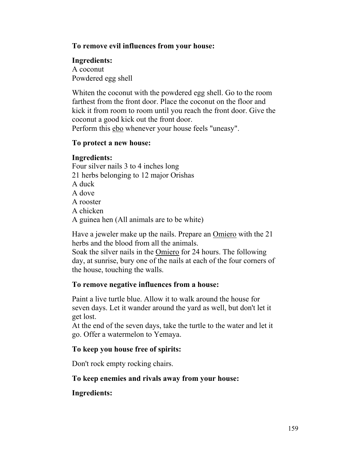# **To remove evil influences from your house:**

# **Ingredients:**

A coconut Powdered egg shell

Whiten the coconut with the powdered egg shell. Go to the room farthest from the front door. Place the coconut on the floor and kick it from room to room until you reach the front door. Give the coconut a good kick out the front door.

Perform this **ebo** whenever your house feels "uneasy".

# **To protect a new house:**

# **Ingredients:**

Four silver nails 3 to 4 inches long 21 herbs belonging to 12 major Orishas A duck A dove A rooster A chicken A guinea hen (All animals are to be white)

Have a jeweler make up the nails. Prepare an Omiero with the 21 herbs and the blood from all the animals.

Soak the silver nails in the Omiero for 24 hours. The following day, at sunrise, bury one of the nails at each of the four corners of the house, touching the walls.

# **To remove negative influences from a house:**

Paint a live turtle blue. Allow it to walk around the house for seven days. Let it wander around the yard as well, but don't let it get lost.

At the end of the seven days, take the turtle to the water and let it go. Offer a watermelon to Yemaya.

# **To keep you house free of spirits:**

Don't rock empty rocking chairs.

# **To keep enemies and rivals away from your house:**

# **Ingredients:**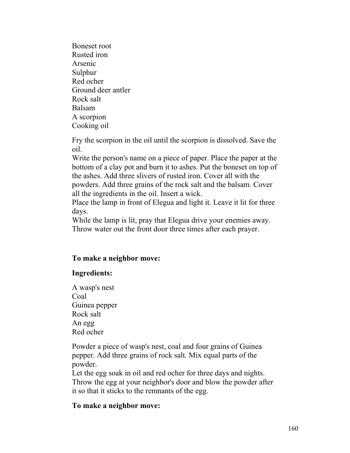Boneset root Rusted iron Arsenic Sulphur Red ocher Ground deer antler Rock salt Balsam A scorpion Cooking oil

Fry the scorpion in the oil until the scorpion is dissolved. Save the oil.

Write the person's name on a piece of paper. Place the paper at the bottom of a clay pot and burn it to ashes. Put the boneset on top of the ashes. Add three slivers of rusted iron. Cover all with the powders. Add three grains of the rock salt and the balsam. Cover all the ingredients in the oil. Insert a wick.

Place the lamp in front of Elegua and light it. Leave it lit for three days.

While the lamp is lit, pray that Elegua drive your enemies away. Throw water out the front door three times after each prayer.

# **To make a neighbor move:**

## **Ingredients:**

A wasp's nest Coal Guinea pepper Rock salt An egg Red ocher

Powder a piece of wasp's nest, coal and four grains of Guinea pepper. Add three grains of rock salt. Mix equal parts of the powder.

Let the egg soak in oil and red ocher for three days and nights. Throw the egg at your neighbor's door and blow the powder after it so that it sticks to the remnants of the egg.

## **To make a neighbor move:**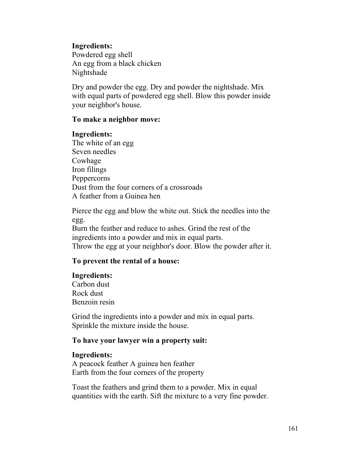## **Ingredients:**

Powdered egg shell An egg from a black chicken Nightshade

Dry and powder the egg. Dry and powder the nightshade. Mix with equal parts of powdered egg shell. Blow this powder inside your neighbor's house.

#### **To make a neighbor move:**

#### **Ingredients:**

The white of an egg Seven needles Cowhage Iron filings Peppercorns Dust from the four corners of a crossroads A feather from a Guinea hen

Pierce the egg and blow the white out. Stick the needles into the egg. Burn the feather and reduce to ashes. Grind the rest of the ingredients into a powder and mix in equal parts. Throw the egg at your neighbor's door. Blow the powder after it.

## **To prevent the rental of a house:**

#### **Ingredients:**

Carbon dust Rock dust Benzoin resin

Grind the ingredients into a powder and mix in equal parts. Sprinkle the mixture inside the house.

#### **To have your lawyer win a property suit:**

#### **Ingredients:**

A peacock feather A guinea hen feather Earth from the four corners of the property

Toast the feathers and grind them to a powder. Mix in equal quantities with the earth. Sift the mixture to a very fine powder.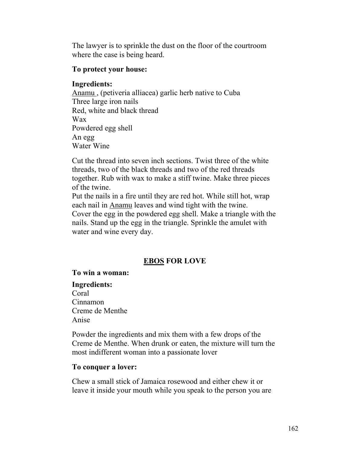The lawyer is to sprinkle the dust on the floor of the courtroom where the case is being heard.

## **To protect your house:**

# **Ingredients:**

Anamu , (petiveria alliacea) garlic herb native to Cuba Three large iron nails Red, white and black thread Wax Powdered egg shell An egg Water Wine

Cut the thread into seven inch sections. Twist three of the white threads, two of the black threads and two of the red threads together. Rub with wax to make a stiff twine. Make three pieces of the twine.

Put the nails in a fire until they are red hot. While still hot, wrap each nail in Anamu leaves and wind tight with the twine.

Cover the egg in the powdered egg shell. Make a triangle with the nails. Stand up the egg in the triangle. Sprinkle the amulet with water and wine every day.

# **EBOS FOR LOVE**

# **To win a woman:**

# **Ingredients:**

Coral Cinnamon Creme de Menthe Anise

Powder the ingredients and mix them with a few drops of the Creme de Menthe. When drunk or eaten, the mixture will turn the most indifferent woman into a passionate lover

# **To conquer a lover:**

Chew a small stick of Jamaica rosewood and either chew it or leave it inside your mouth while you speak to the person you are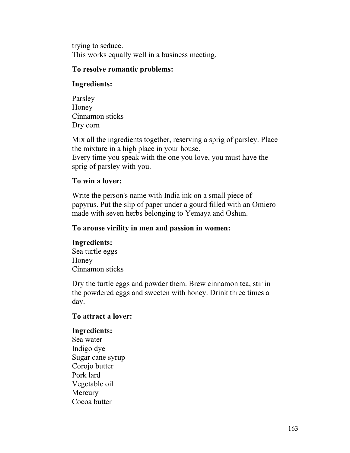trying to seduce. This works equally well in a business meeting.

## **To resolve romantic problems:**

# **Ingredients:**

Parsley Honey Cinnamon sticks Dry corn

Mix all the ingredients together, reserving a sprig of parsley. Place the mixture in a high place in your house. Every time you speak with the one you love, you must have the sprig of parsley with you.

# **To win a lover:**

Write the person's name with India ink on a small piece of papyrus. Put the slip of paper under a gourd filled with an Omiero made with seven herbs belonging to Yemaya and Oshun.

# **To arouse virility in men and passion in women:**

# **Ingredients:**

Sea turtle eggs Honey Cinnamon sticks

Dry the turtle eggs and powder them. Brew cinnamon tea, stir in the powdered eggs and sweeten with honey. Drink three times a day.

# **To attract a lover:**

## **Ingredients:**

Sea water Indigo dye Sugar cane syrup Corojo butter Pork lard Vegetable oil **Mercury** Cocoa butter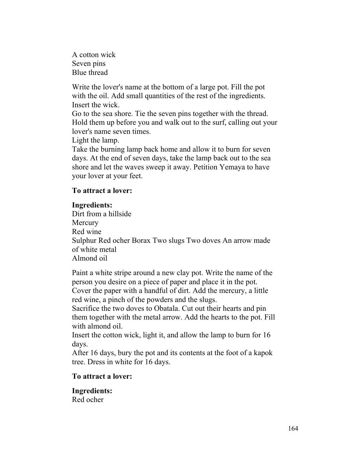A cotton wick Seven pins Blue thread

Write the lover's name at the bottom of a large pot. Fill the pot with the oil. Add small quantities of the rest of the ingredients. Insert the wick.

Go to the sea shore. Tie the seven pins together with the thread. Hold them up before you and walk out to the surf, calling out your lover's name seven times.

Light the lamp.

Take the burning lamp back home and allow it to burn for seven days. At the end of seven days, take the lamp back out to the sea shore and let the waves sweep it away. Petition Yemaya to have your lover at your feet.

# **To attract a lover:**

## **Ingredients:**

Dirt from a hillside Mercury Red wine Sulphur Red ocher Borax Two slugs Two doves An arrow made of white metal Almond oil

Paint a white stripe around a new clay pot. Write the name of the person you desire on a piece of paper and place it in the pot. Cover the paper with a handful of dirt. Add the mercury, a little red wine, a pinch of the powders and the slugs.

Sacrifice the two doves to Obatala. Cut out their hearts and pin them together with the metal arrow. Add the hearts to the pot. Fill with almond oil.

Insert the cotton wick, light it, and allow the lamp to burn for 16 days.

After 16 days, bury the pot and its contents at the foot of a kapok tree. Dress in white for 16 days.

## **To attract a lover:**

**Ingredients:** Red ocher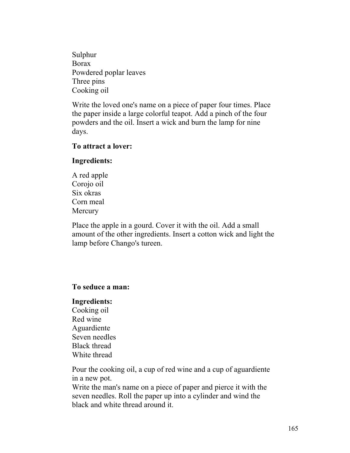Sulphur Borax Powdered poplar leaves Three pins Cooking oil

Write the loved one's name on a piece of paper four times. Place the paper inside a large colorful teapot. Add a pinch of the four powders and the oil. Insert a wick and burn the lamp for nine days.

#### **To attract a lover:**

## **Ingredients:**

A red apple Corojo oil Six okras Corn meal **Mercury** 

Place the apple in a gourd. Cover it with the oil. Add a small amount of the other ingredients. Insert a cotton wick and light the lamp before Chango's tureen.

## **To seduce a man:**

#### **Ingredients:**

Cooking oil Red wine Aguardiente Seven needles Black thread White thread

Pour the cooking oil, a cup of red wine and a cup of aguardiente in a new pot.

Write the man's name on a piece of paper and pierce it with the seven needles. Roll the paper up into a cylinder and wind the black and white thread around it.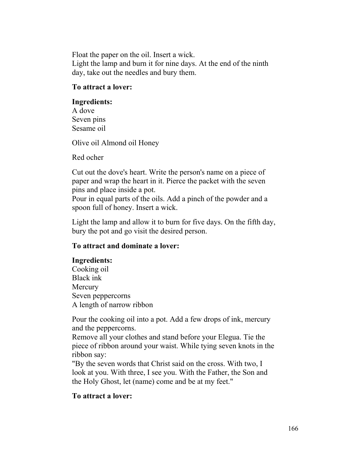Float the paper on the oil. Insert a wick. Light the lamp and burn it for nine days. At the end of the ninth day, take out the needles and bury them.

# **To attract a lover:**

## **Ingredients:**

A dove Seven pins Sesame oil

Olive oil Almond oil Honey

Red ocher

Cut out the dove's heart. Write the person's name on a piece of paper and wrap the heart in it. Pierce the packet with the seven pins and place inside a pot.

Pour in equal parts of the oils. Add a pinch of the powder and a spoon full of honey. Insert a wick.

Light the lamp and allow it to burn for five days. On the fifth day, bury the pot and go visit the desired person.

# **To attract and dominate a lover:**

# **Ingredients:**

Cooking oil Black ink **Mercury** Seven peppercorns A length of narrow ribbon

Pour the cooking oil into a pot. Add a few drops of ink, mercury and the peppercorns.

Remove all your clothes and stand before your Elegua. Tie the piece of ribbon around your waist. While tying seven knots in the ribbon say:

"By the seven words that Christ said on the cross. With two, I look at you. With three, I see you. With the Father, the Son and the Holy Ghost, let (name) come and be at my feet."

# **To attract a lover:**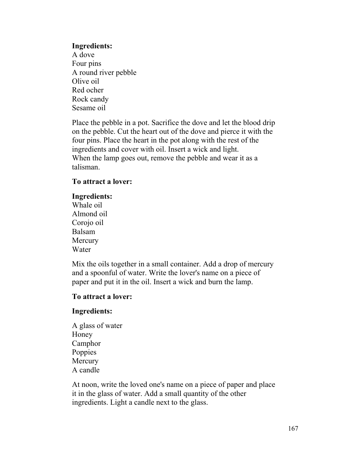#### **Ingredients:**

A dove Four pins A round river pebble Olive oil Red ocher Rock candy Sesame oil

Place the pebble in a pot. Sacrifice the dove and let the blood drip on the pebble. Cut the heart out of the dove and pierce it with the four pins. Place the heart in the pot along with the rest of the ingredients and cover with oil. Insert a wick and light. When the lamp goes out, remove the pebble and wear it as a talisman.

#### **To attract a lover:**

#### **Ingredients:**

Whale oil Almond oil Corojo oil Balsam **Mercury** Water

Mix the oils together in a small container. Add a drop of mercury and a spoonful of water. Write the lover's name on a piece of paper and put it in the oil. Insert a wick and burn the lamp.

## **To attract a lover:**

## **Ingredients:**

A glass of water Honey Camphor **Poppies** Mercury A candle

At noon, write the loved one's name on a piece of paper and place it in the glass of water. Add a small quantity of the other ingredients. Light a candle next to the glass.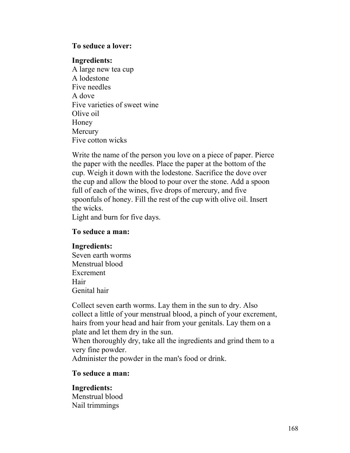#### **To seduce a lover:**

#### **Ingredients:**

A large new tea cup A lodestone Five needles A dove Five varieties of sweet wine Olive oil Honey Mercury Five cotton wicks

Write the name of the person you love on a piece of paper. Pierce the paper with the needles. Place the paper at the bottom of the cup. Weigh it down with the lodestone. Sacrifice the dove over the cup and allow the blood to pour over the stone. Add a spoon full of each of the wines, five drops of mercury, and five spoonfuls of honey. Fill the rest of the cup with olive oil. Insert the wicks.

Light and burn for five days.

## **To seduce a man:**

## **Ingredients:**

Seven earth worms Menstrual blood Excrement Hair Genital hair

Collect seven earth worms. Lay them in the sun to dry. Also collect a little of your menstrual blood, a pinch of your excrement, hairs from your head and hair from your genitals. Lay them on a plate and let them dry in the sun.

When thoroughly dry, take all the ingredients and grind them to a very fine powder.

Administer the powder in the man's food or drink.

## **To seduce a man:**

# **Ingredients:** Menstrual blood Nail trimmings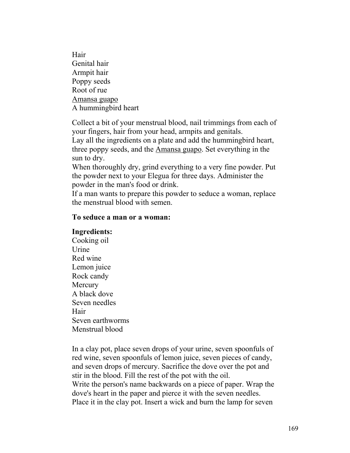Hair Genital hair Armpit hair Poppy seeds Root of rue Amansa guapo A hummingbird heart

Collect a bit of your menstrual blood, nail trimmings from each of your fingers, hair from your head, armpits and genitals.

Lay all the ingredients on a plate and add the hummingbird heart, three poppy seeds, and the Amansa guapo. Set everything in the sun to dry.

When thoroughly dry, grind everything to a very fine powder. Put the powder next to your Elegua for three days. Administer the powder in the man's food or drink.

If a man wants to prepare this powder to seduce a woman, replace the menstrual blood with semen.

## **To seduce a man or a woman:**

#### **Ingredients:**

Cooking oil Urine Red wine Lemon juice Rock candy **Mercury** A black dove Seven needles Hair Seven earthworms Menstrual blood

In a clay pot, place seven drops of your urine, seven spoonfuls of red wine, seven spoonfuls of lemon juice, seven pieces of candy, and seven drops of mercury. Sacrifice the dove over the pot and stir in the blood. Fill the rest of the pot with the oil. Write the person's name backwards on a piece of paper. Wrap the dove's heart in the paper and pierce it with the seven needles. Place it in the clay pot. Insert a wick and burn the lamp for seven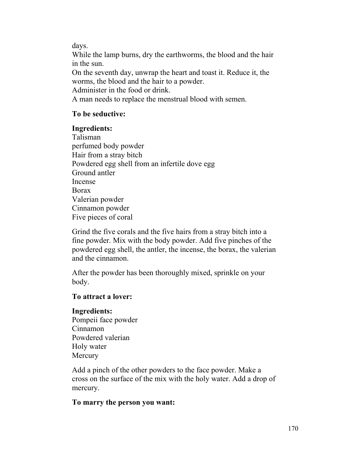days.

While the lamp burns, dry the earthworms, the blood and the hair in the sun.

On the seventh day, unwrap the heart and toast it. Reduce it, the worms, the blood and the hair to a powder.

Administer in the food or drink.

A man needs to replace the menstrual blood with semen.

# **To be seductive:**

# **Ingredients:**

Talisman perfumed body powder Hair from a stray bitch Powdered egg shell from an infertile dove egg Ground antler Incense Borax Valerian powder Cinnamon powder Five pieces of coral

Grind the five corals and the five hairs from a stray bitch into a fine powder. Mix with the body powder. Add five pinches of the powdered egg shell, the antler, the incense, the borax, the valerian and the cinnamon.

After the powder has been thoroughly mixed, sprinkle on your body.

# **To attract a lover:**

# **Ingredients:**

Pompeii face powder Cinnamon Powdered valerian Holy water **Mercury** 

Add a pinch of the other powders to the face powder. Make a cross on the surface of the mix with the holy water. Add a drop of mercury.

# **To marry the person you want:**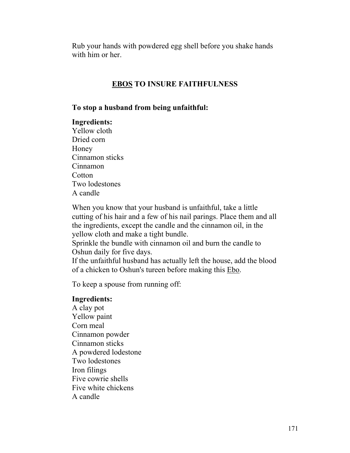Rub your hands with powdered egg shell before you shake hands with him or her

# **EBOS TO INSURE FAITHFULNESS**

#### **To stop a husband from being unfaithful:**

#### **Ingredients:**

Yellow cloth Dried corn Honey Cinnamon sticks Cinnamon **Cotton** Two lodestones A candle

When you know that your husband is unfaithful, take a little cutting of his hair and a few of his nail parings. Place them and all the ingredients, except the candle and the cinnamon oil, in the yellow cloth and make a tight bundle.

Sprinkle the bundle with cinnamon oil and burn the candle to Oshun daily for five days.

If the unfaithful husband has actually left the house, add the blood of a chicken to Oshun's tureen before making this Ebo.

To keep a spouse from running off:

#### **Ingredients:**

A clay pot Yellow paint Corn meal Cinnamon powder Cinnamon sticks A powdered lodestone Two lodestones Iron filings Five cowrie shells Five white chickens A candle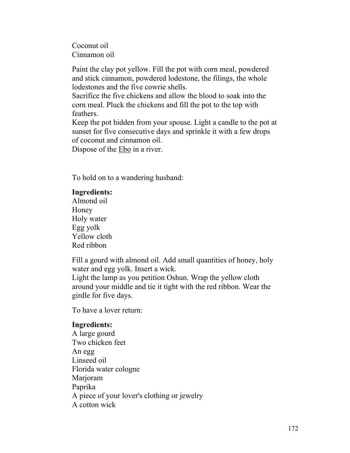Coconut oil Cinnamon oil

Paint the clay pot yellow. Fill the pot with corn meal, powdered and stick cinnamon, powdered lodestone, the filings, the whole lodestones and the five cowrie shells.

Sacrifice the five chickens and allow the blood to soak into the corn meal. Pluck the chickens and fill the pot to the top with feathers.

Keep the pot hidden from your spouse. Light a candle to the pot at sunset for five consecutive days and sprinkle it with a few drops of coconut and cinnamon oil.

Dispose of the Ebo in a river.

To hold on to a wandering husband:

# **Ingredients:**

Almond oil Honey Holy water Egg yolk Yellow cloth Red ribbon

Fill a gourd with almond oil. Add small quantities of honey, holy water and egg yolk. Insert a wick.

Light the lamp as you petition Oshun. Wrap the yellow cloth around your middle and tie it tight with the red ribbon. Wear the girdle for five days.

To have a lover return:

## **Ingredients:**

A large gourd Two chicken feet An egg Linseed oil Florida water cologne Marjoram Paprika A piece of your lover's clothing or jewelry A cotton wick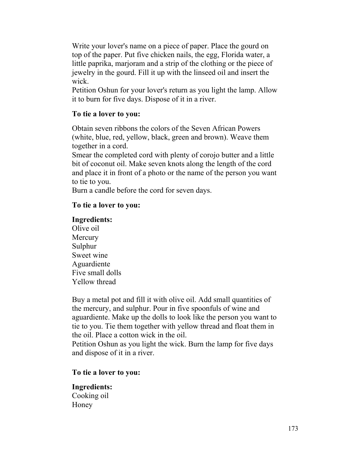Write your lover's name on a piece of paper. Place the gourd on top of the paper. Put five chicken nails, the egg, Florida water, a little paprika, marjoram and a strip of the clothing or the piece of jewelry in the gourd. Fill it up with the linseed oil and insert the wick.

Petition Oshun for your lover's return as you light the lamp. Allow it to burn for five days. Dispose of it in a river.

# **To tie a lover to you:**

Obtain seven ribbons the colors of the Seven African Powers (white, blue, red, yellow, black, green and brown). Weave them together in a cord.

Smear the completed cord with plenty of corojo butter and a little bit of coconut oil. Make seven knots along the length of the cord and place it in front of a photo or the name of the person you want to tie to you.

Burn a candle before the cord for seven days.

# **To tie a lover to you:**

# **Ingredients:**

Olive oil **Mercury** Sulphur Sweet wine Aguardiente Five small dolls Yellow thread

Buy a metal pot and fill it with olive oil. Add small quantities of the mercury, and sulphur. Pour in five spoonfuls of wine and aguardiente. Make up the dolls to look like the person you want to tie to you. Tie them together with yellow thread and float them in the oil. Place a cotton wick in the oil.

Petition Oshun as you light the wick. Burn the lamp for five days and dispose of it in a river.

## **To tie a lover to you:**

**Ingredients:** Cooking oil Honey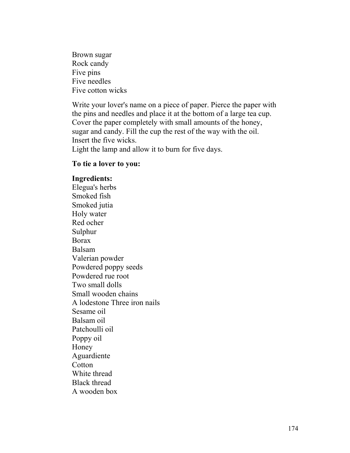Brown sugar Rock candy Five pins Five needles Five cotton wicks

Write your lover's name on a piece of paper. Pierce the paper with the pins and needles and place it at the bottom of a large tea cup. Cover the paper completely with small amounts of the honey, sugar and candy. Fill the cup the rest of the way with the oil. Insert the five wicks. Light the lamp and allow it to burn for five days.

#### **To tie a lover to you:**

#### **Ingredients:**

Elegua's herbs Smoked fish Smoked jutia Holy water Red ocher Sulphur Borax Balsam Valerian powder Powdered poppy seeds Powdered rue root Two small dolls Small wooden chains A lodestone Three iron nails Sesame oil Balsam oil Patchoulli oil Poppy oil Honey Aguardiente **Cotton** White thread Black thread A wooden box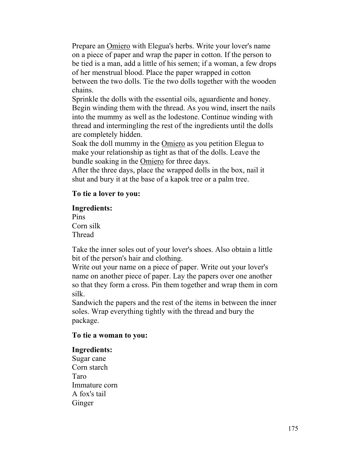Prepare an Omiero with Elegua's herbs. Write your lover's name on a piece of paper and wrap the paper in cotton. If the person to be tied is a man, add a little of his semen; if a woman, a few drops of her menstrual blood. Place the paper wrapped in cotton between the two dolls. Tie the two dolls together with the wooden chains.

Sprinkle the dolls with the essential oils, aguardiente and honey. Begin winding them with the thread. As you wind, insert the nails into the mummy as well as the lodestone. Continue winding with thread and intermingling the rest of the ingredients until the dolls are completely hidden.

Soak the doll mummy in the Omiero as you petition Elegua to make your relationship as tight as that of the dolls. Leave the bundle soaking in the Omiero for three days.

After the three days, place the wrapped dolls in the box, nail it shut and bury it at the base of a kapok tree or a palm tree.

# **To tie a lover to you:**

#### **Ingredients:**

Pins Corn silk Thread

Take the inner soles out of your lover's shoes. Also obtain a little bit of the person's hair and clothing.

Write out your name on a piece of paper. Write out your lover's name on another piece of paper. Lay the papers over one another so that they form a cross. Pin them together and wrap them in corn silk.

Sandwich the papers and the rest of the items in between the inner soles. Wrap everything tightly with the thread and bury the package.

## **To tie a woman to you:**

## **Ingredients:**

Sugar cane Corn starch Taro Immature corn A fox's tail Ginger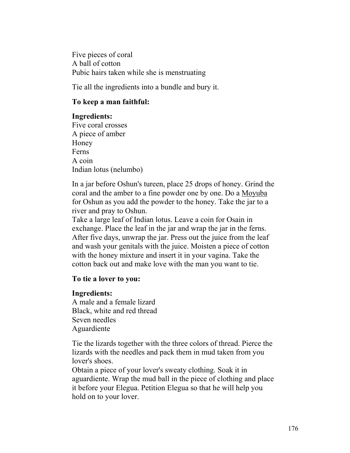Five pieces of coral A ball of cotton Pubic hairs taken while she is menstruating

Tie all the ingredients into a bundle and bury it.

# **To keep a man faithful:**

## **Ingredients:**

Five coral crosses A piece of amber Honey Ferns A coin Indian lotus (nelumbo)

In a jar before Oshun's tureen, place 25 drops of honey. Grind the coral and the amber to a fine powder one by one. Do a Moyuba for Oshun as you add the powder to the honey. Take the jar to a river and pray to Oshun.

Take a large leaf of Indian lotus. Leave a coin for Osain in exchange. Place the leaf in the jar and wrap the jar in the ferns. After five days, unwrap the jar. Press out the juice from the leaf and wash your genitals with the juice. Moisten a piece of cotton with the honey mixture and insert it in your vagina. Take the cotton back out and make love with the man you want to tie.

## **To tie a lover to you:**

## **Ingredients:**

A male and a female lizard Black, white and red thread Seven needles Aguardiente

Tie the lizards together with the three colors of thread. Pierce the lizards with the needles and pack them in mud taken from you lover's shoes.

Obtain a piece of your lover's sweaty clothing. Soak it in aguardiente. Wrap the mud ball in the piece of clothing and place it before your Elegua. Petition Elegua so that he will help you hold on to your lover.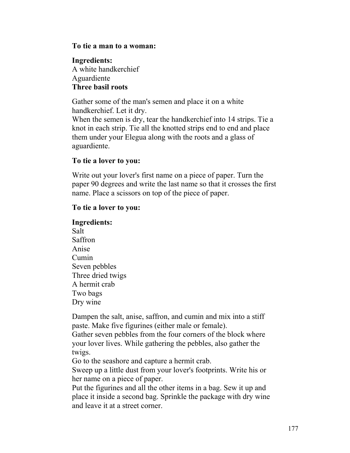#### **To tie a man to a woman:**

# **Ingredients:** A white handkerchief Aguardiente **Three basil roots**

Gather some of the man's semen and place it on a white handkerchief. Let it dry.

When the semen is dry, tear the handkerchief into 14 strips. Tie a knot in each strip. Tie all the knotted strips end to end and place them under your Elegua along with the roots and a glass of aguardiente.

# **To tie a lover to you:**

Write out your lover's first name on a piece of paper. Turn the paper 90 degrees and write the last name so that it crosses the first name. Place a scissors on top of the piece of paper.

# **To tie a lover to you:**

# **Ingredients:**

Salt Saffron Anise Cumin Seven pebbles Three dried twigs A hermit crab Two bags Dry wine

Dampen the salt, anise, saffron, and cumin and mix into a stiff paste. Make five figurines (either male or female).

Gather seven pebbles from the four corners of the block where your lover lives. While gathering the pebbles, also gather the twigs.

Go to the seashore and capture a hermit crab.

Sweep up a little dust from your lover's footprints. Write his or her name on a piece of paper.

Put the figurines and all the other items in a bag. Sew it up and place it inside a second bag. Sprinkle the package with dry wine and leave it at a street corner.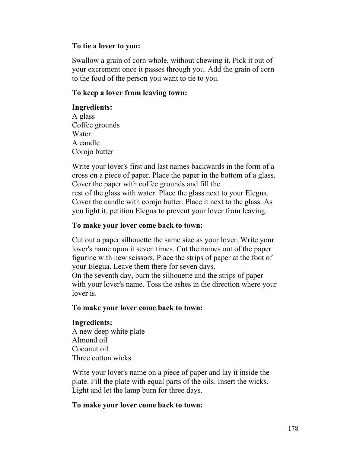#### **To tie a lover to you:**

Swallow a grain of corn whole, without chewing it. Pick it out of your excrement once it passes through you. Add the grain of corn to the food of the person you want to tie to you.

## **To keep a lover from leaving town:**

## **Ingredients:**

A glass Coffee grounds Water A candle Corojo butter

Write your lover's first and last names backwards in the form of a cross on a piece of paper. Place the paper in the bottom of a glass. Cover the paper with coffee grounds and fill the rest of the glass with water. Place the glass next to your Elegua. Cover the candle with corojo butter. Place it next to the glass. As you light it, petition Elegua to prevent your lover from leaving.

## **To make your lover come back to town:**

Cut out a paper silhouette the same size as your lover. Write your lover's name upon it seven times. Cut the names out of the paper figurine with new scissors. Place the strips of paper at the foot of your Elegua. Leave them there for seven days.

On the seventh day, burn the silhouette and the strips of paper with your lover's name. Toss the ashes in the direction where your lover is.

## **To make your lover come back to town:**

## **Ingredients:**

A new deep white plate Almond oil Coconut oil Three cotton wicks

Write your lover's name on a piece of paper and lay it inside the plate. Fill the plate with equal parts of the oils. Insert the wicks. Light and let the lamp burn for three days.

## **To make your lover come back to town:**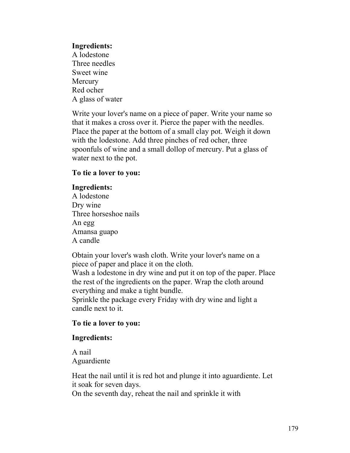#### **Ingredients:**

A lodestone Three needles Sweet wine **Mercury** Red ocher A glass of water

Write your lover's name on a piece of paper. Write your name so that it makes a cross over it. Pierce the paper with the needles. Place the paper at the bottom of a small clay pot. Weigh it down with the lodestone. Add three pinches of red ocher, three spoonfuls of wine and a small dollop of mercury. Put a glass of water next to the pot.

#### **To tie a lover to you:**

#### **Ingredients:**

A lodestone Dry wine Three horseshoe nails An egg Amansa guapo A candle

Obtain your lover's wash cloth. Write your lover's name on a piece of paper and place it on the cloth.

Wash a lodestone in dry wine and put it on top of the paper. Place the rest of the ingredients on the paper. Wrap the cloth around everything and make a tight bundle.

Sprinkle the package every Friday with dry wine and light a candle next to it.

## **To tie a lover to you:**

## **Ingredients:**

A nail Aguardiente

Heat the nail until it is red hot and plunge it into aguardiente. Let it soak for seven days.

On the seventh day, reheat the nail and sprinkle it with